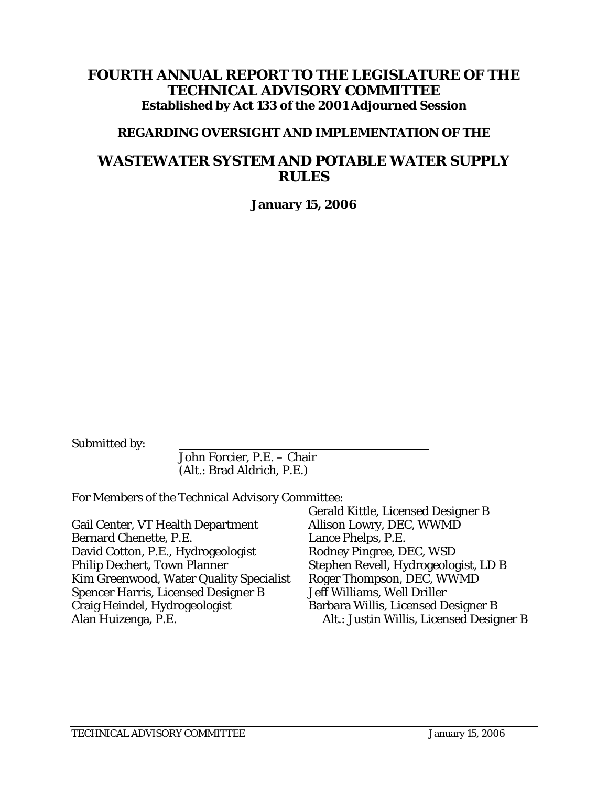# **FOURTH ANNUAL REPORT TO THE LEGISLATURE OF THE TECHNICAL ADVISORY COMMITTEE Established by Act 133 of the 2001 Adjourned Session**

# **REGARDING OVERSIGHT AND IMPLEMENTATION OF THE**

# **WASTEWATER SYSTEM AND POTABLE WATER SUPPLY RULES**

**January 15, 2006** 

Submitted by:

 John Forcier, P.E. – Chair (Alt.: Brad Aldrich, P.E.)

For Members of the Technical Advisory Committee:

|                                          | Gerald Kittle, Licensed Designer B       |
|------------------------------------------|------------------------------------------|
| <b>Gail Center, VT Health Department</b> | Allison Lowry, DEC, WWMD                 |
| <b>Bernard Chenette, P.E.</b>            | Lance Phelps, P.E.                       |
| David Cotton, P.E., Hydrogeologist       | Rodney Pingree, DEC, WSD                 |
| Philip Dechert, Town Planner             | Stephen Revell, Hydrogeologist, LD B     |
| Kim Greenwood, Water Quality Specialist  | Roger Thompson, DEC, WWMD                |
| Spencer Harris, Licensed Designer B      | Jeff Williams, Well Driller              |
| Craig Heindel, Hydrogeologist            | Barbara Willis, Licensed Designer B      |
| Alan Huizenga, P.E.                      | Alt.: Justin Willis, Licensed Designer B |
|                                          |                                          |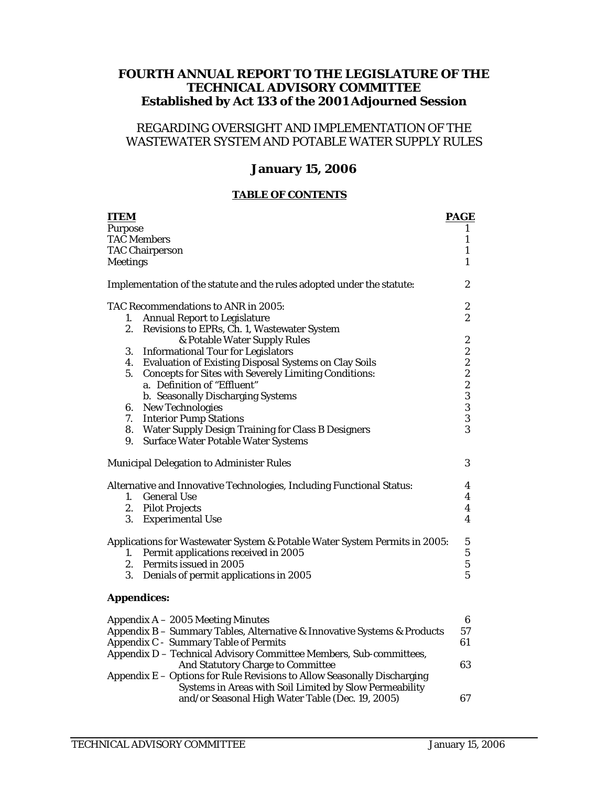## **FOURTH ANNUAL REPORT TO THE LEGISLATURE OF THE TECHNICAL ADVISORY COMMITTEE Established by Act 133 of the 2001 Adjourned Session**

# REGARDING OVERSIGHT AND IMPLEMENTATION OF THE WASTEWATER SYSTEM AND POTABLE WATER SUPPLY RULES

### **January 15, 2006**

#### **TABLE OF CONTENTS**

| <b>ITEM</b>     |                                                                            | <b>PAGE</b>      |
|-----------------|----------------------------------------------------------------------------|------------------|
| <b>Purpose</b>  |                                                                            | 1                |
|                 | <b>TAC Members</b>                                                         | $\mathbf{1}$     |
|                 | <b>TAC Chairperson</b>                                                     | $\mathbf{1}$     |
| <b>Meetings</b> |                                                                            | $\mathbf{1}$     |
|                 | Implementation of the statute and the rules adopted under the statute:     | $\boldsymbol{2}$ |
|                 | TAC Recommendations to ANR in 2005:                                        | $\boldsymbol{2}$ |
| 1.              | <b>Annual Report to Legislature</b>                                        | $\boldsymbol{2}$ |
|                 | 2. Revisions to EPRs, Ch. 1, Wastewater System                             |                  |
|                 | & Potable Water Supply Rules                                               | 2                |
|                 | 3. Informational Tour for Legislators                                      |                  |
|                 | 4. Evaluation of Existing Disposal Systems on Clay Soils                   |                  |
| 5.              | <b>Concepts for Sites with Severely Limiting Conditions:</b>               |                  |
|                 | a. Definition of "Effluent"                                                |                  |
|                 | b. Seasonally Discharging Systems                                          |                  |
|                 | 6. New Technologies                                                        | $22223$<br>$333$ |
|                 | 7. Interior Pump Stations                                                  |                  |
|                 | 8. Water Supply Design Training for Class B Designers                      | 3                |
|                 | 9. Surface Water Potable Water Systems                                     |                  |
|                 | <b>Municipal Delegation to Administer Rules</b>                            | 3                |
|                 | Alternative and Innovative Technologies, Including Functional Status:      | 4                |
|                 | 1. General Use                                                             | $\boldsymbol{4}$ |
|                 | 2. Pilot Projects                                                          | $\boldsymbol{4}$ |
|                 | 3. Experimental Use                                                        | $\boldsymbol{4}$ |
|                 | Applications for Wastewater System & Potable Water System Permits in 2005: | $\mathbf{5}$     |
|                 | 1. Permit applications received in 2005                                    |                  |
|                 | 2. Permits issued in 2005                                                  | $\frac{5}{5}$    |
| 3.              | Denials of permit applications in 2005                                     |                  |
|                 | <b>Appendices:</b>                                                         |                  |
|                 | Appendix $A - 2005$ Meeting Minutes                                        | 6                |
|                 |                                                                            |                  |

| $\Delta$ Appendix A $-$ 2005 Meeting Minutes                              |    |
|---------------------------------------------------------------------------|----|
| Appendix B - Summary Tables, Alternative & Innovative Systems & Products  | 57 |
| Appendix C - Summary Table of Permits                                     | 61 |
| Appendix D - Technical Advisory Committee Members, Sub-committees,        |    |
| And Statutory Charge to Committee                                         | 63 |
| Appendix $E -$ Options for Rule Revisions to Allow Seasonally Discharging |    |
| Systems in Areas with Soil Limited by Slow Permeability                   |    |
| and/or Seasonal High Water Table (Dec. 19, 2005)                          | 67 |
|                                                                           |    |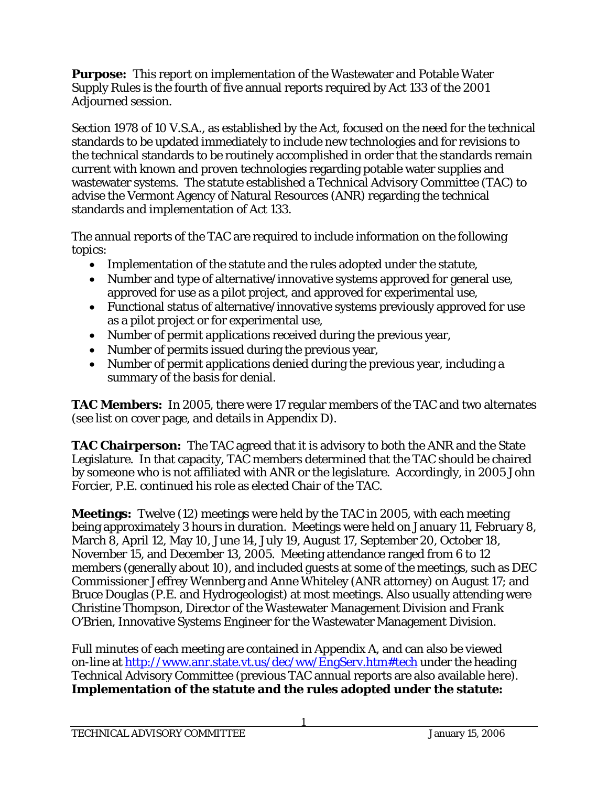**Purpose:** This report on implementation of the Wastewater and Potable Water Supply Rules is the fourth of five annual reports required by Act 133 of the 2001 Adjourned session.

Section 1978 of 10 V.S.A., as established by the Act, focused on the need for the technical standards to be updated immediately to include new technologies and for revisions to the technical standards to be routinely accomplished in order that the standards remain current with known and proven technologies regarding potable water supplies and wastewater systems. The statute established a Technical Advisory Committee (TAC) to advise the Vermont Agency of Natural Resources (ANR) regarding the technical standards and implementation of Act 133.

The annual reports of the TAC are required to include information on the following topics:

- Implementation of the statute and the rules adopted under the statute,
- Number and type of alternative/innovative systems approved for general use, approved for use as a pilot project, and approved for experimental use,
- Functional status of alternative/innovative systems previously approved for use as a pilot project or for experimental use,
- Number of permit applications received during the previous year,
- Number of permits issued during the previous year,
- Number of permit applications denied during the previous year, including a summary of the basis for denial.

**TAC Members:** In 2005, there were 17 regular members of the TAC and two alternates (see list on cover page, and details in Appendix D).

**TAC Chairperson:** The TAC agreed that it is advisory to both the ANR and the State Legislature. In that capacity, TAC members determined that the TAC should be chaired by someone who is not affiliated with ANR or the legislature. Accordingly, in 2005 John Forcier, P.E. continued his role as elected Chair of the TAC.

**Meetings:** Twelve (12) meetings were held by the TAC in 2005, with each meeting being approximately 3 hours in duration. Meetings were held on January 11, February 8, March 8, April 12, May 10, June 14, July 19, August 17, September 20, October 18, November 15, and December 13, 2005. Meeting attendance ranged from 6 to 12 members (generally about 10), and included guests at some of the meetings, such as DEC Commissioner Jeffrey Wennberg and Anne Whiteley (ANR attorney) on August 17; and Bruce Douglas (P.E. and Hydrogeologist) at most meetings. Also usually attending were Christine Thompson, Director of the Wastewater Management Division and Frank O'Brien, Innovative Systems Engineer for the Wastewater Management Division.

Full minutes of each meeting are contained in Appendix A, and can also be viewed on-line at http://www.anr.state.vt.us/dec/ww/EngServ.htm#tech under the heading Technical Advisory Committee (previous TAC annual reports are also available here). **Implementation of the statute and the rules adopted under the statute:**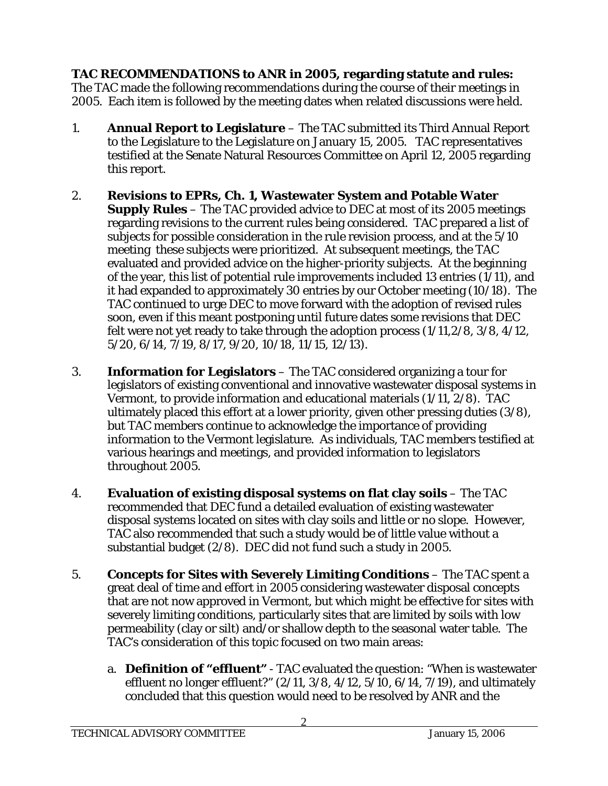**TAC RECOMMENDATIONS to ANR in 2005, regarding statute and rules:** The TAC made the following recommendations during the course of their meetings in 2005. Each item is followed by the meeting dates when related discussions were held.

- 1. **Annual Report to Legislature**  The TAC submitted its Third Annual Report to the Legislature to the Legislature on January 15, 2005. TAC representatives testified at the Senate Natural Resources Committee on April 12, 2005 regarding this report.
- 2. **Revisions to EPRs, Ch. 1, Wastewater System and Potable Water Supply Rules** – The TAC provided advice to DEC at most of its 2005 meetings regarding revisions to the current rules being considered. TAC prepared a list of subjects for possible consideration in the rule revision process, and at the 5/10 meeting these subjects were prioritized. At subsequent meetings, the TAC evaluated and provided advice on the higher-priority subjects. At the beginning of the year, this list of potential rule improvements included 13 entries (1/11), and it had expanded to approximately 30 entries by our October meeting (10/18). The TAC continued to urge DEC to move forward with the adoption of revised rules soon, even if this meant postponing until future dates some revisions that DEC felt were not yet ready to take through the adoption process (1/11,2/8, 3/8, 4/12, 5/20, 6/14, 7/19, 8/17, 9/20, 10/18, 11/15, 12/13).
- 3. **Information for Legislators** The TAC considered organizing a tour for legislators of existing conventional and innovative wastewater disposal systems in Vermont, to provide information and educational materials (1/11, 2/8). TAC ultimately placed this effort at a lower priority, given other pressing duties (3/8), but TAC members continue to acknowledge the importance of providing information to the Vermont legislature. As individuals, TAC members testified at various hearings and meetings, and provided information to legislators throughout 2005.
- 4. **Evaluation of existing disposal systems on flat clay soils** The TAC recommended that DEC fund a detailed evaluation of existing wastewater disposal systems located on sites with clay soils and little or no slope. However, TAC also recommended that such a study would be of little value without a substantial budget (2/8). DEC did not fund such a study in 2005.
- 5. **Concepts for Sites with Severely Limiting Conditions** The TAC spent a great deal of time and effort in 2005 considering wastewater disposal concepts that are not now approved in Vermont, but which might be effective for sites with severely limiting conditions, particularly sites that are limited by soils with low permeability (clay or silt) and/or shallow depth to the seasonal water table. The TAC's consideration of this topic focused on two main areas:
	- a. **Definition of "effluent"** TAC evaluated the question: "When is wastewater effluent no longer effluent?" (2/11, 3/8, 4/12, 5/10, 6/14, 7/19), and ultimately concluded that this question would need to be resolved by ANR and the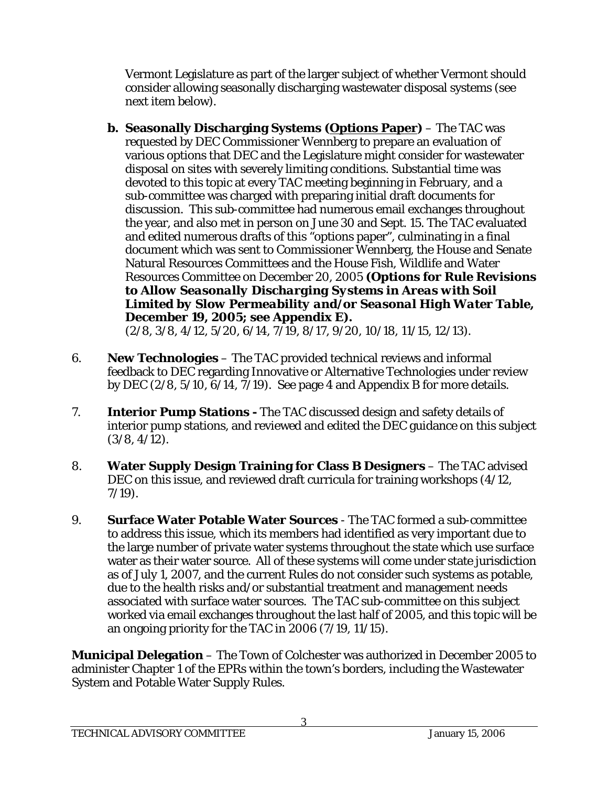Vermont Legislature as part of the larger subject of whether Vermont should consider allowing seasonally discharging wastewater disposal systems (see next item below).

**b. Seasonally Discharging Systems (Options Paper)** – The TAC was requested by DEC Commissioner Wennberg to prepare an evaluation of various options that DEC and the Legislature might consider for wastewater disposal on sites with severely limiting conditions. Substantial time was devoted to this topic at every TAC meeting beginning in February, and a sub-committee was charged with preparing initial draft documents for discussion. This sub-committee had numerous email exchanges throughout the year, and also met in person on June 30 and Sept. 15. The TAC evaluated and edited numerous drafts of this "options paper", culminating in a final document which was sent to Commissioner Wennberg, the House and Senate Natural Resources Committees and the House Fish, Wildlife and Water Resources Committee on December 20, 2005 **(***Options for Rule Revisions to Allow Seasonally Discharging Systems in Areas with Soil Limited by Slow Permeability and/or Seasonal High Water Table***, December 19, 2005; see Appendix E).**  (2/8, 3/8, 4/12, 5/20, 6/14, 7/19, 8/17, 9/20, 10/18, 11/15, 12/13).

- 6. **New Technologies** The TAC provided technical reviews and informal feedback to DEC regarding Innovative or Alternative Technologies under review by DEC (2/8, 5/10, 6/14, 7/19). See page 4 and Appendix B for more details.
- 7. **Interior Pump Stations** The TAC discussed design and safety details of interior pump stations, and reviewed and edited the DEC guidance on this subject (3/8, 4/12).
- 8. **Water Supply Design Training for Class B Designers** The TAC advised DEC on this issue, and reviewed draft curricula for training workshops (4/12, 7/19).
- 9. **Surface Water Potable Water Sources**  The TAC formed a sub-committee to address this issue, which its members had identified as very important due to the large number of private water systems throughout the state which use surface water as their water source. All of these systems will come under state jurisdiction as of July 1, 2007, and the current Rules do not consider such systems as potable, due to the health risks and/or substantial treatment and management needs associated with surface water sources. The TAC sub-committee on this subject worked via email exchanges throughout the last half of 2005, and this topic will be an ongoing priority for the TAC in 2006 (7/19, 11/15).

**Municipal Delegation** – The Town of Colchester was authorized in December 2005 to administer Chapter 1 of the EPRs within the town's borders, including the Wastewater System and Potable Water Supply Rules.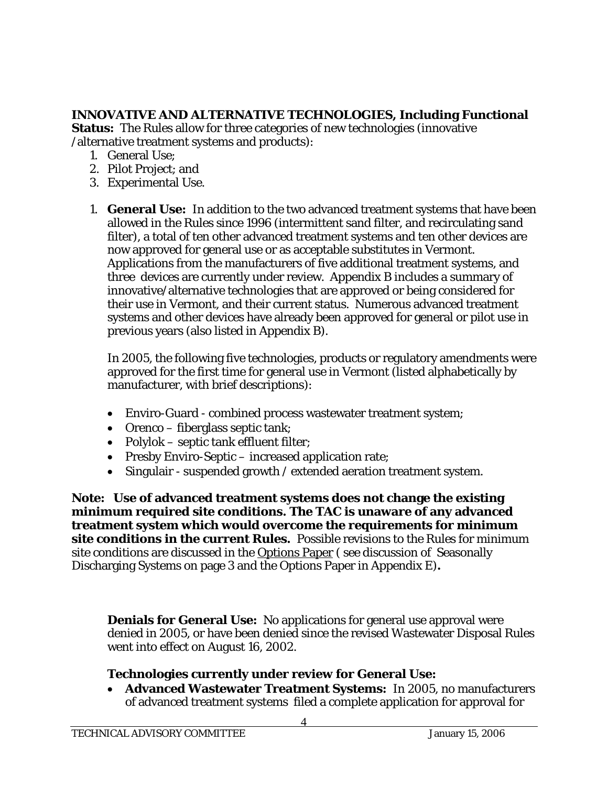# **INNOVATIVE AND ALTERNATIVE TECHNOLOGIES, Including Functional**

**Status:** The Rules allow for three categories of new technologies (innovative /alternative treatment systems and products):

- 1. General Use;
- 2. Pilot Project; and
- 3. Experimental Use.
- 1. **General Use:** In addition to the two advanced treatment systems that have been allowed in the Rules since 1996 (intermittent sand filter, and recirculating sand filter), a total of ten other advanced treatment systems and ten other devices are now approved for general use or as acceptable substitutes in Vermont. Applications from the manufacturers of five additional treatment systems, and three devices are currently under review. Appendix B includes a summary of innovative/alternative technologies that are approved or being considered for their use in Vermont, and their current status. Numerous advanced treatment systems and other devices have already been approved for general or pilot use in previous years (also listed in Appendix B).

In 2005, the following five technologies, products or regulatory amendments were approved for the first time for general use in Vermont (listed alphabetically by manufacturer, with brief descriptions):

- Enviro-Guard combined process wastewater treatment system;
- Orenco fiberglass septic tank;
- Polylok septic tank effluent filter;
- Presby Enviro-Septic increased application rate;
- Singulair suspended growth / extended aeration treatment system.

**Note: Use of advanced treatment systems does not change the existing minimum required site conditions. The TAC is unaware of any advanced treatment system which would overcome the requirements for minimum site conditions in the current Rules.** Possible revisions to the Rules for minimum site conditions are discussed in the Options Paper ( see discussion of Seasonally Discharging Systems on page 3 and the Options Paper in Appendix E)**.** 

**Denials for General Use:** No applications for general use approval were denied in 2005, or have been denied since the revised Wastewater Disposal Rules went into effect on August 16, 2002.

# **Technologies currently under review for General Use:**

• **Advanced Wastewater Treatment Systems:** In 2005, no manufacturers of advanced treatment systems filed a complete application for approval for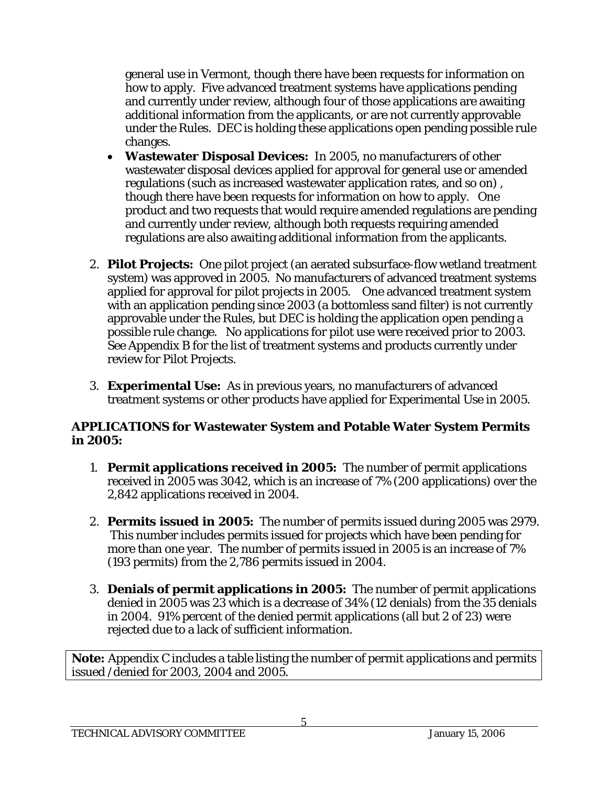general use in Vermont, though there have been requests for information on how to apply. Five advanced treatment systems have applications pending and currently under review, although four of those applications are awaiting additional information from the applicants, or are not currently approvable under the Rules. DEC is holding these applications open pending possible rule changes.

- **Wastewater Disposal Devices:** In 2005, no manufacturers of other wastewater disposal devices applied for approval for general use or amended regulations (such as increased wastewater application rates, and so on) , though there have been requests for information on how to apply. One product and two requests that would require amended regulations are pending and currently under review, although both requests requiring amended regulations are also awaiting additional information from the applicants.
- 2. **Pilot Projects:** One pilot project (an aerated subsurface-flow wetland treatment system) was approved in 2005. No manufacturers of advanced treatment systems applied for approval for pilot projects in 2005. One advanced treatment system with an application pending since 2003 (a bottomless sand filter) is not currently approvable under the Rules, but DEC is holding the application open pending a possible rule change. No applications for pilot use were received prior to 2003. See Appendix B for the list of treatment systems and products currently under review for Pilot Projects.
- 3. **Experimental Use:** As in previous years, no manufacturers of advanced treatment systems or other products have applied for Experimental Use in 2005.

# **APPLICATIONS for Wastewater System and Potable Water System Permits in 2005:**

- 1. **Permit applications received in 2005:** The number of permit applications received in 2005 was 3042, which is an increase of 7% (200 applications) over the 2,842 applications received in 2004.
- 2. **Permits issued in 2005:** The number of permits issued during 2005 was 2979. This number includes permits issued for projects which have been pending for more than one year. The number of permits issued in 2005 is an increase of 7% (193 permits) from the 2,786 permits issued in 2004.
- 3. **Denials of permit applications in 2005:** The number of permit applications denied in 2005 was 23 which is a decrease of 34% (12 denials) from the 35 denials in 2004. 91% percent of the denied permit applications (all but 2 of 23) were rejected due to a lack of sufficient information.

**Note:** Appendix C includes a table listing the number of permit applications and permits issued /denied for 2003, 2004 and 2005.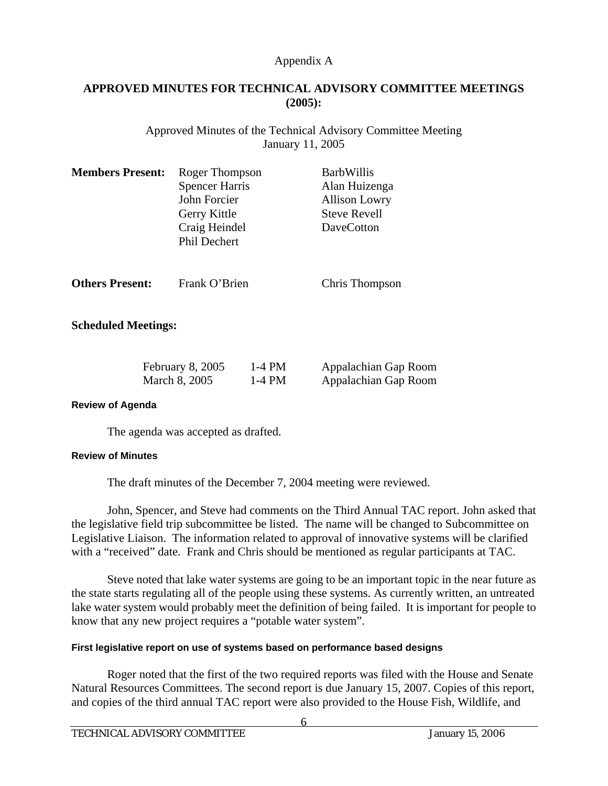# **APPROVED MINUTES FOR TECHNICAL ADVISORY COMMITTEE MEETINGS (2005):**

Approved Minutes of the Technical Advisory Committee Meeting January 11, 2005

| <b>Members Present:</b>    | Roger Thompson<br><b>Spencer Harris</b><br>John Forcier<br>Gerry Kittle<br>Craig Heindel<br><b>Phil Dechert</b> |                      | <b>BarbWillis</b><br>Alan Huizenga<br><b>Allison Lowry</b><br><b>Steve Revell</b><br><b>DaveCotton</b> |
|----------------------------|-----------------------------------------------------------------------------------------------------------------|----------------------|--------------------------------------------------------------------------------------------------------|
| <b>Others Present:</b>     | Frank O'Brien                                                                                                   |                      | Chris Thompson                                                                                         |
| <b>Scheduled Meetings:</b> |                                                                                                                 |                      |                                                                                                        |
|                            | February 8, 2005<br>March 8, 2005                                                                               | $1-4$ PM<br>$1-4$ PM | Appalachian Gap Room<br>Appalachian Gap Room                                                           |

### **Review of Agenda**

The agenda was accepted as drafted.

### **Review of Minutes**

The draft minutes of the December 7, 2004 meeting were reviewed.

 John, Spencer, and Steve had comments on the Third Annual TAC report. John asked that the legislative field trip subcommittee be listed. The name will be changed to Subcommittee on Legislative Liaison. The information related to approval of innovative systems will be clarified with a "received" date. Frank and Chris should be mentioned as regular participants at TAC.

 Steve noted that lake water systems are going to be an important topic in the near future as the state starts regulating all of the people using these systems. As currently written, an untreated lake water system would probably meet the definition of being failed. It is important for people to know that any new project requires a "potable water system".

### **First legislative report on use of systems based on performance based designs**

 Roger noted that the first of the two required reports was filed with the House and Senate Natural Resources Committees. The second report is due January 15, 2007. Copies of this report, and copies of the third annual TAC report were also provided to the House Fish, Wildlife, and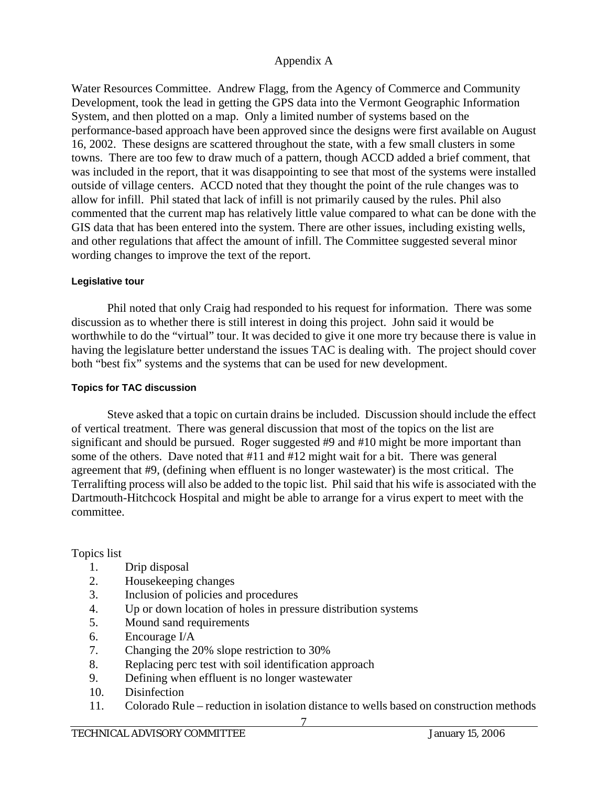Water Resources Committee. Andrew Flagg, from the Agency of Commerce and Community Development, took the lead in getting the GPS data into the Vermont Geographic Information System, and then plotted on a map. Only a limited number of systems based on the performance-based approach have been approved since the designs were first available on August 16, 2002. These designs are scattered throughout the state, with a few small clusters in some towns. There are too few to draw much of a pattern, though ACCD added a brief comment, that was included in the report, that it was disappointing to see that most of the systems were installed outside of village centers. ACCD noted that they thought the point of the rule changes was to allow for infill. Phil stated that lack of infill is not primarily caused by the rules. Phil also commented that the current map has relatively little value compared to what can be done with the GIS data that has been entered into the system. There are other issues, including existing wells, and other regulations that affect the amount of infill. The Committee suggested several minor wording changes to improve the text of the report.

### **Legislative tour**

 Phil noted that only Craig had responded to his request for information. There was some discussion as to whether there is still interest in doing this project. John said it would be worthwhile to do the "virtual" tour. It was decided to give it one more try because there is value in having the legislature better understand the issues TAC is dealing with. The project should cover both "best fix" systems and the systems that can be used for new development.

## **Topics for TAC discussion**

 Steve asked that a topic on curtain drains be included. Discussion should include the effect of vertical treatment. There was general discussion that most of the topics on the list are significant and should be pursued. Roger suggested #9 and #10 might be more important than some of the others. Dave noted that #11 and #12 might wait for a bit. There was general agreement that #9, (defining when effluent is no longer wastewater) is the most critical. The Terralifting process will also be added to the topic list. Phil said that his wife is associated with the Dartmouth-Hitchcock Hospital and might be able to arrange for a virus expert to meet with the committee.

# Topics list

- 1. Drip disposal
- 2. Housekeeping changes
- 3. Inclusion of policies and procedures
- 4. Up or down location of holes in pressure distribution systems
- 5. Mound sand requirements
- 6. Encourage I/A
- 7. Changing the 20% slope restriction to 30%
- 8. Replacing perc test with soil identification approach
- 9. Defining when effluent is no longer wastewater
- 10. Disinfection
- 11. Colorado Rule reduction in isolation distance to wells based on construction methods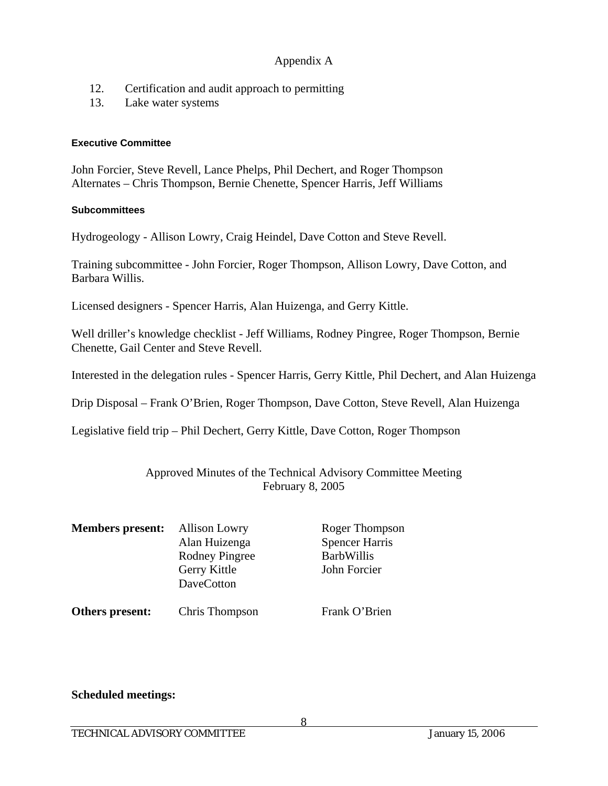- 12. Certification and audit approach to permitting
- 13. Lake water systems

### **Executive Committee**

John Forcier, Steve Revell, Lance Phelps, Phil Dechert, and Roger Thompson Alternates – Chris Thompson, Bernie Chenette, Spencer Harris, Jeff Williams

### **Subcommittees**

Hydrogeology - Allison Lowry, Craig Heindel, Dave Cotton and Steve Revell.

Training subcommittee - John Forcier, Roger Thompson, Allison Lowry, Dave Cotton, and Barbara Willis.

Licensed designers - Spencer Harris, Alan Huizenga, and Gerry Kittle.

Well driller's knowledge checklist - Jeff Williams, Rodney Pingree, Roger Thompson, Bernie Chenette, Gail Center and Steve Revell.

Interested in the delegation rules - Spencer Harris, Gerry Kittle, Phil Dechert, and Alan Huizenga

Drip Disposal – Frank O'Brien, Roger Thompson, Dave Cotton, Steve Revell, Alan Huizenga

Legislative field trip – Phil Dechert, Gerry Kittle, Dave Cotton, Roger Thompson

Approved Minutes of the Technical Advisory Committee Meeting February 8, 2005

| <b>Members present:</b> | <b>Allison Lowry</b><br>Alan Huizenga<br><b>Rodney Pingree</b><br>Gerry Kittle<br><b>DaveCotton</b> | Roger Thompson<br><b>Spencer Harris</b><br><b>BarbWillis</b><br>John Forcier |
|-------------------------|-----------------------------------------------------------------------------------------------------|------------------------------------------------------------------------------|
| Others present:         | Chris Thompson                                                                                      | Frank O'Brien                                                                |

## **Scheduled meetings:**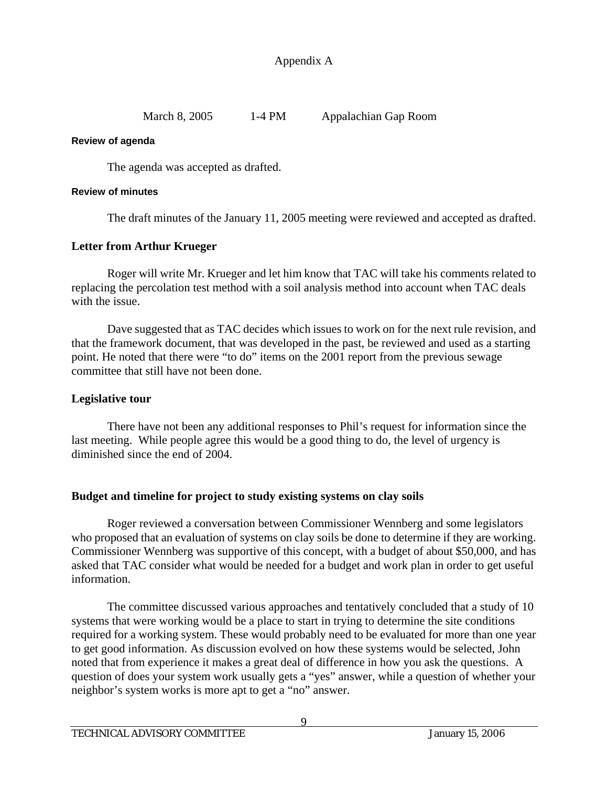March 8, 2005 1-4 PM Appalachian Gap Room

### **Review of agenda**

The agenda was accepted as drafted.

## **Review of minutes**

The draft minutes of the January 11, 2005 meeting were reviewed and accepted as drafted.

# **Letter from Arthur Krueger**

 Roger will write Mr. Krueger and let him know that TAC will take his comments related to replacing the percolation test method with a soil analysis method into account when TAC deals with the issue.

 Dave suggested that as TAC decides which issues to work on for the next rule revision, and that the framework document, that was developed in the past, be reviewed and used as a starting point. He noted that there were "to do" items on the 2001 report from the previous sewage committee that still have not been done.

## **Legislative tour**

There have not been any additional responses to Phil's request for information since the last meeting. While people agree this would be a good thing to do, the level of urgency is diminished since the end of 2004.

# **Budget and timeline for project to study existing systems on clay soils**

 Roger reviewed a conversation between Commissioner Wennberg and some legislators who proposed that an evaluation of systems on clay soils be done to determine if they are working. Commissioner Wennberg was supportive of this concept, with a budget of about \$50,000, and has asked that TAC consider what would be needed for a budget and work plan in order to get useful information.

 The committee discussed various approaches and tentatively concluded that a study of 10 systems that were working would be a place to start in trying to determine the site conditions required for a working system. These would probably need to be evaluated for more than one year to get good information. As discussion evolved on how these systems would be selected, John noted that from experience it makes a great deal of difference in how you ask the questions. A question of does your system work usually gets a "yes" answer, while a question of whether your neighbor's system works is more apt to get a "no" answer.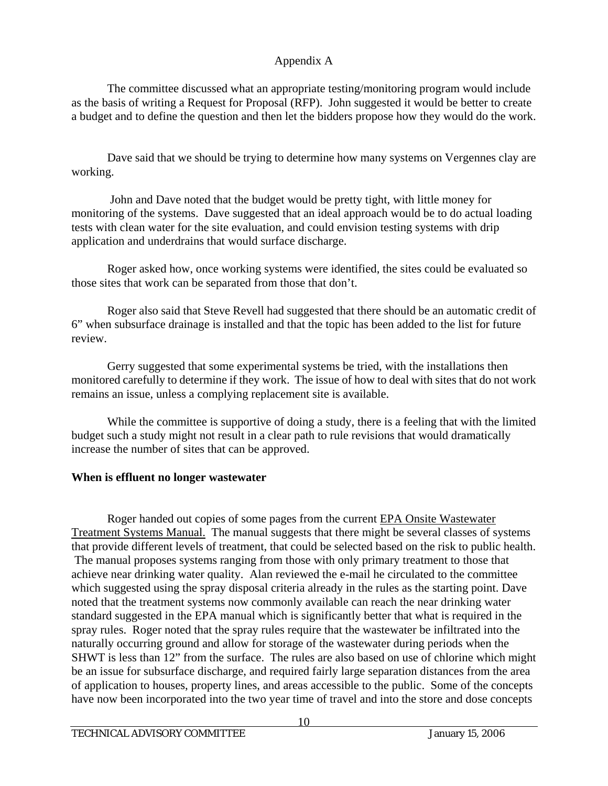The committee discussed what an appropriate testing/monitoring program would include as the basis of writing a Request for Proposal (RFP). John suggested it would be better to create a budget and to define the question and then let the bidders propose how they would do the work.

 Dave said that we should be trying to determine how many systems on Vergennes clay are working.

 John and Dave noted that the budget would be pretty tight, with little money for monitoring of the systems. Dave suggested that an ideal approach would be to do actual loading tests with clean water for the site evaluation, and could envision testing systems with drip application and underdrains that would surface discharge.

 Roger asked how, once working systems were identified, the sites could be evaluated so those sites that work can be separated from those that don't.

 Roger also said that Steve Revell had suggested that there should be an automatic credit of 6" when subsurface drainage is installed and that the topic has been added to the list for future review.

 Gerry suggested that some experimental systems be tried, with the installations then monitored carefully to determine if they work. The issue of how to deal with sites that do not work remains an issue, unless a complying replacement site is available.

While the committee is supportive of doing a study, there is a feeling that with the limited budget such a study might not result in a clear path to rule revisions that would dramatically increase the number of sites that can be approved.

# **When is effluent no longer wastewater**

 Roger handed out copies of some pages from the current EPA Onsite Wastewater Treatment Systems Manual. The manual suggests that there might be several classes of systems that provide different levels of treatment, that could be selected based on the risk to public health. The manual proposes systems ranging from those with only primary treatment to those that achieve near drinking water quality. Alan reviewed the e-mail he circulated to the committee which suggested using the spray disposal criteria already in the rules as the starting point. Dave noted that the treatment systems now commonly available can reach the near drinking water standard suggested in the EPA manual which is significantly better that what is required in the spray rules. Roger noted that the spray rules require that the wastewater be infiltrated into the naturally occurring ground and allow for storage of the wastewater during periods when the SHWT is less than 12" from the surface. The rules are also based on use of chlorine which might be an issue for subsurface discharge, and required fairly large separation distances from the area of application to houses, property lines, and areas accessible to the public. Some of the concepts have now been incorporated into the two year time of travel and into the store and dose concepts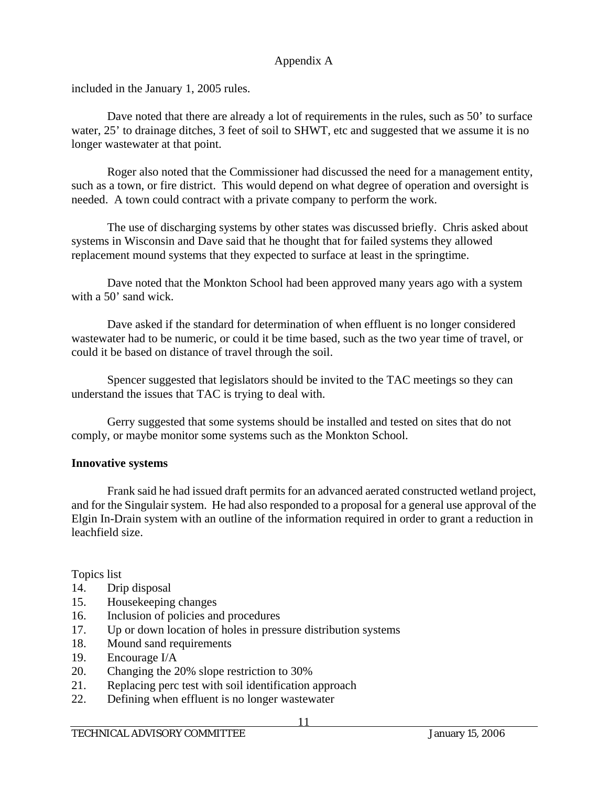included in the January 1, 2005 rules.

Dave noted that there are already a lot of requirements in the rules, such as 50' to surface water, 25' to drainage ditches, 3 feet of soil to SHWT, etc and suggested that we assume it is no longer wastewater at that point.

 Roger also noted that the Commissioner had discussed the need for a management entity, such as a town, or fire district. This would depend on what degree of operation and oversight is needed. A town could contract with a private company to perform the work.

 The use of discharging systems by other states was discussed briefly. Chris asked about systems in Wisconsin and Dave said that he thought that for failed systems they allowed replacement mound systems that they expected to surface at least in the springtime.

 Dave noted that the Monkton School had been approved many years ago with a system with a 50<sup>'</sup> sand wick.

 Dave asked if the standard for determination of when effluent is no longer considered wastewater had to be numeric, or could it be time based, such as the two year time of travel, or could it be based on distance of travel through the soil.

 Spencer suggested that legislators should be invited to the TAC meetings so they can understand the issues that TAC is trying to deal with.

 Gerry suggested that some systems should be installed and tested on sites that do not comply, or maybe monitor some systems such as the Monkton School.

## **Innovative systems**

 Frank said he had issued draft permits for an advanced aerated constructed wetland project, and for the Singulair system. He had also responded to a proposal for a general use approval of the Elgin In-Drain system with an outline of the information required in order to grant a reduction in leachfield size.

Topics list

- 14. Drip disposal
- 15. Housekeeping changes
- 16. Inclusion of policies and procedures
- 17. Up or down location of holes in pressure distribution systems
- 18. Mound sand requirements
- 19. Encourage I/A
- 20. Changing the 20% slope restriction to 30%
- 21. Replacing perc test with soil identification approach
- 22. Defining when effluent is no longer wastewater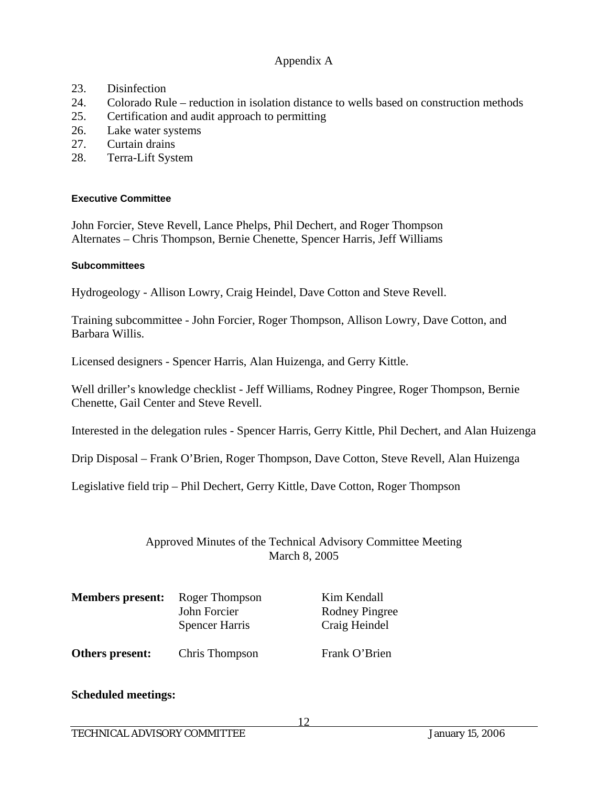- 23. Disinfection
- 24. Colorado Rule reduction in isolation distance to wells based on construction methods
- 25. Certification and audit approach to permitting
- 26. Lake water systems
- 27. Curtain drains
- 28. Terra-Lift System

### **Executive Committee**

John Forcier, Steve Revell, Lance Phelps, Phil Dechert, and Roger Thompson Alternates – Chris Thompson, Bernie Chenette, Spencer Harris, Jeff Williams

### **Subcommittees**

Hydrogeology - Allison Lowry, Craig Heindel, Dave Cotton and Steve Revell.

Training subcommittee - John Forcier, Roger Thompson, Allison Lowry, Dave Cotton, and Barbara Willis.

Licensed designers - Spencer Harris, Alan Huizenga, and Gerry Kittle.

Well driller's knowledge checklist - Jeff Williams, Rodney Pingree, Roger Thompson, Bernie Chenette, Gail Center and Steve Revell.

Interested in the delegation rules - Spencer Harris, Gerry Kittle, Phil Dechert, and Alan Huizenga

Drip Disposal – Frank O'Brien, Roger Thompson, Dave Cotton, Steve Revell, Alan Huizenga

Legislative field trip – Phil Dechert, Gerry Kittle, Dave Cotton, Roger Thompson

## Approved Minutes of the Technical Advisory Committee Meeting March 8, 2005

| <b>Members present:</b> | Roger Thompson<br>John Forcier<br><b>Spencer Harris</b> | Kim Kendall<br>Rodney Pingree<br>Craig Heindel |
|-------------------------|---------------------------------------------------------|------------------------------------------------|
| Others present:         | Chris Thompson                                          | Frank O'Brien                                  |

## **Scheduled meetings:**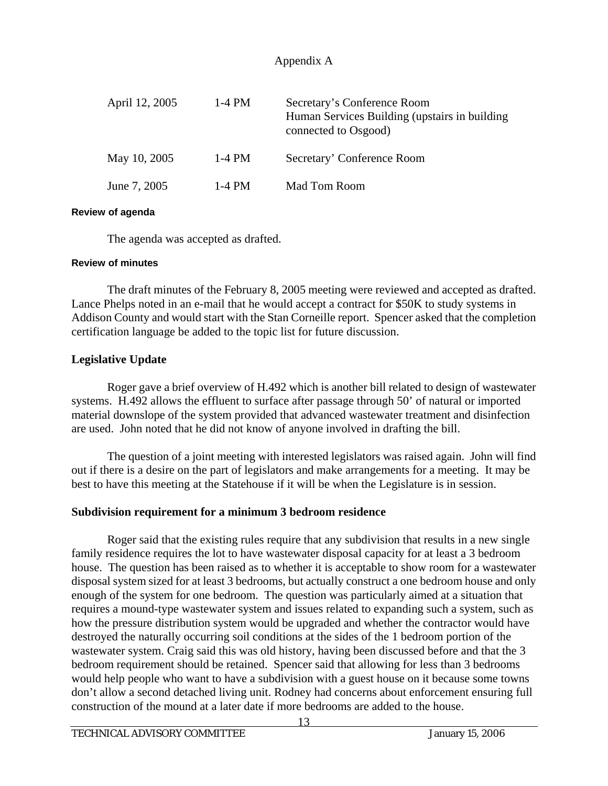| April 12, 2005 | $1-4$ PM | Secretary's Conference Room<br>Human Services Building (upstairs in building)<br>connected to Osgood) |
|----------------|----------|-------------------------------------------------------------------------------------------------------|
| May 10, 2005   | $1-4$ PM | Secretary' Conference Room                                                                            |
| June 7, 2005   | 1-4 PM   | Mad Tom Room                                                                                          |

### **Review of agenda**

The agenda was accepted as drafted.

### **Review of minutes**

 The draft minutes of the February 8, 2005 meeting were reviewed and accepted as drafted. Lance Phelps noted in an e-mail that he would accept a contract for \$50K to study systems in Addison County and would start with the Stan Corneille report. Spencer asked that the completion certification language be added to the topic list for future discussion.

## **Legislative Update**

 Roger gave a brief overview of H.492 which is another bill related to design of wastewater systems. H.492 allows the effluent to surface after passage through 50' of natural or imported material downslope of the system provided that advanced wastewater treatment and disinfection are used. John noted that he did not know of anyone involved in drafting the bill.

 The question of a joint meeting with interested legislators was raised again. John will find out if there is a desire on the part of legislators and make arrangements for a meeting. It may be best to have this meeting at the Statehouse if it will be when the Legislature is in session.

## **Subdivision requirement for a minimum 3 bedroom residence**

 Roger said that the existing rules require that any subdivision that results in a new single family residence requires the lot to have wastewater disposal capacity for at least a 3 bedroom house. The question has been raised as to whether it is acceptable to show room for a wastewater disposal system sized for at least 3 bedrooms, but actually construct a one bedroom house and only enough of the system for one bedroom. The question was particularly aimed at a situation that requires a mound-type wastewater system and issues related to expanding such a system, such as how the pressure distribution system would be upgraded and whether the contractor would have destroyed the naturally occurring soil conditions at the sides of the 1 bedroom portion of the wastewater system. Craig said this was old history, having been discussed before and that the 3 bedroom requirement should be retained. Spencer said that allowing for less than 3 bedrooms would help people who want to have a subdivision with a guest house on it because some towns don't allow a second detached living unit. Rodney had concerns about enforcement ensuring full construction of the mound at a later date if more bedrooms are added to the house.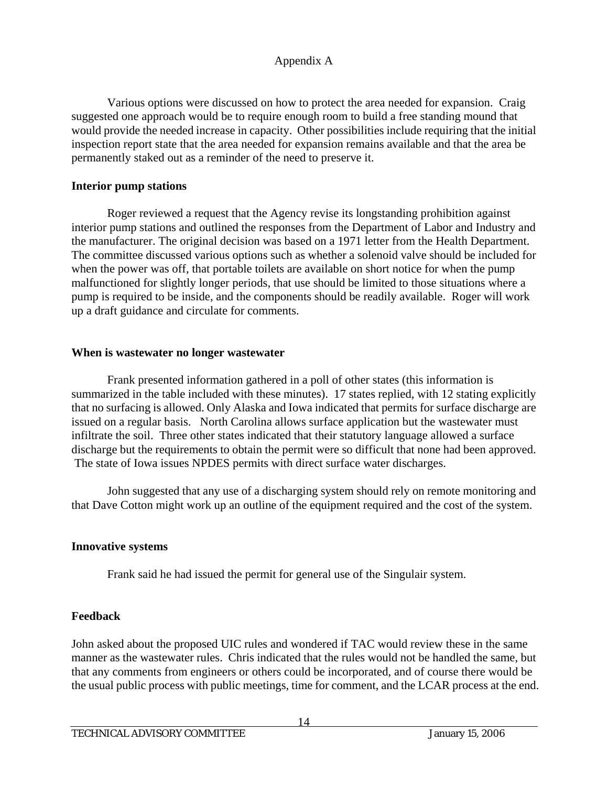Various options were discussed on how to protect the area needed for expansion. Craig suggested one approach would be to require enough room to build a free standing mound that would provide the needed increase in capacity. Other possibilities include requiring that the initial inspection report state that the area needed for expansion remains available and that the area be permanently staked out as a reminder of the need to preserve it.

# **Interior pump stations**

 Roger reviewed a request that the Agency revise its longstanding prohibition against interior pump stations and outlined the responses from the Department of Labor and Industry and the manufacturer. The original decision was based on a 1971 letter from the Health Department. The committee discussed various options such as whether a solenoid valve should be included for when the power was off, that portable toilets are available on short notice for when the pump malfunctioned for slightly longer periods, that use should be limited to those situations where a pump is required to be inside, and the components should be readily available. Roger will work up a draft guidance and circulate for comments.

## **When is wastewater no longer wastewater**

 Frank presented information gathered in a poll of other states (this information is summarized in the table included with these minutes). 17 states replied, with 12 stating explicitly that no surfacing is allowed. Only Alaska and Iowa indicated that permits for surface discharge are issued on a regular basis. North Carolina allows surface application but the wastewater must infiltrate the soil. Three other states indicated that their statutory language allowed a surface discharge but the requirements to obtain the permit were so difficult that none had been approved. The state of Iowa issues NPDES permits with direct surface water discharges.

 John suggested that any use of a discharging system should rely on remote monitoring and that Dave Cotton might work up an outline of the equipment required and the cost of the system.

# **Innovative systems**

Frank said he had issued the permit for general use of the Singulair system.

# **Feedback**

John asked about the proposed UIC rules and wondered if TAC would review these in the same manner as the wastewater rules. Chris indicated that the rules would not be handled the same, but that any comments from engineers or others could be incorporated, and of course there would be the usual public process with public meetings, time for comment, and the LCAR process at the end.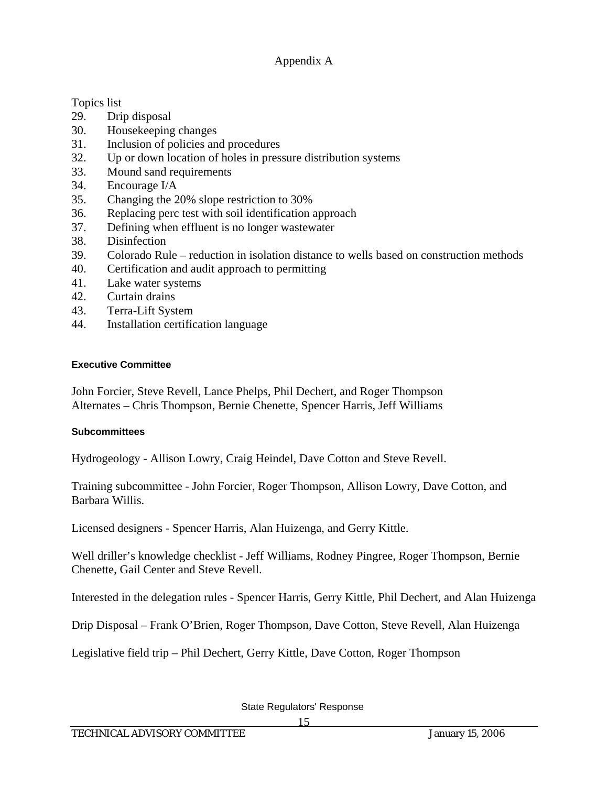Topics list

- 29. Drip disposal
- 30. Housekeeping changes
- 31. Inclusion of policies and procedures
- 32. Up or down location of holes in pressure distribution systems
- 33. Mound sand requirements
- 34. Encourage I/A
- 35. Changing the 20% slope restriction to 30%
- 36. Replacing perc test with soil identification approach
- 37. Defining when effluent is no longer wastewater
- 38. Disinfection
- 39. Colorado Rule reduction in isolation distance to wells based on construction methods
- 40. Certification and audit approach to permitting
- 41. Lake water systems
- 42. Curtain drains
- 43. Terra-Lift System
- 44. Installation certification language

### **Executive Committee**

John Forcier, Steve Revell, Lance Phelps, Phil Dechert, and Roger Thompson Alternates – Chris Thompson, Bernie Chenette, Spencer Harris, Jeff Williams

## **Subcommittees**

Hydrogeology - Allison Lowry, Craig Heindel, Dave Cotton and Steve Revell.

Training subcommittee - John Forcier, Roger Thompson, Allison Lowry, Dave Cotton, and Barbara Willis.

Licensed designers - Spencer Harris, Alan Huizenga, and Gerry Kittle.

Well driller's knowledge checklist - Jeff Williams, Rodney Pingree, Roger Thompson, Bernie Chenette, Gail Center and Steve Revell.

Interested in the delegation rules - Spencer Harris, Gerry Kittle, Phil Dechert, and Alan Huizenga

Drip Disposal – Frank O'Brien, Roger Thompson, Dave Cotton, Steve Revell, Alan Huizenga

Legislative field trip – Phil Dechert, Gerry Kittle, Dave Cotton, Roger Thompson

State Regulators' Response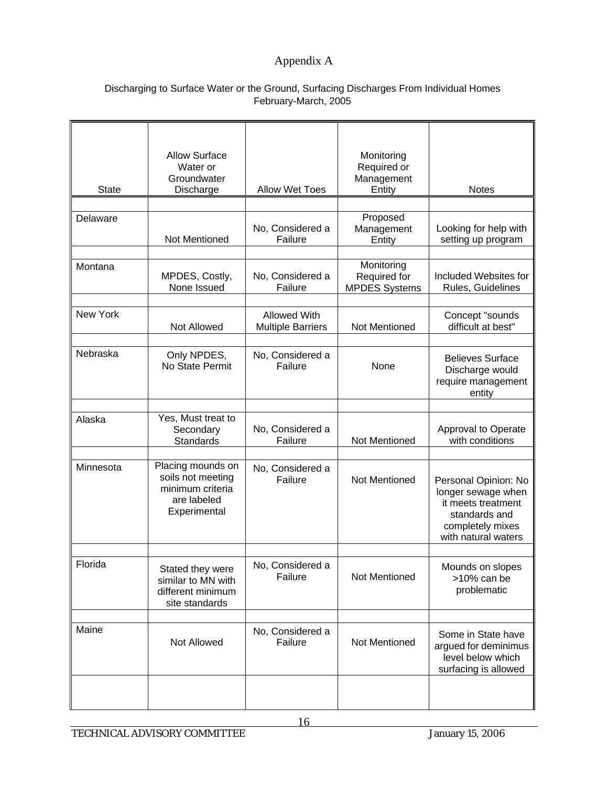### Discharging to Surface Water or the Ground, Surfacing Discharges From Individual Homes February-March, 2005

|              | <b>Allow Surface</b><br>Water or                                                          |                                                 | Monitoring<br>Required or                          |                                                                                                                              |
|--------------|-------------------------------------------------------------------------------------------|-------------------------------------------------|----------------------------------------------------|------------------------------------------------------------------------------------------------------------------------------|
| <b>State</b> | Groundwater<br>Discharge                                                                  | <b>Allow Wet Toes</b>                           | Management<br>Entity                               | <b>Notes</b>                                                                                                                 |
|              |                                                                                           |                                                 |                                                    |                                                                                                                              |
| Delaware     | Not Mentioned                                                                             | No, Considered a<br>Failure                     | Proposed<br>Management<br>Entity                   | Looking for help with<br>setting up program                                                                                  |
| Montana      | MPDES, Costly,<br>None Issued                                                             | No, Considered a<br>Failure                     | Monitoring<br>Required for<br><b>MPDES Systems</b> | Included Websites for<br>Rules, Guidelines                                                                                   |
| New York     | Not Allowed                                                                               | <b>Allowed With</b><br><b>Multiple Barriers</b> | Not Mentioned                                      | Concept "sounds<br>difficult at best"                                                                                        |
| Nebraska     | Only NPDES,<br>No State Permit                                                            | No, Considered a<br>Failure                     | None                                               | <b>Believes Surface</b><br>Discharge would<br>require management<br>entity                                                   |
| Alaska       | Yes, Must treat to                                                                        |                                                 |                                                    |                                                                                                                              |
|              | Secondary<br>Standards                                                                    | No, Considered a<br>Failure                     | Not Mentioned                                      | Approval to Operate<br>with conditions                                                                                       |
| Minnesota    | Placing mounds on<br>soils not meeting<br>minimum criteria<br>are labeled<br>Experimental | No, Considered a<br>Failure                     | Not Mentioned                                      | Personal Opinion: No<br>longer sewage when<br>it meets treatment<br>standards and<br>completely mixes<br>with natural waters |
| Florida      | Stated they were<br>similar to MN with<br>different minimum<br>site standards             | No, Considered a<br>Failure                     | Not Mentioned                                      | Mounds on slopes<br>>10% can be<br>problematic                                                                               |
| Maine        | Not Allowed                                                                               | No, Considered a<br>Failure                     | Not Mentioned                                      | Some in State have<br>argued for deminimus<br>level below which<br>surfacing is allowed                                      |
|              |                                                                                           |                                                 |                                                    |                                                                                                                              |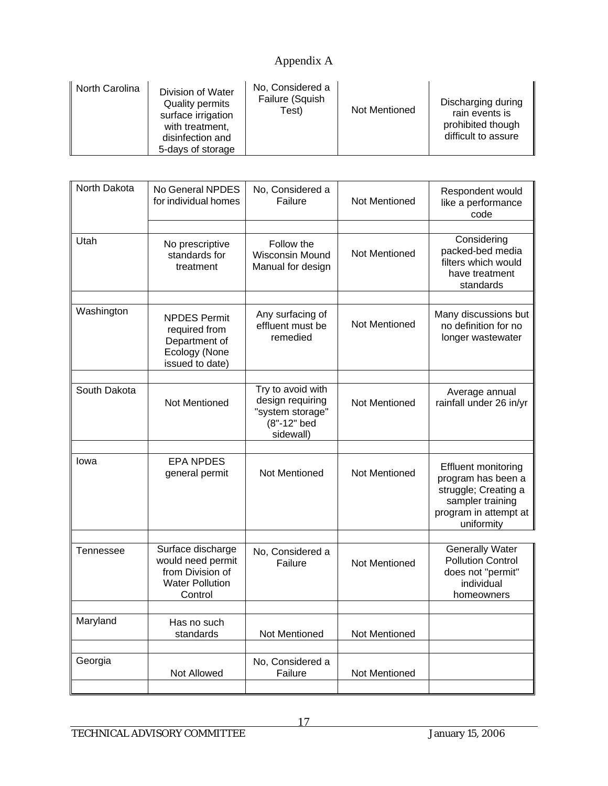| North Carolina | Division of Water<br><b>Quality permits</b><br>surface irrigation<br>with treatment,<br>disinfection and<br>5-days of storage | No, Considered a<br>Failure (Squish<br>Test) | <b>Not Mentioned</b> | Discharging during<br>rain events is<br>prohibited though<br>difficult to assure |
|----------------|-------------------------------------------------------------------------------------------------------------------------------|----------------------------------------------|----------------------|----------------------------------------------------------------------------------|
|----------------|-------------------------------------------------------------------------------------------------------------------------------|----------------------------------------------|----------------------|----------------------------------------------------------------------------------|

| North Dakota | No General NPDES<br>for individual homes                                                        | No, Considered a<br>Failure                                                           | Not Mentioned        | Respondent would<br>like a performance<br>code                                                                                      |
|--------------|-------------------------------------------------------------------------------------------------|---------------------------------------------------------------------------------------|----------------------|-------------------------------------------------------------------------------------------------------------------------------------|
| Utah         | No prescriptive<br>standards for<br>treatment                                                   | Follow the<br>Wisconsin Mound<br>Manual for design                                    | <b>Not Mentioned</b> | Considering<br>packed-bed media<br>filters which would<br>have treatment<br>standards                                               |
|              |                                                                                                 |                                                                                       |                      |                                                                                                                                     |
| Washington   | <b>NPDES Permit</b><br>required from<br>Department of<br>Ecology (None<br>issued to date)       | Any surfacing of<br>effluent must be<br>remedied                                      | Not Mentioned        | Many discussions but<br>no definition for no<br>longer wastewater                                                                   |
|              |                                                                                                 |                                                                                       |                      |                                                                                                                                     |
| South Dakota | Not Mentioned                                                                                   | Try to avoid with<br>design requiring<br>"system storage"<br>(8"-12" bed<br>sidewall) | Not Mentioned        | Average annual<br>rainfall under 26 in/yr                                                                                           |
|              |                                                                                                 |                                                                                       |                      |                                                                                                                                     |
| lowa         | <b>EPA NPDES</b><br>general permit                                                              | Not Mentioned                                                                         | Not Mentioned        | <b>Effluent monitoring</b><br>program has been a<br>struggle; Creating a<br>sampler training<br>program in attempt at<br>uniformity |
|              |                                                                                                 |                                                                                       |                      |                                                                                                                                     |
| Tennessee    | Surface discharge<br>would need permit<br>from Division of<br><b>Water Pollution</b><br>Control | No, Considered a<br>Failure                                                           | <b>Not Mentioned</b> | <b>Generally Water</b><br><b>Pollution Control</b><br>does not "permit"<br>individual<br>homeowners                                 |
|              |                                                                                                 |                                                                                       |                      |                                                                                                                                     |
| Maryland     | Has no such<br>standards                                                                        | Not Mentioned                                                                         | Not Mentioned        |                                                                                                                                     |
|              |                                                                                                 |                                                                                       |                      |                                                                                                                                     |
| Georgia      | <b>Not Allowed</b>                                                                              | No, Considered a<br>Failure                                                           | Not Mentioned        |                                                                                                                                     |
|              |                                                                                                 |                                                                                       |                      |                                                                                                                                     |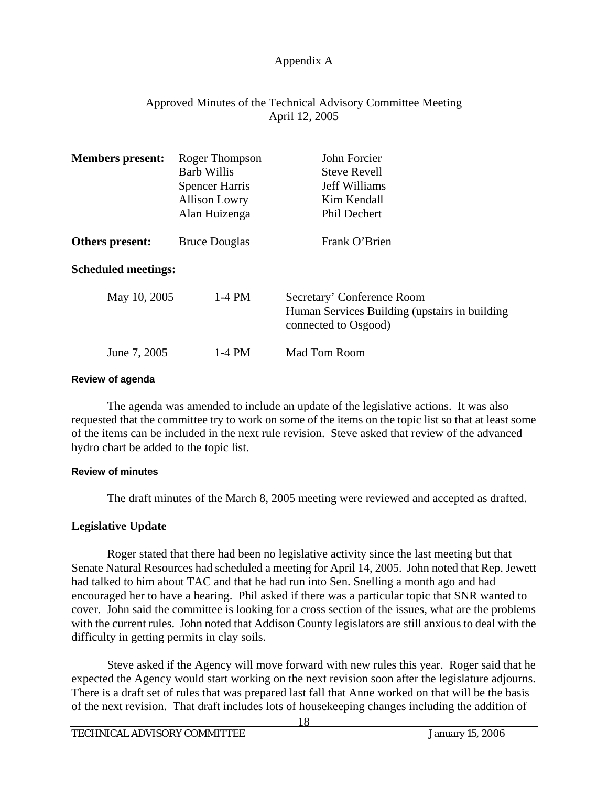# Approved Minutes of the Technical Advisory Committee Meeting April 12, 2005

| <b>Members present:</b>    | Roger Thompson<br><b>Barb Willis</b><br><b>Spencer Harris</b><br><b>Allison Lowry</b><br>Alan Huizenga | John Forcier<br><b>Steve Revell</b><br>Jeff Williams<br>Kim Kendall<br><b>Phil Dechert</b>           |
|----------------------------|--------------------------------------------------------------------------------------------------------|------------------------------------------------------------------------------------------------------|
| Others present:            | <b>Bruce Douglas</b>                                                                                   | Frank O'Brien                                                                                        |
| <b>Scheduled meetings:</b> |                                                                                                        |                                                                                                      |
| May 10, 2005               | $1-4$ PM                                                                                               | Secretary' Conference Room<br>Human Services Building (upstairs in building)<br>connected to Osgood) |
| June 7, 2005               | 1-4 PM                                                                                                 | <b>Mad Tom Room</b>                                                                                  |

#### **Review of agenda**

 The agenda was amended to include an update of the legislative actions. It was also requested that the committee try to work on some of the items on the topic list so that at least some of the items can be included in the next rule revision. Steve asked that review of the advanced hydro chart be added to the topic list.

### **Review of minutes**

The draft minutes of the March 8, 2005 meeting were reviewed and accepted as drafted.

## **Legislative Update**

 Roger stated that there had been no legislative activity since the last meeting but that Senate Natural Resources had scheduled a meeting for April 14, 2005. John noted that Rep. Jewett had talked to him about TAC and that he had run into Sen. Snelling a month ago and had encouraged her to have a hearing. Phil asked if there was a particular topic that SNR wanted to cover. John said the committee is looking for a cross section of the issues, what are the problems with the current rules. John noted that Addison County legislators are still anxious to deal with the difficulty in getting permits in clay soils.

 Steve asked if the Agency will move forward with new rules this year. Roger said that he expected the Agency would start working on the next revision soon after the legislature adjourns. There is a draft set of rules that was prepared last fall that Anne worked on that will be the basis of the next revision. That draft includes lots of housekeeping changes including the addition of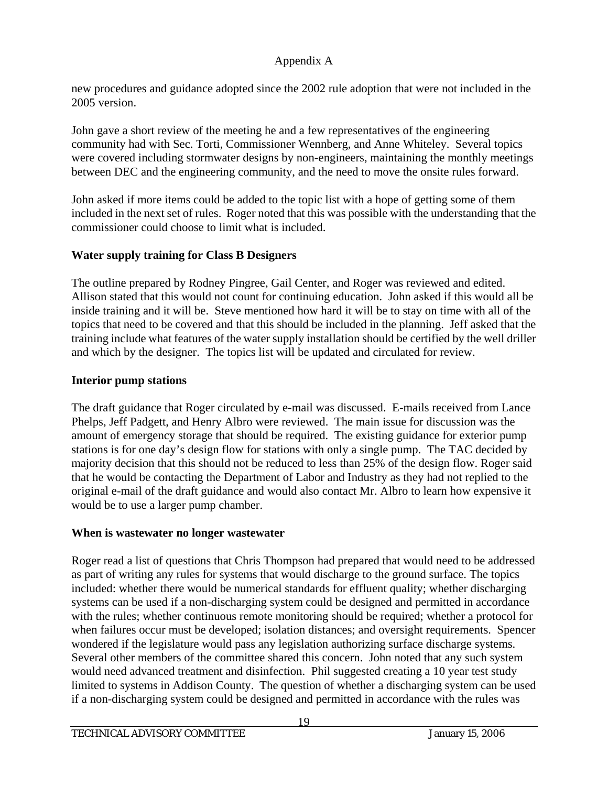new procedures and guidance adopted since the 2002 rule adoption that were not included in the 2005 version.

John gave a short review of the meeting he and a few representatives of the engineering community had with Sec. Torti, Commissioner Wennberg, and Anne Whiteley. Several topics were covered including stormwater designs by non-engineers, maintaining the monthly meetings between DEC and the engineering community, and the need to move the onsite rules forward.

John asked if more items could be added to the topic list with a hope of getting some of them included in the next set of rules. Roger noted that this was possible with the understanding that the commissioner could choose to limit what is included.

# **Water supply training for Class B Designers**

The outline prepared by Rodney Pingree, Gail Center, and Roger was reviewed and edited. Allison stated that this would not count for continuing education. John asked if this would all be inside training and it will be. Steve mentioned how hard it will be to stay on time with all of the topics that need to be covered and that this should be included in the planning. Jeff asked that the training include what features of the water supply installation should be certified by the well driller and which by the designer. The topics list will be updated and circulated for review.

# **Interior pump stations**

The draft guidance that Roger circulated by e-mail was discussed. E-mails received from Lance Phelps, Jeff Padgett, and Henry Albro were reviewed. The main issue for discussion was the amount of emergency storage that should be required. The existing guidance for exterior pump stations is for one day's design flow for stations with only a single pump. The TAC decided by majority decision that this should not be reduced to less than 25% of the design flow. Roger said that he would be contacting the Department of Labor and Industry as they had not replied to the original e-mail of the draft guidance and would also contact Mr. Albro to learn how expensive it would be to use a larger pump chamber.

# **When is wastewater no longer wastewater**

Roger read a list of questions that Chris Thompson had prepared that would need to be addressed as part of writing any rules for systems that would discharge to the ground surface. The topics included: whether there would be numerical standards for effluent quality; whether discharging systems can be used if a non-discharging system could be designed and permitted in accordance with the rules; whether continuous remote monitoring should be required; whether a protocol for when failures occur must be developed; isolation distances; and oversight requirements. Spencer wondered if the legislature would pass any legislation authorizing surface discharge systems. Several other members of the committee shared this concern. John noted that any such system would need advanced treatment and disinfection. Phil suggested creating a 10 year test study limited to systems in Addison County. The question of whether a discharging system can be used if a non-discharging system could be designed and permitted in accordance with the rules was

19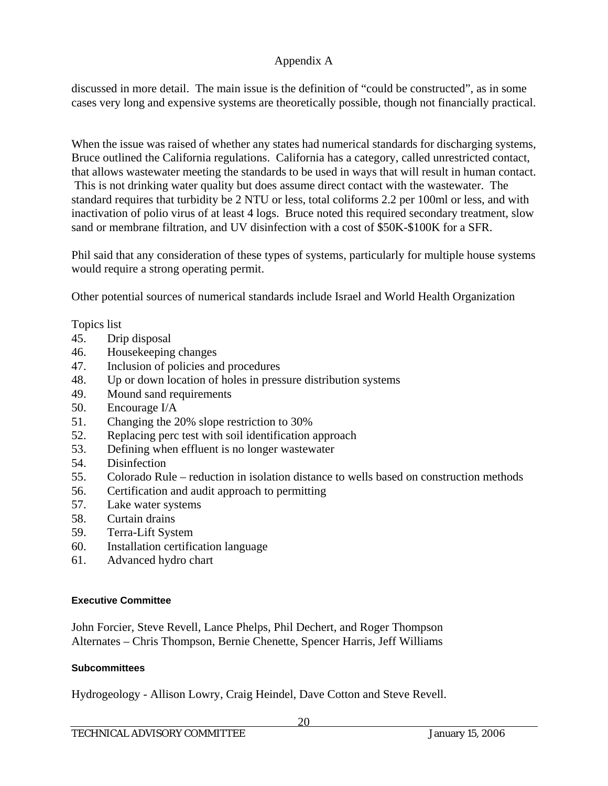discussed in more detail. The main issue is the definition of "could be constructed", as in some cases very long and expensive systems are theoretically possible, though not financially practical.

When the issue was raised of whether any states had numerical standards for discharging systems, Bruce outlined the California regulations. California has a category, called unrestricted contact, that allows wastewater meeting the standards to be used in ways that will result in human contact. This is not drinking water quality but does assume direct contact with the wastewater. The standard requires that turbidity be 2 NTU or less, total coliforms 2.2 per 100ml or less, and with inactivation of polio virus of at least 4 logs. Bruce noted this required secondary treatment, slow sand or membrane filtration, and UV disinfection with a cost of \$50K-\$100K for a SFR.

Phil said that any consideration of these types of systems, particularly for multiple house systems would require a strong operating permit.

Other potential sources of numerical standards include Israel and World Health Organization

Topics list

- 45. Drip disposal
- 46. Housekeeping changes
- 47. Inclusion of policies and procedures
- 48. Up or down location of holes in pressure distribution systems
- 49. Mound sand requirements
- 50. Encourage I/A
- 51. Changing the 20% slope restriction to 30%
- 52. Replacing perc test with soil identification approach
- 53. Defining when effluent is no longer wastewater
- 54. Disinfection
- 55. Colorado Rule reduction in isolation distance to wells based on construction methods
- 56. Certification and audit approach to permitting
- 57. Lake water systems
- 58. Curtain drains
- 59. Terra-Lift System
- 60. Installation certification language
- 61. Advanced hydro chart

## **Executive Committee**

John Forcier, Steve Revell, Lance Phelps, Phil Dechert, and Roger Thompson Alternates – Chris Thompson, Bernie Chenette, Spencer Harris, Jeff Williams

## **Subcommittees**

Hydrogeology - Allison Lowry, Craig Heindel, Dave Cotton and Steve Revell.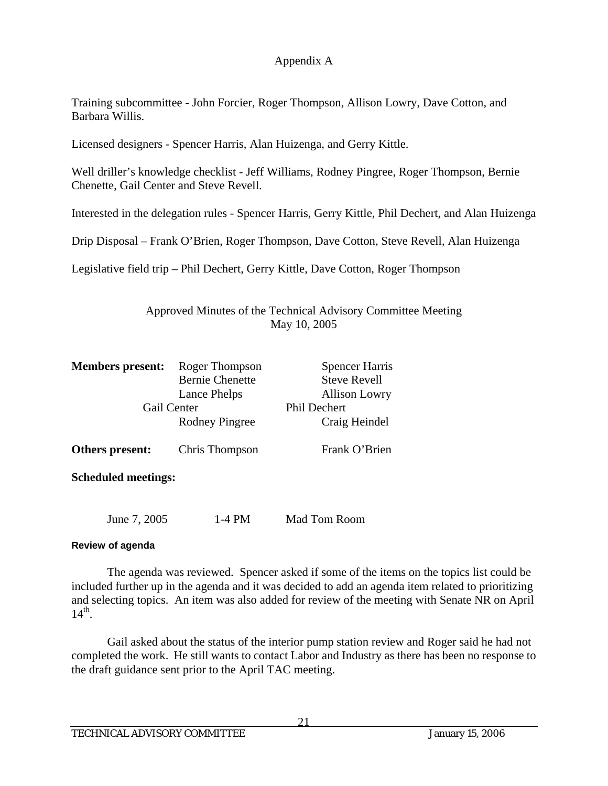Training subcommittee - John Forcier, Roger Thompson, Allison Lowry, Dave Cotton, and Barbara Willis.

Licensed designers - Spencer Harris, Alan Huizenga, and Gerry Kittle.

Well driller's knowledge checklist - Jeff Williams, Rodney Pingree, Roger Thompson, Bernie Chenette, Gail Center and Steve Revell.

Interested in the delegation rules - Spencer Harris, Gerry Kittle, Phil Dechert, and Alan Huizenga

Drip Disposal – Frank O'Brien, Roger Thompson, Dave Cotton, Steve Revell, Alan Huizenga

Legislative field trip – Phil Dechert, Gerry Kittle, Dave Cotton, Roger Thompson

Approved Minutes of the Technical Advisory Committee Meeting May 10, 2005

| <b>Members</b> present:<br>Roger Thompson<br><b>Bernie Chenette</b><br>Lance Phelps<br>Gail Center<br>Rodney Pingree |                | <b>Spencer Harris</b><br><b>Steve Revell</b><br><b>Allison Lowry</b> |  |
|----------------------------------------------------------------------------------------------------------------------|----------------|----------------------------------------------------------------------|--|
|                                                                                                                      |                | <b>Phil Dechert</b><br>Craig Heindel                                 |  |
| Others present:                                                                                                      | Chris Thompson | Frank O'Brien                                                        |  |
| <b>Scheduled meetings:</b>                                                                                           |                |                                                                      |  |

June 7, 2005 1-4 PM Mad Tom Room

### **Review of agenda**

The agenda was reviewed. Spencer asked if some of the items on the topics list could be included further up in the agenda and it was decided to add an agenda item related to prioritizing and selecting topics. An item was also added for review of the meeting with Senate NR on April  $14<sup>th</sup>$ .

Gail asked about the status of the interior pump station review and Roger said he had not completed the work. He still wants to contact Labor and Industry as there has been no response to the draft guidance sent prior to the April TAC meeting.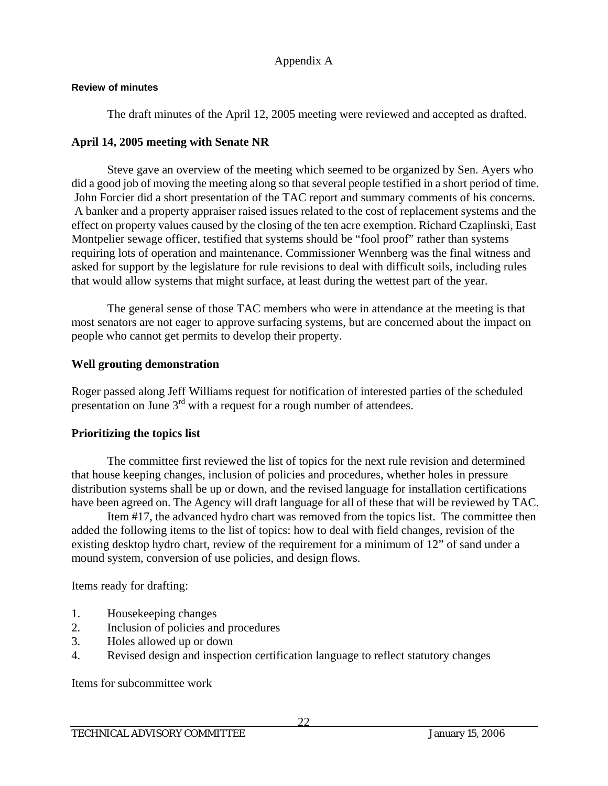### **Review of minutes**

The draft minutes of the April 12, 2005 meeting were reviewed and accepted as drafted.

# **April 14, 2005 meeting with Senate NR**

Steve gave an overview of the meeting which seemed to be organized by Sen. Ayers who did a good job of moving the meeting along so that several people testified in a short period of time. John Forcier did a short presentation of the TAC report and summary comments of his concerns. A banker and a property appraiser raised issues related to the cost of replacement systems and the effect on property values caused by the closing of the ten acre exemption. Richard Czaplinski, East Montpelier sewage officer, testified that systems should be "fool proof" rather than systems requiring lots of operation and maintenance. Commissioner Wennberg was the final witness and asked for support by the legislature for rule revisions to deal with difficult soils, including rules that would allow systems that might surface, at least during the wettest part of the year.

The general sense of those TAC members who were in attendance at the meeting is that most senators are not eager to approve surfacing systems, but are concerned about the impact on people who cannot get permits to develop their property.

## **Well grouting demonstration**

Roger passed along Jeff Williams request for notification of interested parties of the scheduled presentation on June  $3<sup>rd</sup>$  with a request for a rough number of attendees.

# **Prioritizing the topics list**

The committee first reviewed the list of topics for the next rule revision and determined that house keeping changes, inclusion of policies and procedures, whether holes in pressure distribution systems shall be up or down, and the revised language for installation certifications have been agreed on. The Agency will draft language for all of these that will be reviewed by TAC.

 Item #17, the advanced hydro chart was removed from the topics list. The committee then added the following items to the list of topics: how to deal with field changes, revision of the existing desktop hydro chart, review of the requirement for a minimum of 12" of sand under a mound system, conversion of use policies, and design flows.

Items ready for drafting:

- 1. Housekeeping changes
- 2. Inclusion of policies and procedures
- 3. Holes allowed up or down
- 4. Revised design and inspection certification language to reflect statutory changes

Items for subcommittee work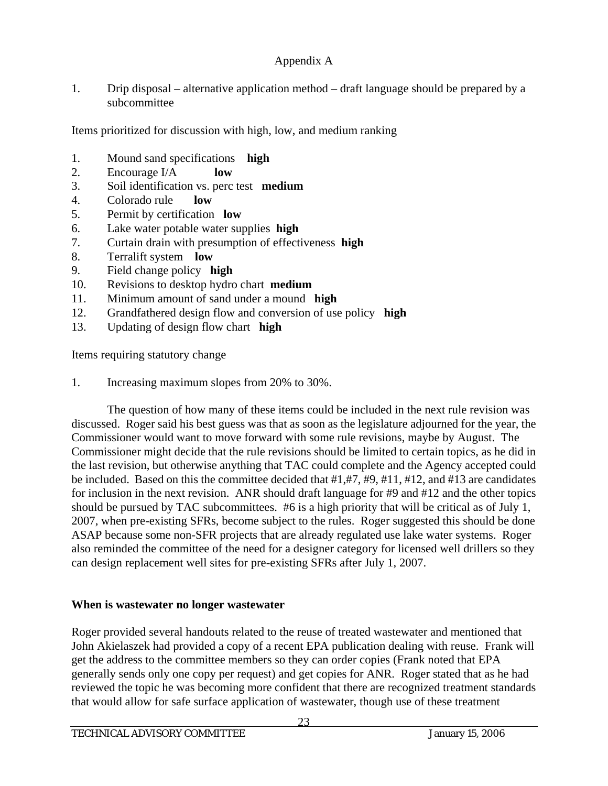1. Drip disposal – alternative application method – draft language should be prepared by a subcommittee

Items prioritized for discussion with high, low, and medium ranking

- 1. Mound sand specifications **high**
- 2. Encourage I/A **low**
- 3. Soil identification vs. perc test **medium**
- 4. Colorado rule **low**
- 5. Permit by certification **low**
- 6. Lake water potable water supplies **high**
- 7. Curtain drain with presumption of effectiveness **high**
- 8. Terralift system **low**
- 9. Field change policy **high**
- 10. Revisions to desktop hydro chart **medium**
- 11. Minimum amount of sand under a mound **high**
- 12. Grandfathered design flow and conversion of use policy **high**
- 13. Updating of design flow chart **high**

Items requiring statutory change

1. Increasing maximum slopes from 20% to 30%.

The question of how many of these items could be included in the next rule revision was discussed. Roger said his best guess was that as soon as the legislature adjourned for the year, the Commissioner would want to move forward with some rule revisions, maybe by August. The Commissioner might decide that the rule revisions should be limited to certain topics, as he did in the last revision, but otherwise anything that TAC could complete and the Agency accepted could be included. Based on this the committee decided that #1,#7, #9, #11, #12, and #13 are candidates for inclusion in the next revision. ANR should draft language for #9 and #12 and the other topics should be pursued by TAC subcommittees. #6 is a high priority that will be critical as of July 1, 2007, when pre-existing SFRs, become subject to the rules. Roger suggested this should be done ASAP because some non-SFR projects that are already regulated use lake water systems. Roger also reminded the committee of the need for a designer category for licensed well drillers so they can design replacement well sites for pre-existing SFRs after July 1, 2007.

# **When is wastewater no longer wastewater**

Roger provided several handouts related to the reuse of treated wastewater and mentioned that John Akielaszek had provided a copy of a recent EPA publication dealing with reuse. Frank will get the address to the committee members so they can order copies (Frank noted that EPA generally sends only one copy per request) and get copies for ANR. Roger stated that as he had reviewed the topic he was becoming more confident that there are recognized treatment standards that would allow for safe surface application of wastewater, though use of these treatment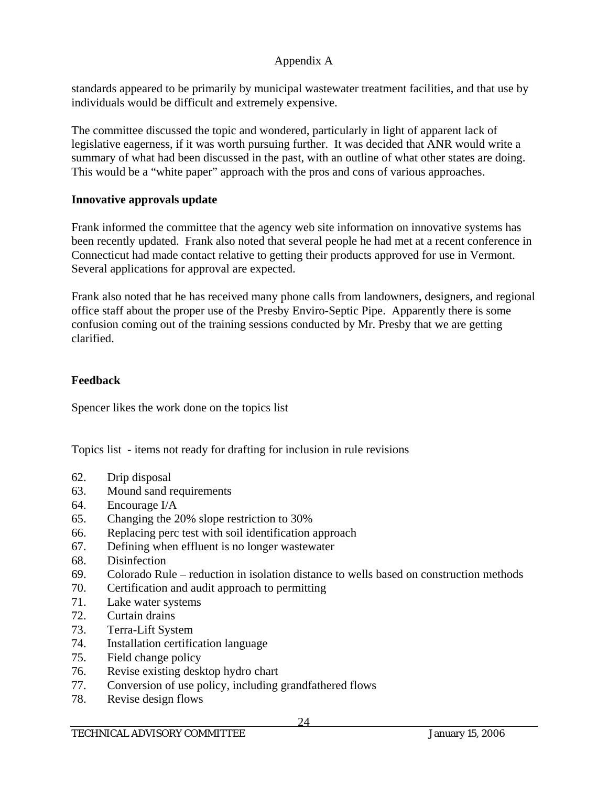standards appeared to be primarily by municipal wastewater treatment facilities, and that use by individuals would be difficult and extremely expensive.

The committee discussed the topic and wondered, particularly in light of apparent lack of legislative eagerness, if it was worth pursuing further. It was decided that ANR would write a summary of what had been discussed in the past, with an outline of what other states are doing. This would be a "white paper" approach with the pros and cons of various approaches.

# **Innovative approvals update**

Frank informed the committee that the agency web site information on innovative systems has been recently updated. Frank also noted that several people he had met at a recent conference in Connecticut had made contact relative to getting their products approved for use in Vermont. Several applications for approval are expected.

Frank also noted that he has received many phone calls from landowners, designers, and regional office staff about the proper use of the Presby Enviro-Septic Pipe. Apparently there is some confusion coming out of the training sessions conducted by Mr. Presby that we are getting clarified.

# **Feedback**

Spencer likes the work done on the topics list

Topics list - items not ready for drafting for inclusion in rule revisions

- 62. Drip disposal
- 63. Mound sand requirements
- 64. Encourage I/A
- 65. Changing the 20% slope restriction to 30%
- 66. Replacing perc test with soil identification approach
- 67. Defining when effluent is no longer wastewater
- 68. Disinfection
- 69. Colorado Rule reduction in isolation distance to wells based on construction methods
- 70. Certification and audit approach to permitting
- 71. Lake water systems
- 72. Curtain drains
- 73. Terra-Lift System
- 74. Installation certification language
- 75. Field change policy
- 76. Revise existing desktop hydro chart
- 77. Conversion of use policy, including grandfathered flows
- 78. Revise design flows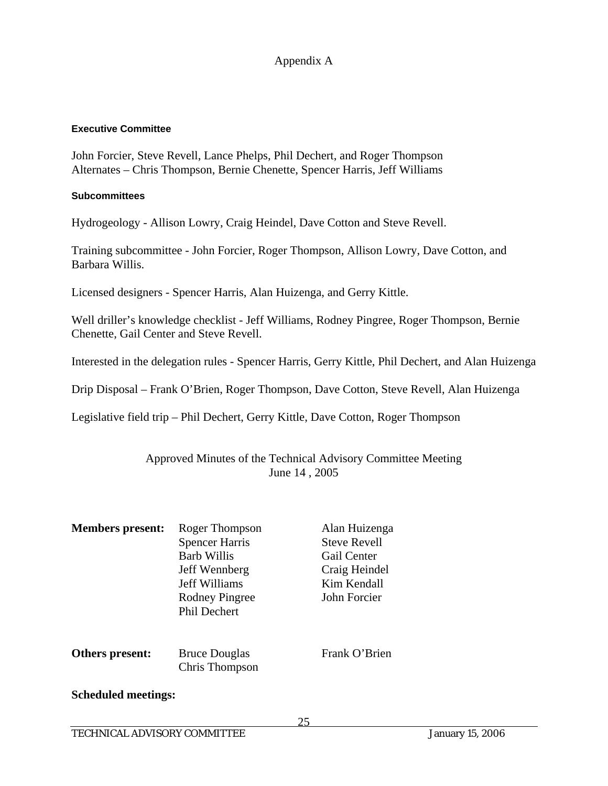#### **Executive Committee**

John Forcier, Steve Revell, Lance Phelps, Phil Dechert, and Roger Thompson Alternates – Chris Thompson, Bernie Chenette, Spencer Harris, Jeff Williams

#### **Subcommittees**

Hydrogeology - Allison Lowry, Craig Heindel, Dave Cotton and Steve Revell.

Training subcommittee - John Forcier, Roger Thompson, Allison Lowry, Dave Cotton, and Barbara Willis.

Licensed designers - Spencer Harris, Alan Huizenga, and Gerry Kittle.

Well driller's knowledge checklist - Jeff Williams, Rodney Pingree, Roger Thompson, Bernie Chenette, Gail Center and Steve Revell.

Interested in the delegation rules - Spencer Harris, Gerry Kittle, Phil Dechert, and Alan Huizenga

Drip Disposal – Frank O'Brien, Roger Thompson, Dave Cotton, Steve Revell, Alan Huizenga

Legislative field trip – Phil Dechert, Gerry Kittle, Dave Cotton, Roger Thompson

## Approved Minutes of the Technical Advisory Committee Meeting June 14 , 2005

| <b>Members present:</b>    | Roger Thompson<br><b>Spencer Harris</b><br><b>Barb Willis</b><br>Jeff Wennberg<br><b>Jeff Williams</b><br>Rodney Pingree<br><b>Phil Dechert</b> | Alan Huizenga<br><b>Steve Revell</b><br>Gail Center<br>Craig Heindel<br>Kim Kendall<br>John Forcier |
|----------------------------|-------------------------------------------------------------------------------------------------------------------------------------------------|-----------------------------------------------------------------------------------------------------|
| Others present:            | <b>Bruce Douglas</b><br>Chris Thompson                                                                                                          | Frank O'Brien                                                                                       |
| <b>Scheduled meetings:</b> |                                                                                                                                                 |                                                                                                     |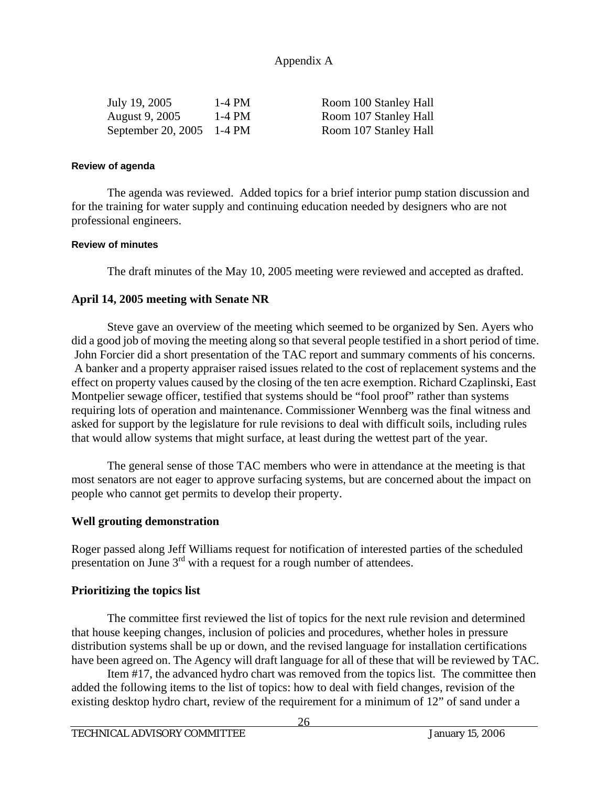| July 19, 2005             | 1-4 PM | Room 100 Stanley Hall |
|---------------------------|--------|-----------------------|
| August 9, 2005            | 1-4 PM | Room 107 Stanley Hall |
| September 20, 2005 1-4 PM |        | Room 107 Stanley Hall |

### **Review of agenda**

The agenda was reviewed. Added topics for a brief interior pump station discussion and for the training for water supply and continuing education needed by designers who are not professional engineers.

### **Review of minutes**

The draft minutes of the May 10, 2005 meeting were reviewed and accepted as drafted.

### **April 14, 2005 meeting with Senate NR**

Steve gave an overview of the meeting which seemed to be organized by Sen. Ayers who did a good job of moving the meeting along so that several people testified in a short period of time. John Forcier did a short presentation of the TAC report and summary comments of his concerns. A banker and a property appraiser raised issues related to the cost of replacement systems and the effect on property values caused by the closing of the ten acre exemption. Richard Czaplinski, East Montpelier sewage officer, testified that systems should be "fool proof" rather than systems requiring lots of operation and maintenance. Commissioner Wennberg was the final witness and asked for support by the legislature for rule revisions to deal with difficult soils, including rules that would allow systems that might surface, at least during the wettest part of the year.

The general sense of those TAC members who were in attendance at the meeting is that most senators are not eager to approve surfacing systems, but are concerned about the impact on people who cannot get permits to develop their property.

## **Well grouting demonstration**

Roger passed along Jeff Williams request for notification of interested parties of the scheduled presentation on June  $3<sup>rd</sup>$  with a request for a rough number of attendees.

### **Prioritizing the topics list**

The committee first reviewed the list of topics for the next rule revision and determined that house keeping changes, inclusion of policies and procedures, whether holes in pressure distribution systems shall be up or down, and the revised language for installation certifications have been agreed on. The Agency will draft language for all of these that will be reviewed by TAC.

 Item #17, the advanced hydro chart was removed from the topics list. The committee then added the following items to the list of topics: how to deal with field changes, revision of the existing desktop hydro chart, review of the requirement for a minimum of 12" of sand under a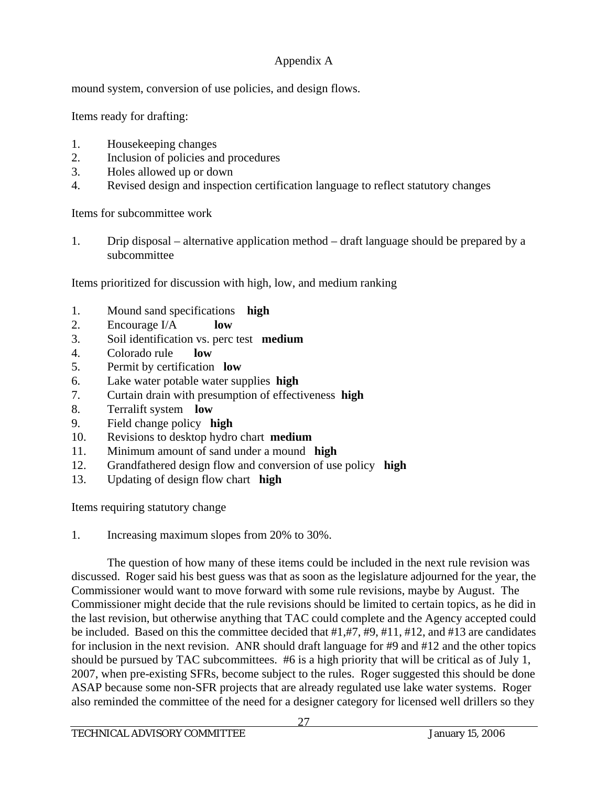mound system, conversion of use policies, and design flows.

Items ready for drafting:

- 1. Housekeeping changes
- 2. Inclusion of policies and procedures
- 3. Holes allowed up or down
- 4. Revised design and inspection certification language to reflect statutory changes

Items for subcommittee work

1. Drip disposal – alternative application method – draft language should be prepared by a subcommittee

Items prioritized for discussion with high, low, and medium ranking

- 1. Mound sand specifications **high**
- 2. Encourage I/A **low**
- 3. Soil identification vs. perc test **medium**
- 4. Colorado rule **low**
- 5. Permit by certification **low**
- 6. Lake water potable water supplies **high**
- 7. Curtain drain with presumption of effectiveness **high**
- 8. Terralift system **low**
- 9. Field change policy **high**
- 10. Revisions to desktop hydro chart **medium**
- 11. Minimum amount of sand under a mound **high**
- 12. Grandfathered design flow and conversion of use policy **high**
- 13. Updating of design flow chart **high**

Items requiring statutory change

1. Increasing maximum slopes from 20% to 30%.

The question of how many of these items could be included in the next rule revision was discussed. Roger said his best guess was that as soon as the legislature adjourned for the year, the Commissioner would want to move forward with some rule revisions, maybe by August. The Commissioner might decide that the rule revisions should be limited to certain topics, as he did in the last revision, but otherwise anything that TAC could complete and the Agency accepted could be included. Based on this the committee decided that #1,#7, #9, #11, #12, and #13 are candidates for inclusion in the next revision. ANR should draft language for #9 and #12 and the other topics should be pursued by TAC subcommittees. #6 is a high priority that will be critical as of July 1, 2007, when pre-existing SFRs, become subject to the rules. Roger suggested this should be done ASAP because some non-SFR projects that are already regulated use lake water systems. Roger also reminded the committee of the need for a designer category for licensed well drillers so they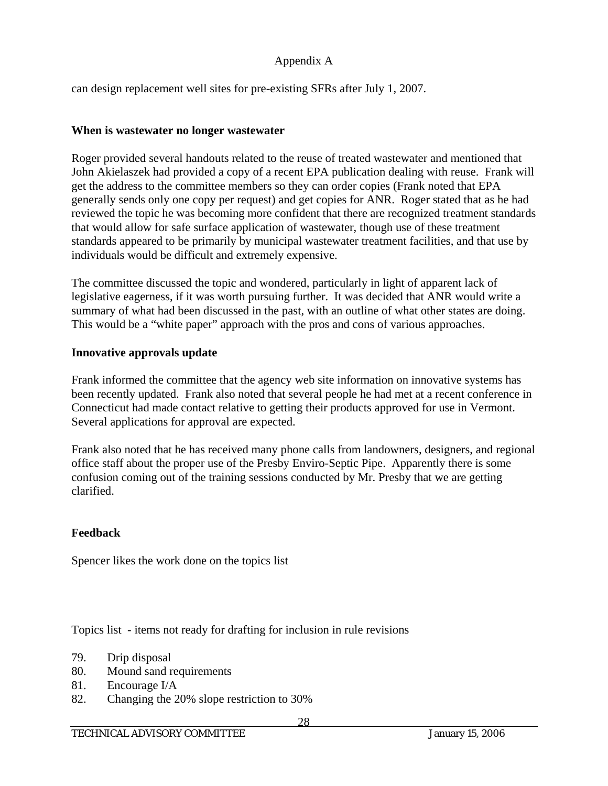can design replacement well sites for pre-existing SFRs after July 1, 2007.

## **When is wastewater no longer wastewater**

Roger provided several handouts related to the reuse of treated wastewater and mentioned that John Akielaszek had provided a copy of a recent EPA publication dealing with reuse. Frank will get the address to the committee members so they can order copies (Frank noted that EPA generally sends only one copy per request) and get copies for ANR. Roger stated that as he had reviewed the topic he was becoming more confident that there are recognized treatment standards that would allow for safe surface application of wastewater, though use of these treatment standards appeared to be primarily by municipal wastewater treatment facilities, and that use by individuals would be difficult and extremely expensive.

The committee discussed the topic and wondered, particularly in light of apparent lack of legislative eagerness, if it was worth pursuing further. It was decided that ANR would write a summary of what had been discussed in the past, with an outline of what other states are doing. This would be a "white paper" approach with the pros and cons of various approaches.

# **Innovative approvals update**

Frank informed the committee that the agency web site information on innovative systems has been recently updated. Frank also noted that several people he had met at a recent conference in Connecticut had made contact relative to getting their products approved for use in Vermont. Several applications for approval are expected.

Frank also noted that he has received many phone calls from landowners, designers, and regional office staff about the proper use of the Presby Enviro-Septic Pipe. Apparently there is some confusion coming out of the training sessions conducted by Mr. Presby that we are getting clarified.

# **Feedback**

Spencer likes the work done on the topics list

Topics list - items not ready for drafting for inclusion in rule revisions

- 79. Drip disposal
- 80. Mound sand requirements
- 81. Encourage I/A
- 82. Changing the 20% slope restriction to 30%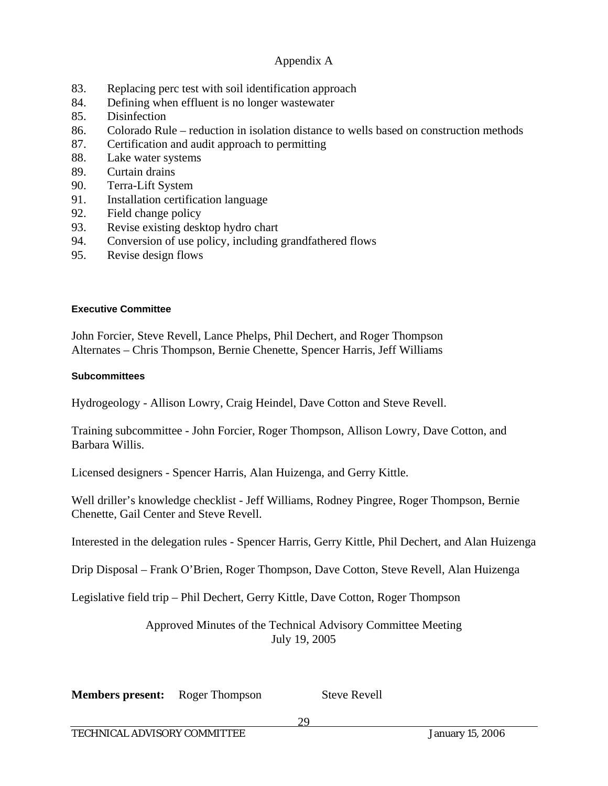- 83. Replacing perc test with soil identification approach
- 84. Defining when effluent is no longer wastewater
- 85. Disinfection
- 86. Colorado Rule reduction in isolation distance to wells based on construction methods
- 87. Certification and audit approach to permitting
- 88. Lake water systems
- 89. Curtain drains
- 90. Terra-Lift System
- 91. Installation certification language
- 92. Field change policy
- 93. Revise existing desktop hydro chart
- 94. Conversion of use policy, including grandfathered flows
- 95. Revise design flows

### **Executive Committee**

John Forcier, Steve Revell, Lance Phelps, Phil Dechert, and Roger Thompson Alternates – Chris Thompson, Bernie Chenette, Spencer Harris, Jeff Williams

### **Subcommittees**

Hydrogeology - Allison Lowry, Craig Heindel, Dave Cotton and Steve Revell.

Training subcommittee - John Forcier, Roger Thompson, Allison Lowry, Dave Cotton, and Barbara Willis.

Licensed designers - Spencer Harris, Alan Huizenga, and Gerry Kittle.

Well driller's knowledge checklist - Jeff Williams, Rodney Pingree, Roger Thompson, Bernie Chenette, Gail Center and Steve Revell.

Interested in the delegation rules - Spencer Harris, Gerry Kittle, Phil Dechert, and Alan Huizenga

Drip Disposal – Frank O'Brien, Roger Thompson, Dave Cotton, Steve Revell, Alan Huizenga

Legislative field trip – Phil Dechert, Gerry Kittle, Dave Cotton, Roger Thompson

Approved Minutes of the Technical Advisory Committee Meeting July 19, 2005

**Members present:** Roger Thompson Steve Revell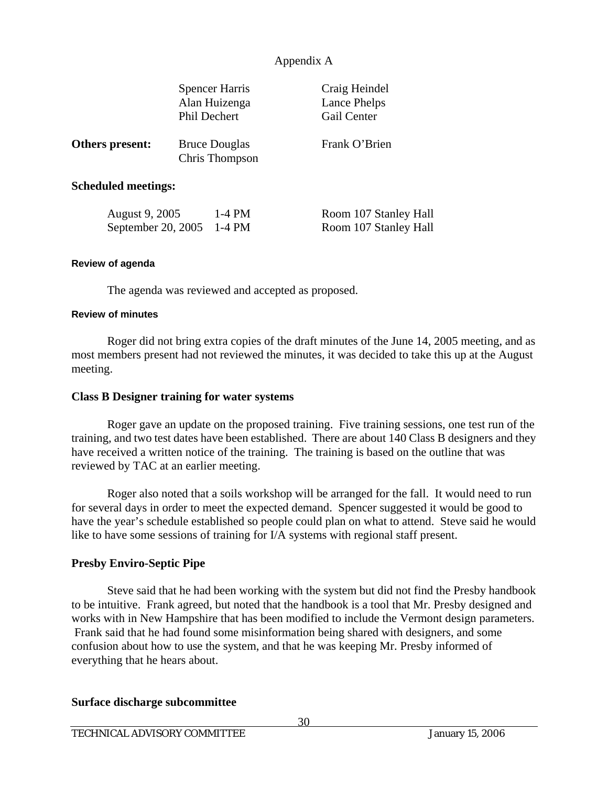|                            | <b>Spencer Harris</b><br>Alan Huizenga<br><b>Phil Dechert</b> | Craig Heindel<br>Lance Phelps<br>Gail Center |  |  |
|----------------------------|---------------------------------------------------------------|----------------------------------------------|--|--|
| Others present:            | <b>Bruce Douglas</b><br>Chris Thompson                        | Frank O'Brien                                |  |  |
| <b>Scheduled meetings:</b> |                                                               |                                              |  |  |

| August 9, 2005            | 1-4 PM | Room 107 Stanley Hall |
|---------------------------|--------|-----------------------|
| September 20, 2005 1-4 PM |        | Room 107 Stanley Hall |

#### **Review of agenda**

The agenda was reviewed and accepted as proposed.

#### **Review of minutes**

Roger did not bring extra copies of the draft minutes of the June 14, 2005 meeting, and as most members present had not reviewed the minutes, it was decided to take this up at the August meeting.

### **Class B Designer training for water systems**

 Roger gave an update on the proposed training. Five training sessions, one test run of the training, and two test dates have been established. There are about 140 Class B designers and they have received a written notice of the training. The training is based on the outline that was reviewed by TAC at an earlier meeting.

 Roger also noted that a soils workshop will be arranged for the fall. It would need to run for several days in order to meet the expected demand. Spencer suggested it would be good to have the year's schedule established so people could plan on what to attend. Steve said he would like to have some sessions of training for I/A systems with regional staff present.

### **Presby Enviro-Septic Pipe**

 Steve said that he had been working with the system but did not find the Presby handbook to be intuitive. Frank agreed, but noted that the handbook is a tool that Mr. Presby designed and works with in New Hampshire that has been modified to include the Vermont design parameters. Frank said that he had found some misinformation being shared with designers, and some confusion about how to use the system, and that he was keeping Mr. Presby informed of everything that he hears about.

### **Surface discharge subcommittee**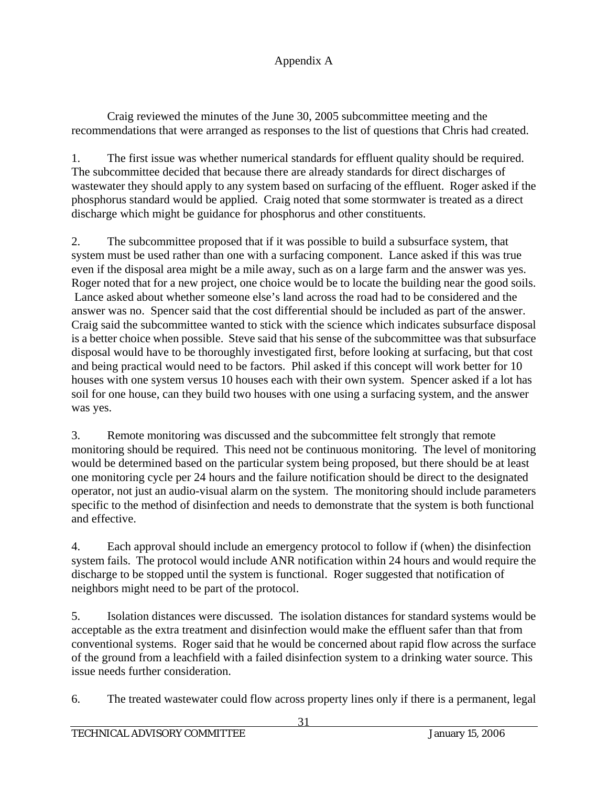Craig reviewed the minutes of the June 30, 2005 subcommittee meeting and the recommendations that were arranged as responses to the list of questions that Chris had created.

1. The first issue was whether numerical standards for effluent quality should be required. The subcommittee decided that because there are already standards for direct discharges of wastewater they should apply to any system based on surfacing of the effluent. Roger asked if the phosphorus standard would be applied. Craig noted that some stormwater is treated as a direct discharge which might be guidance for phosphorus and other constituents.

2. The subcommittee proposed that if it was possible to build a subsurface system, that system must be used rather than one with a surfacing component. Lance asked if this was true even if the disposal area might be a mile away, such as on a large farm and the answer was yes. Roger noted that for a new project, one choice would be to locate the building near the good soils. Lance asked about whether someone else's land across the road had to be considered and the answer was no. Spencer said that the cost differential should be included as part of the answer. Craig said the subcommittee wanted to stick with the science which indicates subsurface disposal is a better choice when possible. Steve said that his sense of the subcommittee was that subsurface disposal would have to be thoroughly investigated first, before looking at surfacing, but that cost and being practical would need to be factors. Phil asked if this concept will work better for 10 houses with one system versus 10 houses each with their own system. Spencer asked if a lot has soil for one house, can they build two houses with one using a surfacing system, and the answer was yes.

3. Remote monitoring was discussed and the subcommittee felt strongly that remote monitoring should be required. This need not be continuous monitoring. The level of monitoring would be determined based on the particular system being proposed, but there should be at least one monitoring cycle per 24 hours and the failure notification should be direct to the designated operator, not just an audio-visual alarm on the system. The monitoring should include parameters specific to the method of disinfection and needs to demonstrate that the system is both functional and effective.

4. Each approval should include an emergency protocol to follow if (when) the disinfection system fails. The protocol would include ANR notification within 24 hours and would require the discharge to be stopped until the system is functional. Roger suggested that notification of neighbors might need to be part of the protocol.

5. Isolation distances were discussed. The isolation distances for standard systems would be acceptable as the extra treatment and disinfection would make the effluent safer than that from conventional systems. Roger said that he would be concerned about rapid flow across the surface of the ground from a leachfield with a failed disinfection system to a drinking water source. This issue needs further consideration.

6. The treated wastewater could flow across property lines only if there is a permanent, legal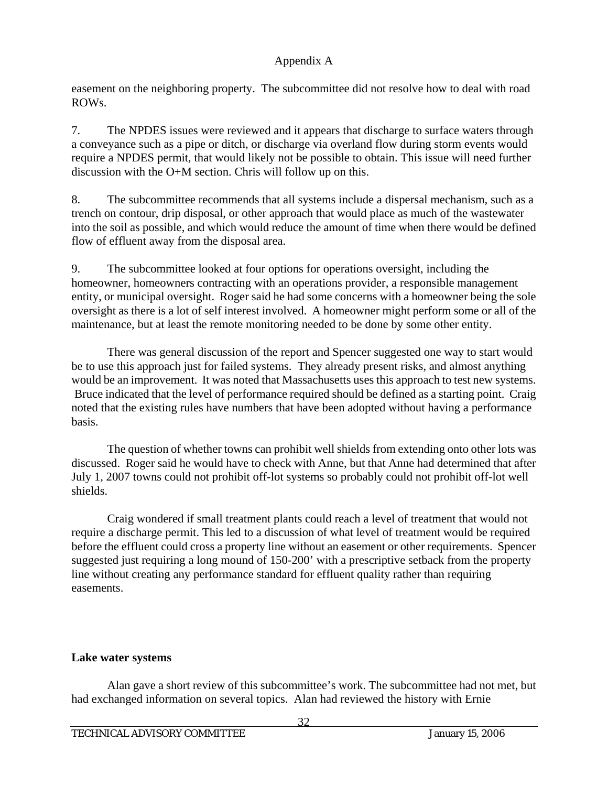easement on the neighboring property. The subcommittee did not resolve how to deal with road ROWs.

7. The NPDES issues were reviewed and it appears that discharge to surface waters through a conveyance such as a pipe or ditch, or discharge via overland flow during storm events would require a NPDES permit, that would likely not be possible to obtain. This issue will need further discussion with the O+M section. Chris will follow up on this.

8. The subcommittee recommends that all systems include a dispersal mechanism, such as a trench on contour, drip disposal, or other approach that would place as much of the wastewater into the soil as possible, and which would reduce the amount of time when there would be defined flow of effluent away from the disposal area.

9. The subcommittee looked at four options for operations oversight, including the homeowner, homeowners contracting with an operations provider, a responsible management entity, or municipal oversight. Roger said he had some concerns with a homeowner being the sole oversight as there is a lot of self interest involved. A homeowner might perform some or all of the maintenance, but at least the remote monitoring needed to be done by some other entity.

 There was general discussion of the report and Spencer suggested one way to start would be to use this approach just for failed systems. They already present risks, and almost anything would be an improvement. It was noted that Massachusetts uses this approach to test new systems. Bruce indicated that the level of performance required should be defined as a starting point. Craig noted that the existing rules have numbers that have been adopted without having a performance basis.

 The question of whether towns can prohibit well shields from extending onto other lots was discussed. Roger said he would have to check with Anne, but that Anne had determined that after July 1, 2007 towns could not prohibit off-lot systems so probably could not prohibit off-lot well shields.

 Craig wondered if small treatment plants could reach a level of treatment that would not require a discharge permit. This led to a discussion of what level of treatment would be required before the effluent could cross a property line without an easement or other requirements. Spencer suggested just requiring a long mound of 150-200' with a prescriptive setback from the property line without creating any performance standard for effluent quality rather than requiring easements.

# **Lake water systems**

 Alan gave a short review of this subcommittee's work. The subcommittee had not met, but had exchanged information on several topics. Alan had reviewed the history with Ernie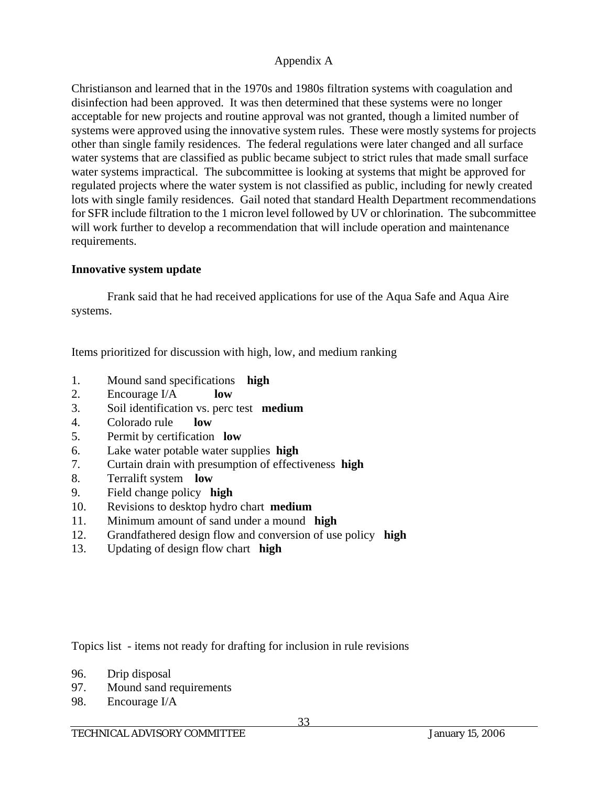Christianson and learned that in the 1970s and 1980s filtration systems with coagulation and disinfection had been approved. It was then determined that these systems were no longer acceptable for new projects and routine approval was not granted, though a limited number of systems were approved using the innovative system rules. These were mostly systems for projects other than single family residences. The federal regulations were later changed and all surface water systems that are classified as public became subject to strict rules that made small surface water systems impractical. The subcommittee is looking at systems that might be approved for regulated projects where the water system is not classified as public, including for newly created lots with single family residences. Gail noted that standard Health Department recommendations for SFR include filtration to the 1 micron level followed by UV or chlorination. The subcommittee will work further to develop a recommendation that will include operation and maintenance requirements.

## **Innovative system update**

 Frank said that he had received applications for use of the Aqua Safe and Aqua Aire systems.

Items prioritized for discussion with high, low, and medium ranking

- 1. Mound sand specifications **high**
- 2. Encourage I/A **low**
- 3. Soil identification vs. perc test **medium**
- 4. Colorado rule **low**
- 5. Permit by certification **low**
- 6. Lake water potable water supplies **high**
- 7. Curtain drain with presumption of effectiveness **high**
- 8. Terralift system **low**
- 9. Field change policy **high**
- 10. Revisions to desktop hydro chart **medium**
- 11. Minimum amount of sand under a mound **high**
- 12. Grandfathered design flow and conversion of use policy **high**
- 13. Updating of design flow chart **high**

Topics list - items not ready for drafting for inclusion in rule revisions

- 96. Drip disposal
- 97. Mound sand requirements
- 98. Encourage I/A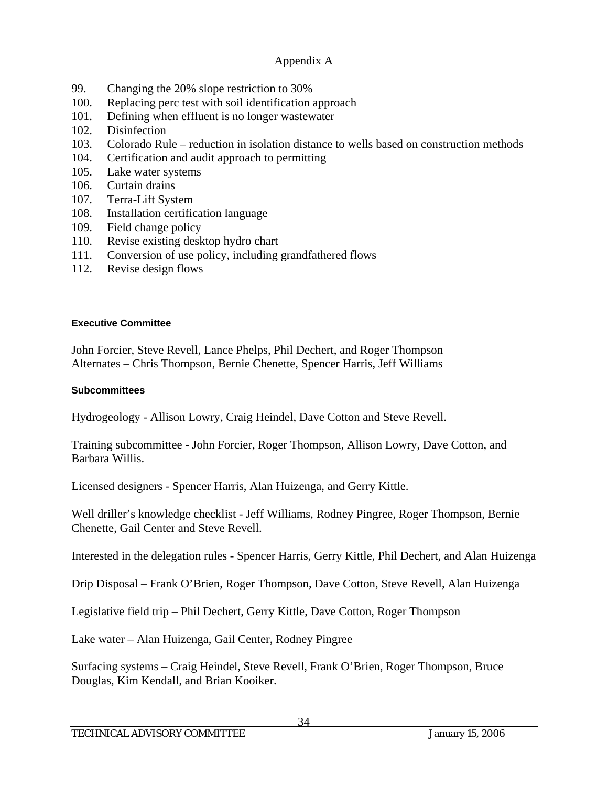- 99. Changing the 20% slope restriction to 30%
- 100. Replacing perc test with soil identification approach
- 101. Defining when effluent is no longer wastewater
- 102. Disinfection
- 103. Colorado Rule reduction in isolation distance to wells based on construction methods
- 104. Certification and audit approach to permitting
- 105. Lake water systems
- 106. Curtain drains
- 107. Terra-Lift System
- 108. Installation certification language
- 109. Field change policy
- 110. Revise existing desktop hydro chart
- 111. Conversion of use policy, including grandfathered flows
- 112. Revise design flows

### **Executive Committee**

John Forcier, Steve Revell, Lance Phelps, Phil Dechert, and Roger Thompson Alternates – Chris Thompson, Bernie Chenette, Spencer Harris, Jeff Williams

### **Subcommittees**

Hydrogeology - Allison Lowry, Craig Heindel, Dave Cotton and Steve Revell.

Training subcommittee - John Forcier, Roger Thompson, Allison Lowry, Dave Cotton, and Barbara Willis.

Licensed designers - Spencer Harris, Alan Huizenga, and Gerry Kittle.

Well driller's knowledge checklist - Jeff Williams, Rodney Pingree, Roger Thompson, Bernie Chenette, Gail Center and Steve Revell.

Interested in the delegation rules - Spencer Harris, Gerry Kittle, Phil Dechert, and Alan Huizenga

Drip Disposal – Frank O'Brien, Roger Thompson, Dave Cotton, Steve Revell, Alan Huizenga

Legislative field trip – Phil Dechert, Gerry Kittle, Dave Cotton, Roger Thompson

Lake water – Alan Huizenga, Gail Center, Rodney Pingree

Surfacing systems – Craig Heindel, Steve Revell, Frank O'Brien, Roger Thompson, Bruce Douglas, Kim Kendall, and Brian Kooiker.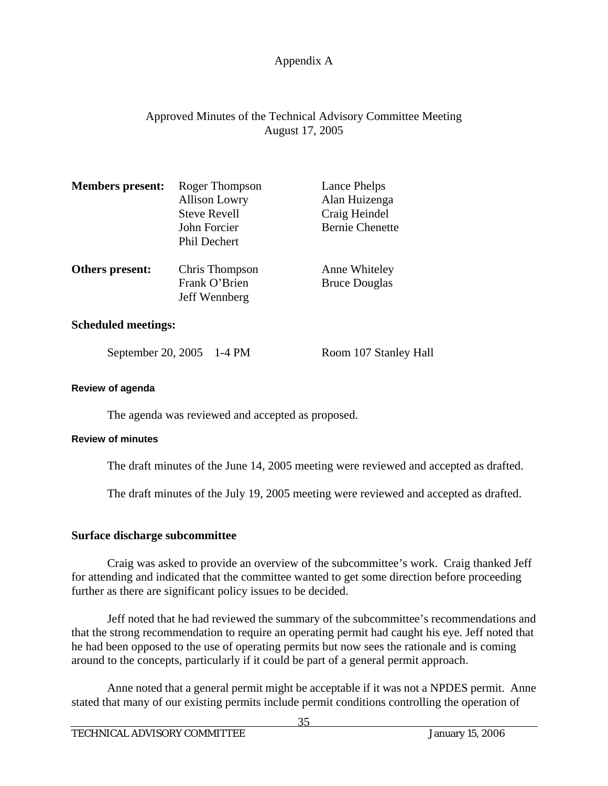# Approved Minutes of the Technical Advisory Committee Meeting August 17, 2005

| <b>Members present:</b> | Roger Thompson<br><b>Allison Lowry</b><br><b>Steve Revell</b><br>John Forcier<br>Phil Dechert | Lance Phelps<br>Alan Huizenga<br>Craig Heindel<br><b>Bernie Chenette</b> |
|-------------------------|-----------------------------------------------------------------------------------------------|--------------------------------------------------------------------------|
| Others present:         | Chris Thompson<br>Frank O'Brien<br>Jeff Wennberg                                              | Anne Whiteley<br><b>Bruce Douglas</b>                                    |

### **Scheduled meetings:**

September 20, 2005 1-4 PM Room 107 Stanley Hall

#### **Review of agenda**

The agenda was reviewed and accepted as proposed.

#### **Review of minutes**

The draft minutes of the June 14, 2005 meeting were reviewed and accepted as drafted.

The draft minutes of the July 19, 2005 meeting were reviewed and accepted as drafted.

### **Surface discharge subcommittee**

Craig was asked to provide an overview of the subcommittee's work. Craig thanked Jeff for attending and indicated that the committee wanted to get some direction before proceeding further as there are significant policy issues to be decided.

 Jeff noted that he had reviewed the summary of the subcommittee's recommendations and that the strong recommendation to require an operating permit had caught his eye. Jeff noted that he had been opposed to the use of operating permits but now sees the rationale and is coming around to the concepts, particularly if it could be part of a general permit approach.

 Anne noted that a general permit might be acceptable if it was not a NPDES permit. Anne stated that many of our existing permits include permit conditions controlling the operation of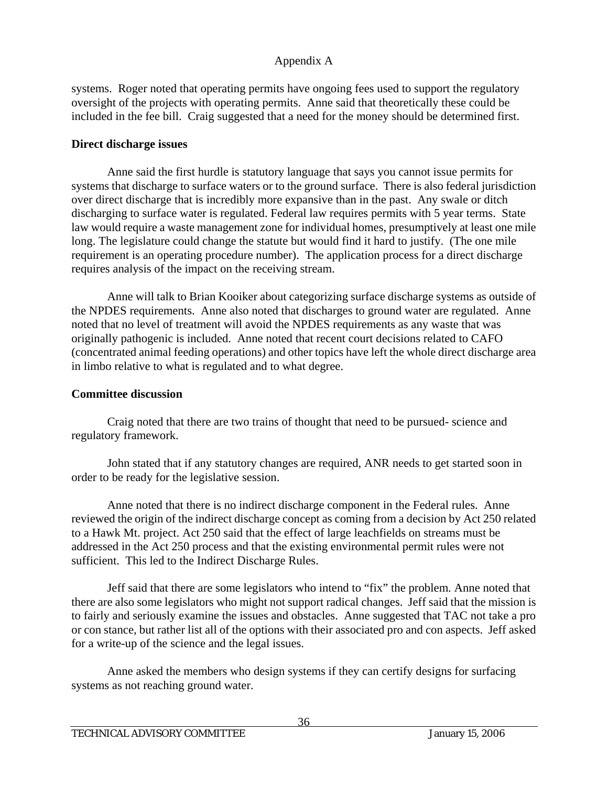systems. Roger noted that operating permits have ongoing fees used to support the regulatory oversight of the projects with operating permits. Anne said that theoretically these could be included in the fee bill. Craig suggested that a need for the money should be determined first.

# **Direct discharge issues**

 Anne said the first hurdle is statutory language that says you cannot issue permits for systems that discharge to surface waters or to the ground surface. There is also federal jurisdiction over direct discharge that is incredibly more expansive than in the past. Any swale or ditch discharging to surface water is regulated. Federal law requires permits with 5 year terms. State law would require a waste management zone for individual homes, presumptively at least one mile long. The legislature could change the statute but would find it hard to justify. (The one mile requirement is an operating procedure number). The application process for a direct discharge requires analysis of the impact on the receiving stream.

 Anne will talk to Brian Kooiker about categorizing surface discharge systems as outside of the NPDES requirements. Anne also noted that discharges to ground water are regulated. Anne noted that no level of treatment will avoid the NPDES requirements as any waste that was originally pathogenic is included. Anne noted that recent court decisions related to CAFO (concentrated animal feeding operations) and other topics have left the whole direct discharge area in limbo relative to what is regulated and to what degree.

# **Committee discussion**

 Craig noted that there are two trains of thought that need to be pursued- science and regulatory framework.

 John stated that if any statutory changes are required, ANR needs to get started soon in order to be ready for the legislative session.

 Anne noted that there is no indirect discharge component in the Federal rules. Anne reviewed the origin of the indirect discharge concept as coming from a decision by Act 250 related to a Hawk Mt. project. Act 250 said that the effect of large leachfields on streams must be addressed in the Act 250 process and that the existing environmental permit rules were not sufficient. This led to the Indirect Discharge Rules.

 Jeff said that there are some legislators who intend to "fix" the problem. Anne noted that there are also some legislators who might not support radical changes. Jeff said that the mission is to fairly and seriously examine the issues and obstacles. Anne suggested that TAC not take a pro or con stance, but rather list all of the options with their associated pro and con aspects. Jeff asked for a write-up of the science and the legal issues.

 Anne asked the members who design systems if they can certify designs for surfacing systems as not reaching ground water.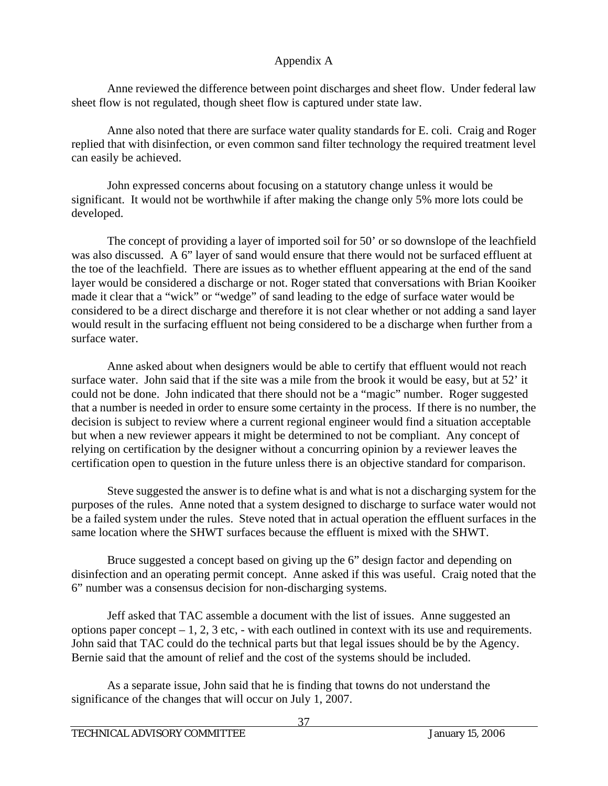Anne reviewed the difference between point discharges and sheet flow. Under federal law sheet flow is not regulated, though sheet flow is captured under state law.

 Anne also noted that there are surface water quality standards for E. coli. Craig and Roger replied that with disinfection, or even common sand filter technology the required treatment level can easily be achieved.

 John expressed concerns about focusing on a statutory change unless it would be significant. It would not be worthwhile if after making the change only 5% more lots could be developed.

 The concept of providing a layer of imported soil for 50' or so downslope of the leachfield was also discussed. A 6" layer of sand would ensure that there would not be surfaced effluent at the toe of the leachfield. There are issues as to whether effluent appearing at the end of the sand layer would be considered a discharge or not. Roger stated that conversations with Brian Kooiker made it clear that a "wick" or "wedge" of sand leading to the edge of surface water would be considered to be a direct discharge and therefore it is not clear whether or not adding a sand layer would result in the surfacing effluent not being considered to be a discharge when further from a surface water.

 Anne asked about when designers would be able to certify that effluent would not reach surface water. John said that if the site was a mile from the brook it would be easy, but at 52' it could not be done. John indicated that there should not be a "magic" number. Roger suggested that a number is needed in order to ensure some certainty in the process. If there is no number, the decision is subject to review where a current regional engineer would find a situation acceptable but when a new reviewer appears it might be determined to not be compliant. Any concept of relying on certification by the designer without a concurring opinion by a reviewer leaves the certification open to question in the future unless there is an objective standard for comparison.

 Steve suggested the answer is to define what is and what is not a discharging system for the purposes of the rules. Anne noted that a system designed to discharge to surface water would not be a failed system under the rules. Steve noted that in actual operation the effluent surfaces in the same location where the SHWT surfaces because the effluent is mixed with the SHWT.

 Bruce suggested a concept based on giving up the 6" design factor and depending on disinfection and an operating permit concept. Anne asked if this was useful. Craig noted that the 6" number was a consensus decision for non-discharging systems.

 Jeff asked that TAC assemble a document with the list of issues. Anne suggested an options paper concept  $-1$ , 2, 3 etc, - with each outlined in context with its use and requirements. John said that TAC could do the technical parts but that legal issues should be by the Agency. Bernie said that the amount of relief and the cost of the systems should be included.

 As a separate issue, John said that he is finding that towns do not understand the significance of the changes that will occur on July 1, 2007.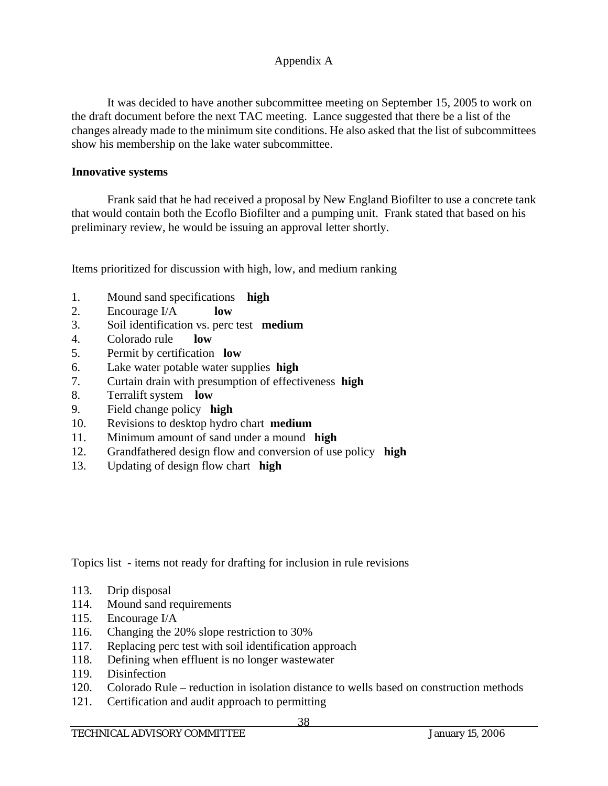It was decided to have another subcommittee meeting on September 15, 2005 to work on the draft document before the next TAC meeting. Lance suggested that there be a list of the changes already made to the minimum site conditions. He also asked that the list of subcommittees show his membership on the lake water subcommittee.

### **Innovative systems**

 Frank said that he had received a proposal by New England Biofilter to use a concrete tank that would contain both the Ecoflo Biofilter and a pumping unit. Frank stated that based on his preliminary review, he would be issuing an approval letter shortly.

Items prioritized for discussion with high, low, and medium ranking

- 1. Mound sand specifications **high**
- 2. Encourage I/A **low**
- 3. Soil identification vs. perc test **medium**
- 4. Colorado rule **low**
- 5. Permit by certification **low**
- 6. Lake water potable water supplies **high**
- 7. Curtain drain with presumption of effectiveness **high**
- 8. Terralift system **low**
- 9. Field change policy **high**
- 10. Revisions to desktop hydro chart **medium**
- 11. Minimum amount of sand under a mound **high**
- 12. Grandfathered design flow and conversion of use policy **high**
- 13. Updating of design flow chart **high**

Topics list - items not ready for drafting for inclusion in rule revisions

- 113. Drip disposal
- 114. Mound sand requirements
- 115. Encourage I/A
- 116. Changing the 20% slope restriction to 30%
- 117. Replacing perc test with soil identification approach
- 118. Defining when effluent is no longer wastewater
- 119. Disinfection
- 120. Colorado Rule reduction in isolation distance to wells based on construction methods
- 121. Certification and audit approach to permitting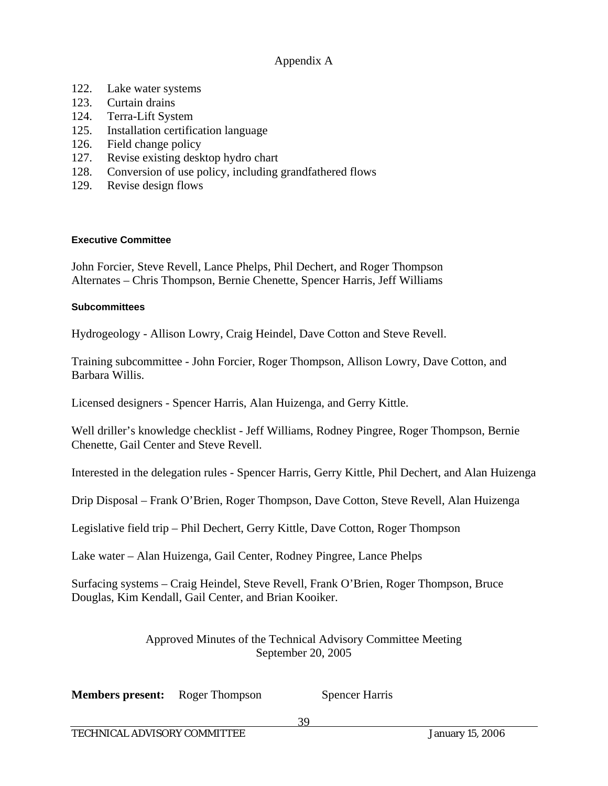- 122. Lake water systems
- 123. Curtain drains
- 124. Terra-Lift System
- 125. Installation certification language
- 126. Field change policy
- 127. Revise existing desktop hydro chart
- 128. Conversion of use policy, including grandfathered flows
- 129. Revise design flows

#### **Executive Committee**

John Forcier, Steve Revell, Lance Phelps, Phil Dechert, and Roger Thompson Alternates – Chris Thompson, Bernie Chenette, Spencer Harris, Jeff Williams

#### **Subcommittees**

Hydrogeology - Allison Lowry, Craig Heindel, Dave Cotton and Steve Revell.

Training subcommittee - John Forcier, Roger Thompson, Allison Lowry, Dave Cotton, and Barbara Willis.

Licensed designers - Spencer Harris, Alan Huizenga, and Gerry Kittle.

Well driller's knowledge checklist - Jeff Williams, Rodney Pingree, Roger Thompson, Bernie Chenette, Gail Center and Steve Revell.

Interested in the delegation rules - Spencer Harris, Gerry Kittle, Phil Dechert, and Alan Huizenga

Drip Disposal – Frank O'Brien, Roger Thompson, Dave Cotton, Steve Revell, Alan Huizenga

Legislative field trip – Phil Dechert, Gerry Kittle, Dave Cotton, Roger Thompson

Lake water – Alan Huizenga, Gail Center, Rodney Pingree, Lance Phelps

Surfacing systems – Craig Heindel, Steve Revell, Frank O'Brien, Roger Thompson, Bruce Douglas, Kim Kendall, Gail Center, and Brian Kooiker.

> Approved Minutes of the Technical Advisory Committee Meeting September 20, 2005

**Members present:** Roger Thompson Spencer Harris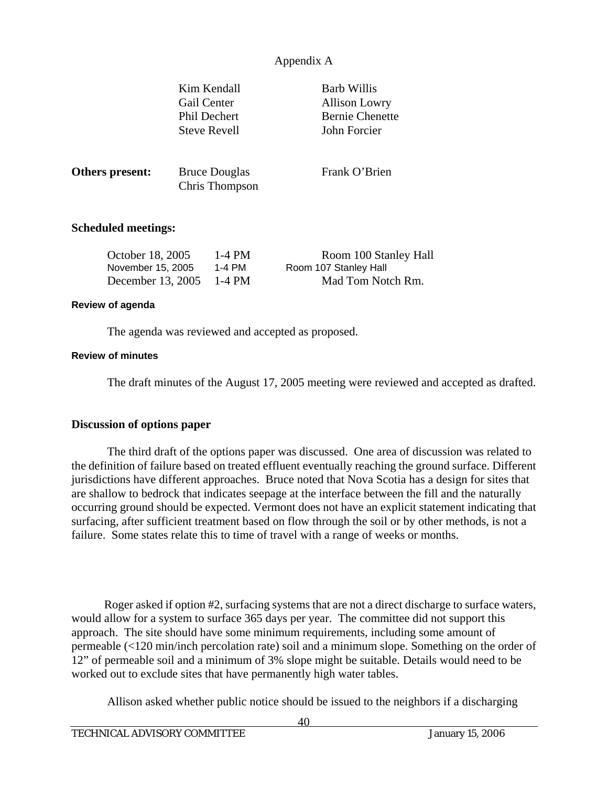|                                                            | Kim Kendall<br>Gail Center<br>Phil Dechert<br><b>Steve Revell</b> |                                        | <b>Barb Willis</b><br><b>Allison Lowry</b><br><b>Bernie Chenette</b><br>John Forcier |
|------------------------------------------------------------|-------------------------------------------------------------------|----------------------------------------|--------------------------------------------------------------------------------------|
| Others present:                                            |                                                                   | <b>Bruce Douglas</b><br>Chris Thompson | Frank O'Brien                                                                        |
| <b>Scheduled meetings:</b>                                 |                                                                   |                                        |                                                                                      |
| October 18, 2005<br>November 15, 2005<br>December 13, 2005 |                                                                   | $1-4$ PM<br>1-4 PM<br>1-4 PM           | Room 100 Stanley Hall<br>Room 107 Stanley Hall<br>Mad Tom Notch Rm.                  |

#### **Review of agenda**

The agenda was reviewed and accepted as proposed.

#### **Review of minutes**

The draft minutes of the August 17, 2005 meeting were reviewed and accepted as drafted.

#### **Discussion of options paper**

The third draft of the options paper was discussed. One area of discussion was related to the definition of failure based on treated effluent eventually reaching the ground surface. Different jurisdictions have different approaches. Bruce noted that Nova Scotia has a design for sites that are shallow to bedrock that indicates seepage at the interface between the fill and the naturally occurring ground should be expected. Vermont does not have an explicit statement indicating that surfacing, after sufficient treatment based on flow through the soil or by other methods, is not a failure. Some states relate this to time of travel with a range of weeks or months.

 Roger asked if option #2, surfacing systems that are not a direct discharge to surface waters, would allow for a system to surface 365 days per year. The committee did not support this approach. The site should have some minimum requirements, including some amount of permeable (<120 min/inch percolation rate) soil and a minimum slope. Something on the order of 12" of permeable soil and a minimum of 3% slope might be suitable. Details would need to be worked out to exclude sites that have permanently high water tables.

Allison asked whether public notice should be issued to the neighbors if a discharging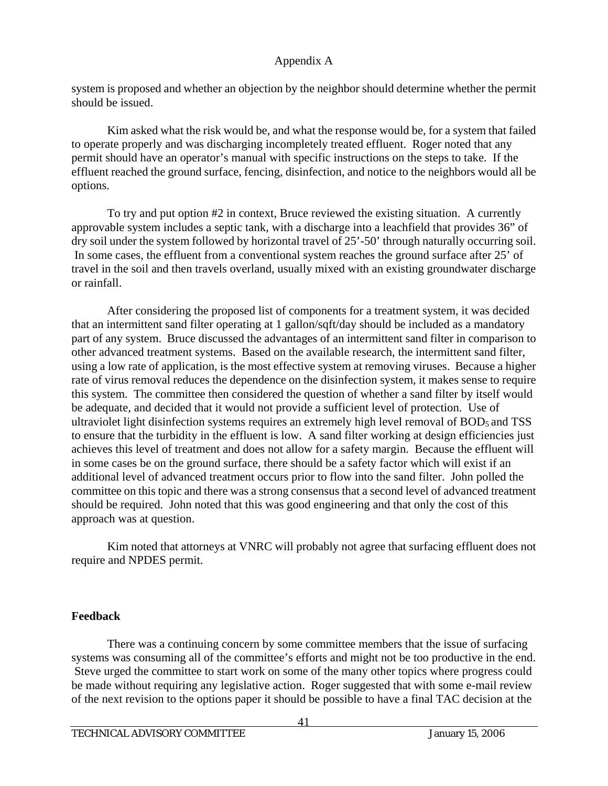system is proposed and whether an objection by the neighbor should determine whether the permit should be issued.

 Kim asked what the risk would be, and what the response would be, for a system that failed to operate properly and was discharging incompletely treated effluent. Roger noted that any permit should have an operator's manual with specific instructions on the steps to take. If the effluent reached the ground surface, fencing, disinfection, and notice to the neighbors would all be options.

 To try and put option #2 in context, Bruce reviewed the existing situation. A currently approvable system includes a septic tank, with a discharge into a leachfield that provides 36" of dry soil under the system followed by horizontal travel of 25'-50' through naturally occurring soil. In some cases, the effluent from a conventional system reaches the ground surface after 25' of travel in the soil and then travels overland, usually mixed with an existing groundwater discharge or rainfall.

 After considering the proposed list of components for a treatment system, it was decided that an intermittent sand filter operating at 1 gallon/sqft/day should be included as a mandatory part of any system. Bruce discussed the advantages of an intermittent sand filter in comparison to other advanced treatment systems. Based on the available research, the intermittent sand filter, using a low rate of application, is the most effective system at removing viruses. Because a higher rate of virus removal reduces the dependence on the disinfection system, it makes sense to require this system. The committee then considered the question of whether a sand filter by itself would be adequate, and decided that it would not provide a sufficient level of protection. Use of ultraviolet light disinfection systems requires an extremely high level removal of  $BOD<sub>5</sub>$  and TSS to ensure that the turbidity in the effluent is low. A sand filter working at design efficiencies just achieves this level of treatment and does not allow for a safety margin. Because the effluent will in some cases be on the ground surface, there should be a safety factor which will exist if an additional level of advanced treatment occurs prior to flow into the sand filter. John polled the committee on this topic and there was a strong consensus that a second level of advanced treatment should be required. John noted that this was good engineering and that only the cost of this approach was at question.

 Kim noted that attorneys at VNRC will probably not agree that surfacing effluent does not require and NPDES permit.

# **Feedback**

 There was a continuing concern by some committee members that the issue of surfacing systems was consuming all of the committee's efforts and might not be too productive in the end. Steve urged the committee to start work on some of the many other topics where progress could be made without requiring any legislative action. Roger suggested that with some e-mail review of the next revision to the options paper it should be possible to have a final TAC decision at the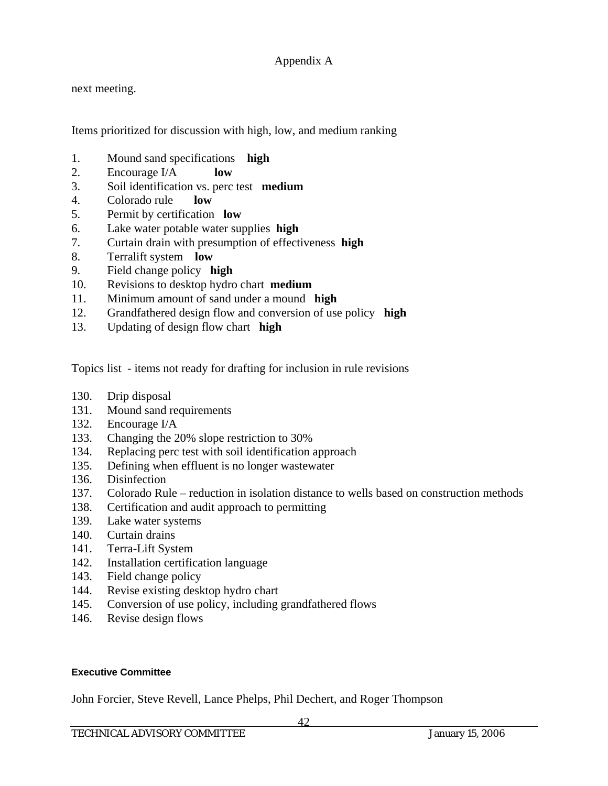next meeting.

Items prioritized for discussion with high, low, and medium ranking

- 1. Mound sand specifications **high**
- 2. Encourage I/A **low**
- 3. Soil identification vs. perc test **medium**
- 4. Colorado rule **low**
- 5. Permit by certification **low**
- 6. Lake water potable water supplies **high**
- 7. Curtain drain with presumption of effectiveness **high**
- 8. Terralift system **low**
- 9. Field change policy **high**
- 10. Revisions to desktop hydro chart **medium**
- 11. Minimum amount of sand under a mound **high**
- 12. Grandfathered design flow and conversion of use policy **high**
- 13. Updating of design flow chart **high**

Topics list - items not ready for drafting for inclusion in rule revisions

- 130. Drip disposal
- 131. Mound sand requirements
- 132. Encourage I/A
- 133. Changing the 20% slope restriction to 30%
- 134. Replacing perc test with soil identification approach
- 135. Defining when effluent is no longer wastewater
- 136. Disinfection
- 137. Colorado Rule reduction in isolation distance to wells based on construction methods
- 138. Certification and audit approach to permitting
- 139. Lake water systems
- 140. Curtain drains
- 141. Terra-Lift System
- 142. Installation certification language
- 143. Field change policy
- 144. Revise existing desktop hydro chart
- 145. Conversion of use policy, including grandfathered flows
- 146. Revise design flows

#### **Executive Committee**

John Forcier, Steve Revell, Lance Phelps, Phil Dechert, and Roger Thompson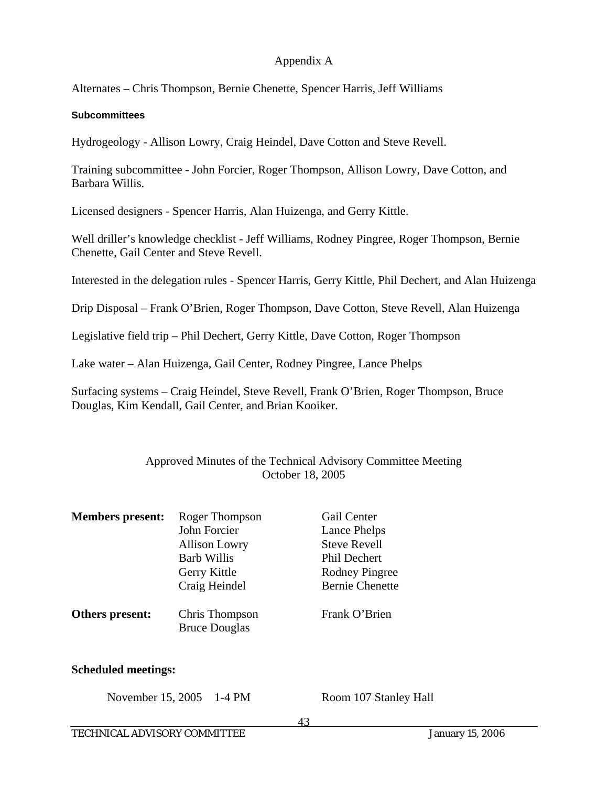Alternates – Chris Thompson, Bernie Chenette, Spencer Harris, Jeff Williams

### **Subcommittees**

Hydrogeology - Allison Lowry, Craig Heindel, Dave Cotton and Steve Revell.

Training subcommittee - John Forcier, Roger Thompson, Allison Lowry, Dave Cotton, and Barbara Willis.

Licensed designers - Spencer Harris, Alan Huizenga, and Gerry Kittle.

Well driller's knowledge checklist - Jeff Williams, Rodney Pingree, Roger Thompson, Bernie Chenette, Gail Center and Steve Revell.

Interested in the delegation rules - Spencer Harris, Gerry Kittle, Phil Dechert, and Alan Huizenga

Drip Disposal – Frank O'Brien, Roger Thompson, Dave Cotton, Steve Revell, Alan Huizenga

Legislative field trip – Phil Dechert, Gerry Kittle, Dave Cotton, Roger Thompson

Lake water – Alan Huizenga, Gail Center, Rodney Pingree, Lance Phelps

Surfacing systems – Craig Heindel, Steve Revell, Frank O'Brien, Roger Thompson, Bruce Douglas, Kim Kendall, Gail Center, and Brian Kooiker.

# Approved Minutes of the Technical Advisory Committee Meeting October 18, 2005

| <b>Members present:</b> | Roger Thompson<br>John Forcier<br><b>Allison Lowry</b><br><b>Barb Willis</b><br>Gerry Kittle<br>Craig Heindel | Gail Center<br>Lance Phelps<br><b>Steve Revell</b><br><b>Phil Dechert</b><br><b>Rodney Pingree</b><br><b>Bernie Chenette</b> |
|-------------------------|---------------------------------------------------------------------------------------------------------------|------------------------------------------------------------------------------------------------------------------------------|
| Others present:         | Chris Thompson<br><b>Bruce Douglas</b>                                                                        | Frank O'Brien                                                                                                                |

### **Scheduled meetings:**

November 15, 2005 1-4 PM Room 107 Stanley Hall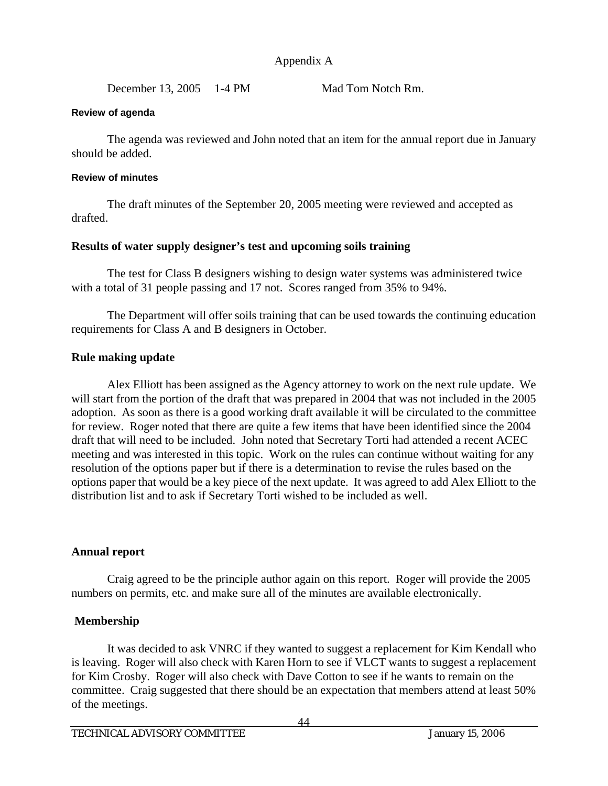December 13, 2005 1-4 PM Mad Tom Notch Rm.

### **Review of agenda**

The agenda was reviewed and John noted that an item for the annual report due in January should be added.

### **Review of minutes**

 The draft minutes of the September 20, 2005 meeting were reviewed and accepted as drafted.

# **Results of water supply designer's test and upcoming soils training**

 The test for Class B designers wishing to design water systems was administered twice with a total of 31 people passing and 17 not. Scores ranged from 35% to 94%.

 The Department will offer soils training that can be used towards the continuing education requirements for Class A and B designers in October.

# **Rule making update**

 Alex Elliott has been assigned as the Agency attorney to work on the next rule update. We will start from the portion of the draft that was prepared in 2004 that was not included in the 2005 adoption. As soon as there is a good working draft available it will be circulated to the committee for review. Roger noted that there are quite a few items that have been identified since the 2004 draft that will need to be included. John noted that Secretary Torti had attended a recent ACEC meeting and was interested in this topic. Work on the rules can continue without waiting for any resolution of the options paper but if there is a determination to revise the rules based on the options paper that would be a key piece of the next update. It was agreed to add Alex Elliott to the distribution list and to ask if Secretary Torti wished to be included as well.

### **Annual report**

 Craig agreed to be the principle author again on this report. Roger will provide the 2005 numbers on permits, etc. and make sure all of the minutes are available electronically.

# **Membership**

 It was decided to ask VNRC if they wanted to suggest a replacement for Kim Kendall who is leaving. Roger will also check with Karen Horn to see if VLCT wants to suggest a replacement for Kim Crosby. Roger will also check with Dave Cotton to see if he wants to remain on the committee. Craig suggested that there should be an expectation that members attend at least 50% of the meetings.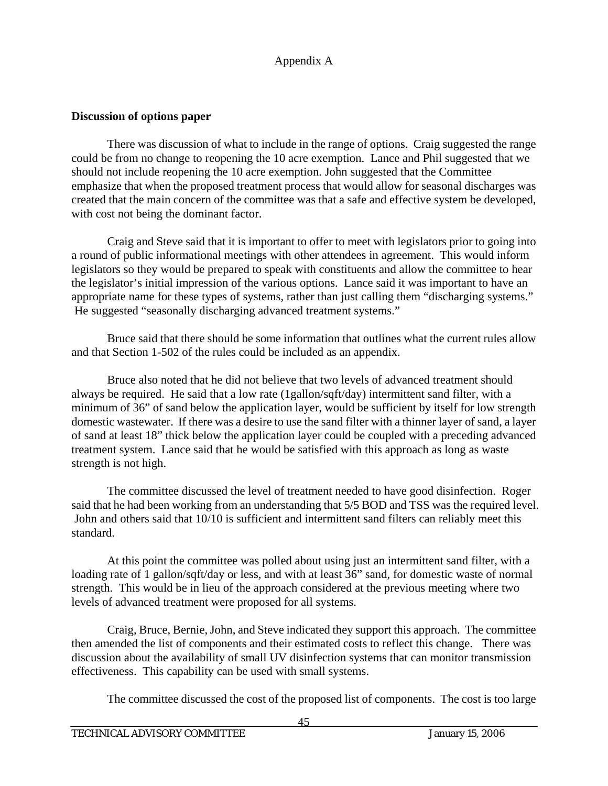# **Discussion of options paper**

There was discussion of what to include in the range of options. Craig suggested the range could be from no change to reopening the 10 acre exemption. Lance and Phil suggested that we should not include reopening the 10 acre exemption. John suggested that the Committee emphasize that when the proposed treatment process that would allow for seasonal discharges was created that the main concern of the committee was that a safe and effective system be developed, with cost not being the dominant factor.

 Craig and Steve said that it is important to offer to meet with legislators prior to going into a round of public informational meetings with other attendees in agreement. This would inform legislators so they would be prepared to speak with constituents and allow the committee to hear the legislator's initial impression of the various options. Lance said it was important to have an appropriate name for these types of systems, rather than just calling them "discharging systems." He suggested "seasonally discharging advanced treatment systems."

 Bruce said that there should be some information that outlines what the current rules allow and that Section 1-502 of the rules could be included as an appendix.

 Bruce also noted that he did not believe that two levels of advanced treatment should always be required. He said that a low rate (1gallon/sqft/day) intermittent sand filter, with a minimum of 36" of sand below the application layer, would be sufficient by itself for low strength domestic wastewater. If there was a desire to use the sand filter with a thinner layer of sand, a layer of sand at least 18" thick below the application layer could be coupled with a preceding advanced treatment system. Lance said that he would be satisfied with this approach as long as waste strength is not high.

 The committee discussed the level of treatment needed to have good disinfection. Roger said that he had been working from an understanding that 5/5 BOD and TSS was the required level. John and others said that 10/10 is sufficient and intermittent sand filters can reliably meet this standard.

 At this point the committee was polled about using just an intermittent sand filter, with a loading rate of 1 gallon/sqft/day or less, and with at least 36" sand, for domestic waste of normal strength. This would be in lieu of the approach considered at the previous meeting where two levels of advanced treatment were proposed for all systems.

 Craig, Bruce, Bernie, John, and Steve indicated they support this approach. The committee then amended the list of components and their estimated costs to reflect this change. There was discussion about the availability of small UV disinfection systems that can monitor transmission effectiveness. This capability can be used with small systems.

The committee discussed the cost of the proposed list of components. The cost is too large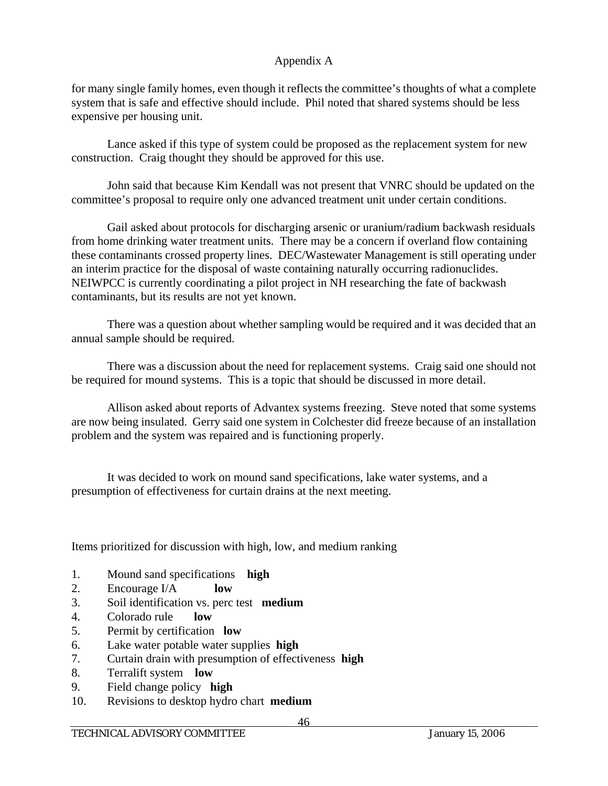for many single family homes, even though it reflects the committee's thoughts of what a complete system that is safe and effective should include. Phil noted that shared systems should be less expensive per housing unit.

 Lance asked if this type of system could be proposed as the replacement system for new construction. Craig thought they should be approved for this use.

 John said that because Kim Kendall was not present that VNRC should be updated on the committee's proposal to require only one advanced treatment unit under certain conditions.

Gail asked about protocols for discharging arsenic or uranium/radium backwash residuals from home drinking water treatment units. There may be a concern if overland flow containing these contaminants crossed property lines. DEC/Wastewater Management is still operating under an interim practice for the disposal of waste containing naturally occurring radionuclides. NEIWPCC is currently coordinating a pilot project in NH researching the fate of backwash contaminants, but its results are not yet known.

 There was a question about whether sampling would be required and it was decided that an annual sample should be required.

 There was a discussion about the need for replacement systems. Craig said one should not be required for mound systems. This is a topic that should be discussed in more detail.

 Allison asked about reports of Advantex systems freezing. Steve noted that some systems are now being insulated. Gerry said one system in Colchester did freeze because of an installation problem and the system was repaired and is functioning properly.

 It was decided to work on mound sand specifications, lake water systems, and a presumption of effectiveness for curtain drains at the next meeting.

Items prioritized for discussion with high, low, and medium ranking

- 1. Mound sand specifications **high**
- 2. Encourage I/A **low**
- 3. Soil identification vs. perc test **medium**
- 4. Colorado rule **low**
- 5. Permit by certification **low**
- 6. Lake water potable water supplies **high**
- 7. Curtain drain with presumption of effectiveness **high**
- 8. Terralift system **low**
- 9. Field change policy **high**
- 10. Revisions to desktop hydro chart **medium**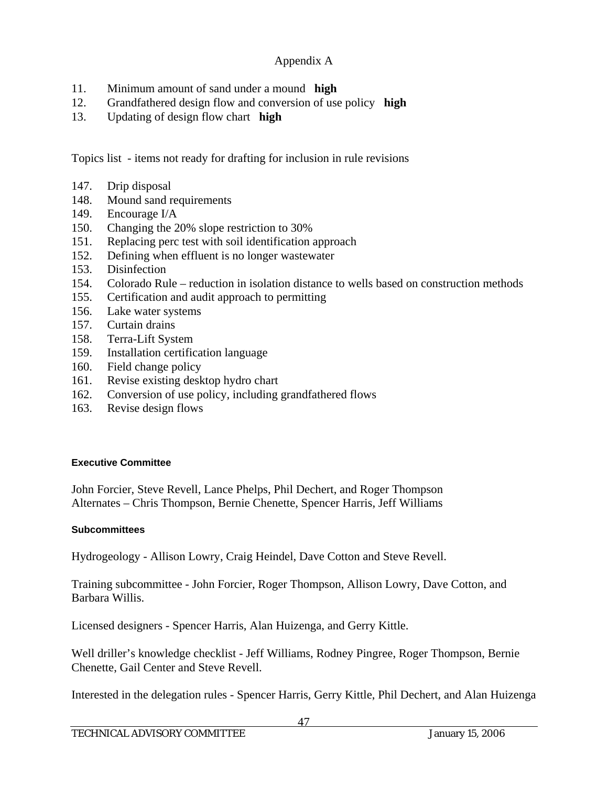- 11. Minimum amount of sand under a mound **high**
- 12. Grandfathered design flow and conversion of use policy **high**
- 13. Updating of design flow chart **high**

Topics list - items not ready for drafting for inclusion in rule revisions

- 147. Drip disposal
- 148. Mound sand requirements
- 149. Encourage I/A
- 150. Changing the 20% slope restriction to 30%
- 151. Replacing perc test with soil identification approach
- 152. Defining when effluent is no longer wastewater
- 153. Disinfection
- 154. Colorado Rule reduction in isolation distance to wells based on construction methods
- 155. Certification and audit approach to permitting
- 156. Lake water systems
- 157. Curtain drains
- 158. Terra-Lift System
- 159. Installation certification language
- 160. Field change policy
- 161. Revise existing desktop hydro chart
- 162. Conversion of use policy, including grandfathered flows
- 163. Revise design flows

# **Executive Committee**

John Forcier, Steve Revell, Lance Phelps, Phil Dechert, and Roger Thompson Alternates – Chris Thompson, Bernie Chenette, Spencer Harris, Jeff Williams

# **Subcommittees**

Hydrogeology - Allison Lowry, Craig Heindel, Dave Cotton and Steve Revell.

Training subcommittee - John Forcier, Roger Thompson, Allison Lowry, Dave Cotton, and Barbara Willis.

Licensed designers - Spencer Harris, Alan Huizenga, and Gerry Kittle.

Well driller's knowledge checklist - Jeff Williams, Rodney Pingree, Roger Thompson, Bernie Chenette, Gail Center and Steve Revell.

Interested in the delegation rules - Spencer Harris, Gerry Kittle, Phil Dechert, and Alan Huizenga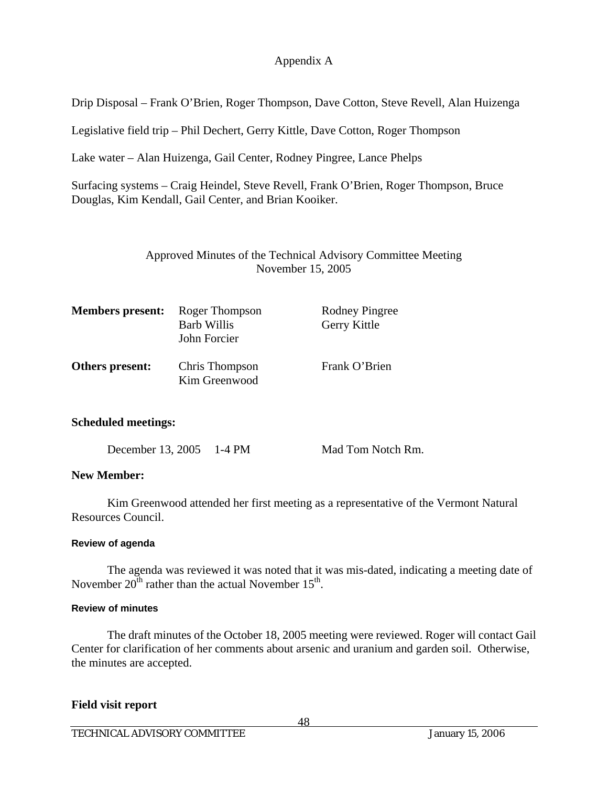Drip Disposal – Frank O'Brien, Roger Thompson, Dave Cotton, Steve Revell, Alan Huizenga

Legislative field trip – Phil Dechert, Gerry Kittle, Dave Cotton, Roger Thompson

Lake water – Alan Huizenga, Gail Center, Rodney Pingree, Lance Phelps

Surfacing systems – Craig Heindel, Steve Revell, Frank O'Brien, Roger Thompson, Bruce Douglas, Kim Kendall, Gail Center, and Brian Kooiker.

# Approved Minutes of the Technical Advisory Committee Meeting November 15, 2005

| <b>Members present:</b> | Roger Thompson<br><b>Barb Willis</b><br>John Forcier | <b>Rodney Pingree</b><br>Gerry Kittle |
|-------------------------|------------------------------------------------------|---------------------------------------|
| Others present:         | Chris Thompson<br>Kim Greenwood                      | Frank O'Brien                         |

### **Scheduled meetings:**

| December 13, 2005<br>$1-4$ PM |  |
|-------------------------------|--|
|-------------------------------|--|

Mad Tom Notch Rm.

# **New Member:**

Kim Greenwood attended her first meeting as a representative of the Vermont Natural Resources Council.

### **Review of agenda**

The agenda was reviewed it was noted that it was mis-dated, indicating a meeting date of November  $20^{th}$  rather than the actual November  $15^{th}$ .

### **Review of minutes**

 The draft minutes of the October 18, 2005 meeting were reviewed. Roger will contact Gail Center for clarification of her comments about arsenic and uranium and garden soil. Otherwise, the minutes are accepted.

### **Field visit report**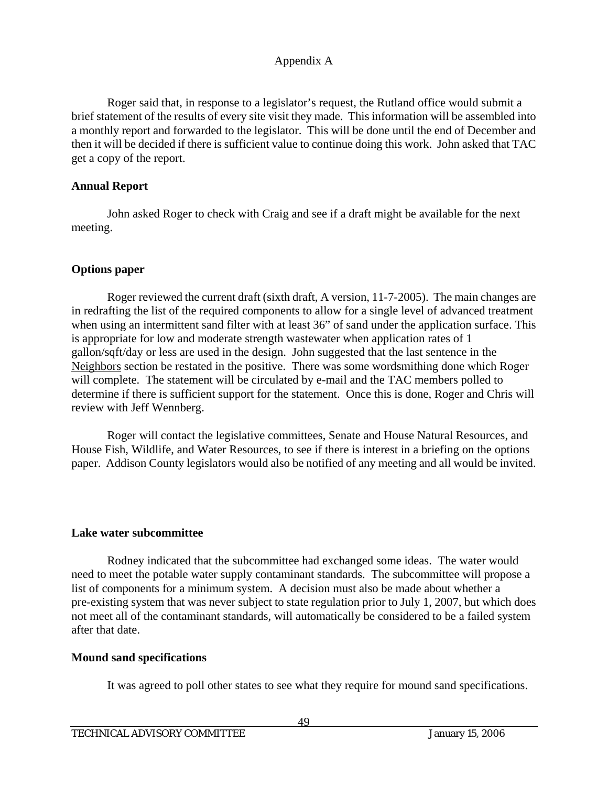Roger said that, in response to a legislator's request, the Rutland office would submit a brief statement of the results of every site visit they made. This information will be assembled into a monthly report and forwarded to the legislator. This will be done until the end of December and then it will be decided if there is sufficient value to continue doing this work. John asked that TAC get a copy of the report.

# **Annual Report**

 John asked Roger to check with Craig and see if a draft might be available for the next meeting.

# **Options paper**

 Roger reviewed the current draft (sixth draft, A version, 11-7-2005). The main changes are in redrafting the list of the required components to allow for a single level of advanced treatment when using an intermittent sand filter with at least 36" of sand under the application surface. This is appropriate for low and moderate strength wastewater when application rates of 1 gallon/sqft/day or less are used in the design. John suggested that the last sentence in the Neighbors section be restated in the positive. There was some wordsmithing done which Roger will complete. The statement will be circulated by e-mail and the TAC members polled to determine if there is sufficient support for the statement. Once this is done, Roger and Chris will review with Jeff Wennberg.

 Roger will contact the legislative committees, Senate and House Natural Resources, and House Fish, Wildlife, and Water Resources, to see if there is interest in a briefing on the options paper. Addison County legislators would also be notified of any meeting and all would be invited.

### **Lake water subcommittee**

 Rodney indicated that the subcommittee had exchanged some ideas. The water would need to meet the potable water supply contaminant standards. The subcommittee will propose a list of components for a minimum system. A decision must also be made about whether a pre-existing system that was never subject to state regulation prior to July 1, 2007, but which does not meet all of the contaminant standards, will automatically be considered to be a failed system after that date.

### **Mound sand specifications**

It was agreed to poll other states to see what they require for mound sand specifications.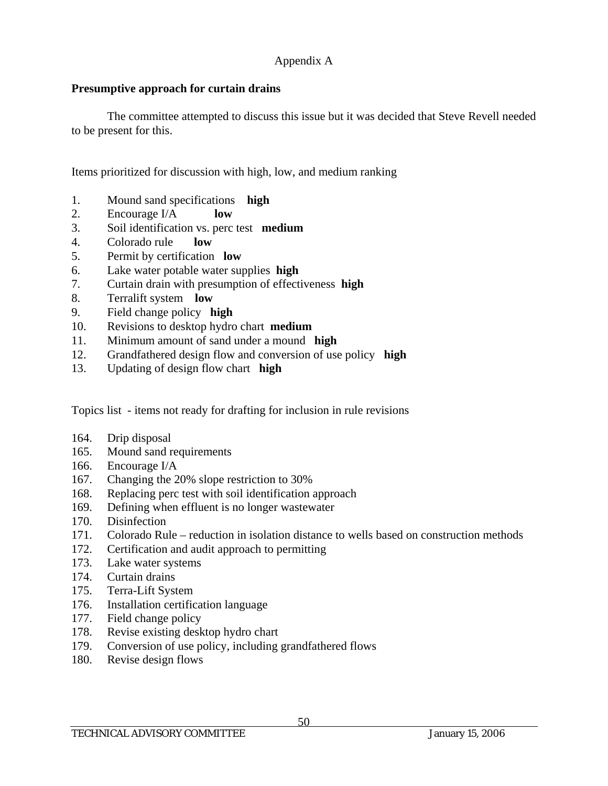# **Presumptive approach for curtain drains**

 The committee attempted to discuss this issue but it was decided that Steve Revell needed to be present for this.

Items prioritized for discussion with high, low, and medium ranking

- 1. Mound sand specifications **high**
- 2. Encourage I/A **low**
- 3. Soil identification vs. perc test **medium**
- 4. Colorado rule **low**
- 5. Permit by certification **low**
- 6. Lake water potable water supplies **high**
- 7. Curtain drain with presumption of effectiveness **high**
- 8. Terralift system **low**
- 9. Field change policy **high**
- 10. Revisions to desktop hydro chart **medium**
- 11. Minimum amount of sand under a mound **high**
- 12. Grandfathered design flow and conversion of use policy **high**
- 13. Updating of design flow chart **high**

Topics list - items not ready for drafting for inclusion in rule revisions

- 164. Drip disposal
- 165. Mound sand requirements
- 166. Encourage I/A
- 167. Changing the 20% slope restriction to 30%
- 168. Replacing perc test with soil identification approach
- 169. Defining when effluent is no longer wastewater
- 170. Disinfection
- 171. Colorado Rule reduction in isolation distance to wells based on construction methods
- 172. Certification and audit approach to permitting
- 173. Lake water systems
- 174. Curtain drains
- 175. Terra-Lift System
- 176. Installation certification language
- 177. Field change policy
- 178. Revise existing desktop hydro chart
- 179. Conversion of use policy, including grandfathered flows
- 180. Revise design flows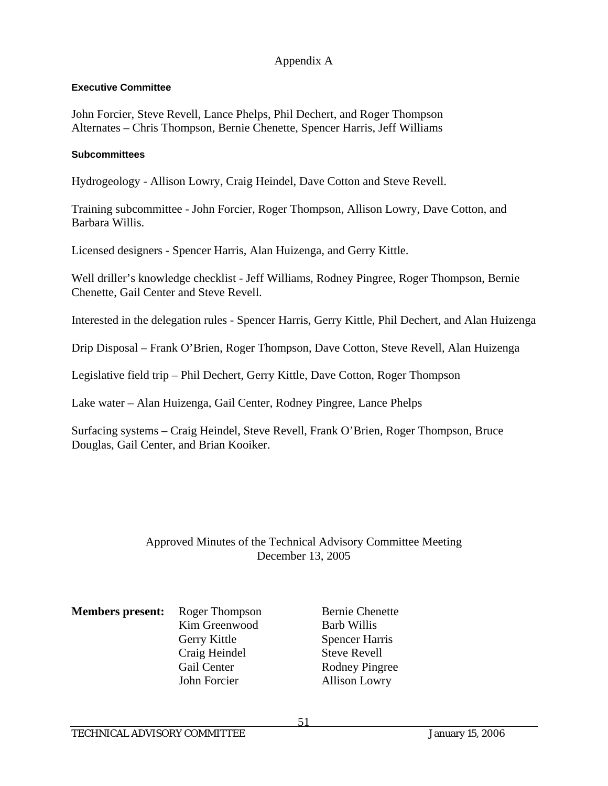### **Executive Committee**

John Forcier, Steve Revell, Lance Phelps, Phil Dechert, and Roger Thompson Alternates – Chris Thompson, Bernie Chenette, Spencer Harris, Jeff Williams

#### **Subcommittees**

Hydrogeology - Allison Lowry, Craig Heindel, Dave Cotton and Steve Revell.

Training subcommittee - John Forcier, Roger Thompson, Allison Lowry, Dave Cotton, and Barbara Willis.

Licensed designers - Spencer Harris, Alan Huizenga, and Gerry Kittle.

Well driller's knowledge checklist - Jeff Williams, Rodney Pingree, Roger Thompson, Bernie Chenette, Gail Center and Steve Revell.

Interested in the delegation rules - Spencer Harris, Gerry Kittle, Phil Dechert, and Alan Huizenga

Drip Disposal – Frank O'Brien, Roger Thompson, Dave Cotton, Steve Revell, Alan Huizenga

Legislative field trip – Phil Dechert, Gerry Kittle, Dave Cotton, Roger Thompson

Lake water – Alan Huizenga, Gail Center, Rodney Pingree, Lance Phelps

Surfacing systems – Craig Heindel, Steve Revell, Frank O'Brien, Roger Thompson, Bruce Douglas, Gail Center, and Brian Kooiker.

# Approved Minutes of the Technical Advisory Committee Meeting December 13, 2005

| <b>Members present:</b> Roger Th |                               |
|----------------------------------|-------------------------------|
|                                  | Kim Gree                      |
|                                  | Gerry Kit                     |
|                                  | $C_{\text{min}}$ $H_{\alpha}$ |

 Craig Heindel Steve Revell John Forcier Allison Lowry

**Members Bernie Chenette** enwood Barb Willis ttle Spencer Harris Gail Center Rodney Pingree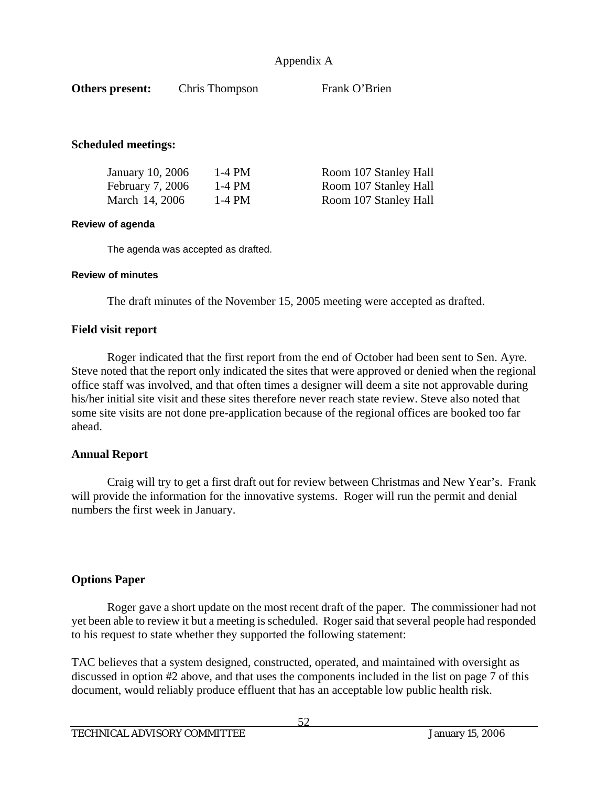| Others present:                     | Chris Thompson | Frank O'Brien         |
|-------------------------------------|----------------|-----------------------|
|                                     |                |                       |
| <b>Scheduled meetings:</b>          |                |                       |
| January 10, 2006                    | $1-4$ PM       | Room 107 Stanley Hall |
| February 7, 2006                    | $1-4$ PM       | Room 107 Stanley Hall |
| March 14, 2006                      | $1-4$ PM       | Room 107 Stanley Hall |
| <b>Review of agenda</b>             |                |                       |
| The agenda was accepted as drafted. |                |                       |

#### **Review of minutes**

The draft minutes of the November 15, 2005 meeting were accepted as drafted.

#### **Field visit report**

 Roger indicated that the first report from the end of October had been sent to Sen. Ayre. Steve noted that the report only indicated the sites that were approved or denied when the regional office staff was involved, and that often times a designer will deem a site not approvable during his/her initial site visit and these sites therefore never reach state review. Steve also noted that some site visits are not done pre-application because of the regional offices are booked too far ahead.

#### **Annual Report**

 Craig will try to get a first draft out for review between Christmas and New Year's. Frank will provide the information for the innovative systems. Roger will run the permit and denial numbers the first week in January.

#### **Options Paper**

 Roger gave a short update on the most recent draft of the paper. The commissioner had not yet been able to review it but a meeting is scheduled. Roger said that several people had responded to his request to state whether they supported the following statement:

TAC believes that a system designed, constructed, operated, and maintained with oversight as discussed in option #2 above, and that uses the components included in the list on page 7 of this document, would reliably produce effluent that has an acceptable low public health risk.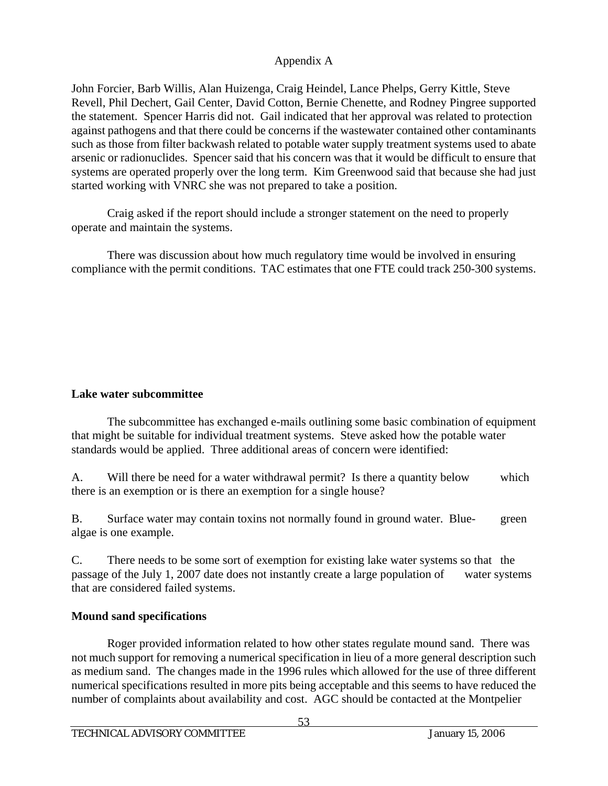John Forcier, Barb Willis, Alan Huizenga, Craig Heindel, Lance Phelps, Gerry Kittle, Steve Revell, Phil Dechert, Gail Center, David Cotton, Bernie Chenette, and Rodney Pingree supported the statement. Spencer Harris did not. Gail indicated that her approval was related to protection against pathogens and that there could be concerns if the wastewater contained other contaminants such as those from filter backwash related to potable water supply treatment systems used to abate arsenic or radionuclides. Spencer said that his concern was that it would be difficult to ensure that systems are operated properly over the long term. Kim Greenwood said that because she had just started working with VNRC she was not prepared to take a position.

 Craig asked if the report should include a stronger statement on the need to properly operate and maintain the systems.

 There was discussion about how much regulatory time would be involved in ensuring compliance with the permit conditions. TAC estimates that one FTE could track 250-300 systems.

# **Lake water subcommittee**

 The subcommittee has exchanged e-mails outlining some basic combination of equipment that might be suitable for individual treatment systems. Steve asked how the potable water standards would be applied. Three additional areas of concern were identified:

A. Will there be need for a water withdrawal permit? Is there a quantity below which there is an exemption or is there an exemption for a single house?

B. Surface water may contain toxins not normally found in ground water. Blue- green algae is one example.

C. There needs to be some sort of exemption for existing lake water systems so that the passage of the July 1, 2007 date does not instantly create a large population of water systems that are considered failed systems.

# **Mound sand specifications**

 Roger provided information related to how other states regulate mound sand. There was not much support for removing a numerical specification in lieu of a more general description such as medium sand. The changes made in the 1996 rules which allowed for the use of three different numerical specifications resulted in more pits being acceptable and this seems to have reduced the number of complaints about availability and cost. AGC should be contacted at the Montpelier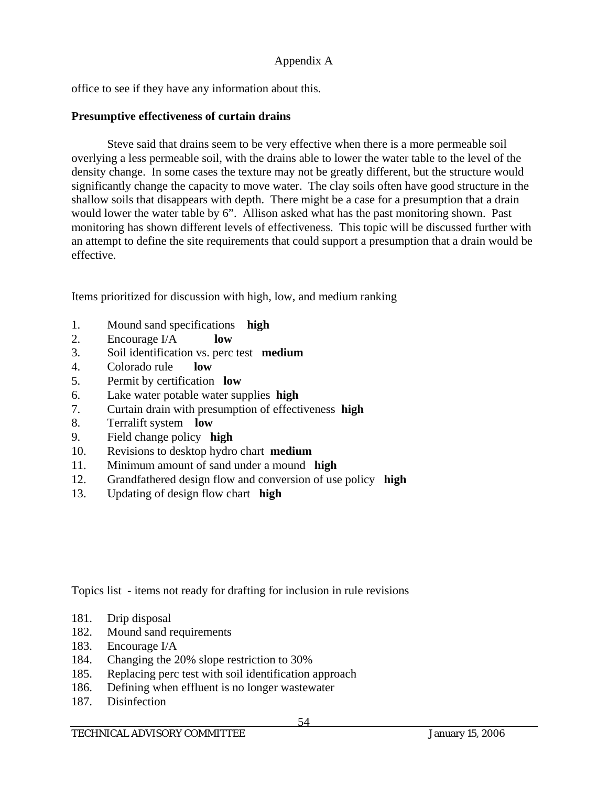office to see if they have any information about this.

# **Presumptive effectiveness of curtain drains**

 Steve said that drains seem to be very effective when there is a more permeable soil overlying a less permeable soil, with the drains able to lower the water table to the level of the density change. In some cases the texture may not be greatly different, but the structure would significantly change the capacity to move water. The clay soils often have good structure in the shallow soils that disappears with depth. There might be a case for a presumption that a drain would lower the water table by 6". Allison asked what has the past monitoring shown. Past monitoring has shown different levels of effectiveness. This topic will be discussed further with an attempt to define the site requirements that could support a presumption that a drain would be effective.

Items prioritized for discussion with high, low, and medium ranking

- 1. Mound sand specifications **high**
- 2. Encourage I/A **low**
- 3. Soil identification vs. perc test **medium**
- 4. Colorado rule **low**
- 5. Permit by certification **low**
- 6. Lake water potable water supplies **high**
- 7. Curtain drain with presumption of effectiveness **high**
- 8. Terralift system **low**
- 9. Field change policy **high**
- 10. Revisions to desktop hydro chart **medium**
- 11. Minimum amount of sand under a mound **high**
- 12. Grandfathered design flow and conversion of use policy **high**
- 13. Updating of design flow chart **high**

Topics list - items not ready for drafting for inclusion in rule revisions

- 181. Drip disposal
- 182. Mound sand requirements
- 183. Encourage I/A
- 184. Changing the 20% slope restriction to 30%
- 185. Replacing perc test with soil identification approach
- 186. Defining when effluent is no longer wastewater
- 187. Disinfection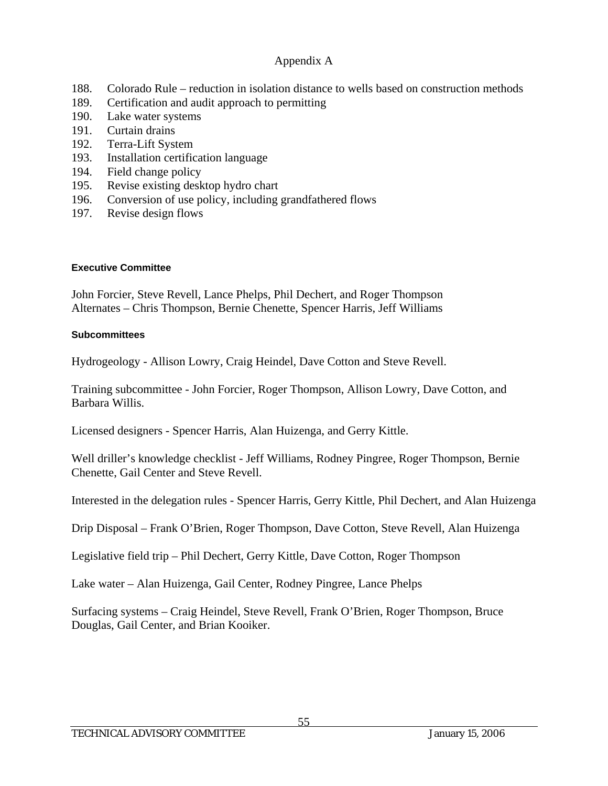- 188. Colorado Rule reduction in isolation distance to wells based on construction methods
- 189. Certification and audit approach to permitting
- 190. Lake water systems
- 191. Curtain drains
- 192. Terra-Lift System
- 193. Installation certification language
- 194. Field change policy
- 195. Revise existing desktop hydro chart
- 196. Conversion of use policy, including grandfathered flows
- 197. Revise design flows

### **Executive Committee**

John Forcier, Steve Revell, Lance Phelps, Phil Dechert, and Roger Thompson Alternates – Chris Thompson, Bernie Chenette, Spencer Harris, Jeff Williams

### **Subcommittees**

Hydrogeology - Allison Lowry, Craig Heindel, Dave Cotton and Steve Revell.

Training subcommittee - John Forcier, Roger Thompson, Allison Lowry, Dave Cotton, and Barbara Willis.

Licensed designers - Spencer Harris, Alan Huizenga, and Gerry Kittle.

Well driller's knowledge checklist - Jeff Williams, Rodney Pingree, Roger Thompson, Bernie Chenette, Gail Center and Steve Revell.

Interested in the delegation rules - Spencer Harris, Gerry Kittle, Phil Dechert, and Alan Huizenga

Drip Disposal – Frank O'Brien, Roger Thompson, Dave Cotton, Steve Revell, Alan Huizenga

Legislative field trip – Phil Dechert, Gerry Kittle, Dave Cotton, Roger Thompson

Lake water – Alan Huizenga, Gail Center, Rodney Pingree, Lance Phelps

Surfacing systems – Craig Heindel, Steve Revell, Frank O'Brien, Roger Thompson, Bruce Douglas, Gail Center, and Brian Kooiker.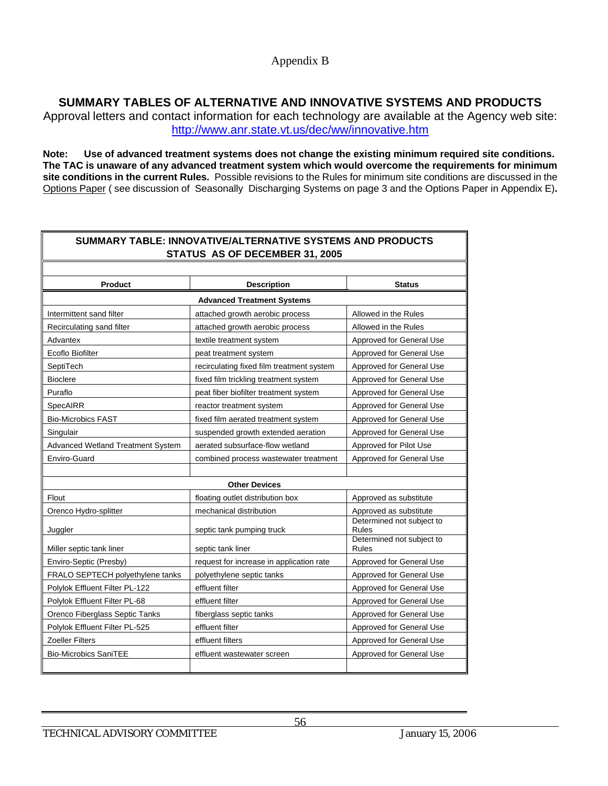# **SUMMARY TABLES OF ALTERNATIVE AND INNOVATIVE SYSTEMS AND PRODUCTS**

Approval letters and contact information for each technology are available at the Agency web site: http://www.anr.state.vt.us/dec/ww/innovative.htm

**Note: Use of advanced treatment systems does not change the existing minimum required site conditions. The TAC is unaware of any advanced treatment system which would overcome the requirements for minimum site conditions in the current Rules.** Possible revisions to the Rules for minimum site conditions are discussed in the Options Paper ( see discussion of Seasonally Discharging Systems on page 3 and the Options Paper in Appendix E)**.** 

| SUMMARY TABLE: INNOVATIVE/ALTERNATIVE SYSTEMS AND PRODUCTS<br>STATUS AS OF DECEMBER 31, 2005 |                                           |                                           |  |
|----------------------------------------------------------------------------------------------|-------------------------------------------|-------------------------------------------|--|
|                                                                                              |                                           |                                           |  |
| <b>Product</b><br><b>Description</b>                                                         |                                           | <b>Status</b>                             |  |
| <b>Advanced Treatment Systems</b>                                                            |                                           |                                           |  |
| Intermittent sand filter                                                                     | attached growth aerobic process           | Allowed in the Rules                      |  |
| Recirculating sand filter                                                                    | attached growth aerobic process           | Allowed in the Rules                      |  |
| Advantex                                                                                     | textile treatment system                  | Approved for General Use                  |  |
| Ecoflo Biofilter                                                                             | peat treatment system                     | Approved for General Use                  |  |
| SeptiTech                                                                                    | recirculating fixed film treatment system | Approved for General Use                  |  |
| <b>Bioclere</b>                                                                              | fixed film trickling treatment system     | Approved for General Use                  |  |
| Puraflo                                                                                      | peat fiber biofilter treatment system     | Approved for General Use                  |  |
| SpecAIRR                                                                                     | reactor treatment system                  | Approved for General Use                  |  |
| <b>Bio-Microbics FAST</b>                                                                    | fixed film aerated treatment system       | Approved for General Use                  |  |
| Singulair                                                                                    | suspended growth extended aeration        | Approved for General Use                  |  |
| Advanced Wetland Treatment System                                                            | aerated subsurface-flow wetland           | Approved for Pilot Use                    |  |
| Enviro-Guard                                                                                 | combined process wastewater treatment     | Approved for General Use                  |  |
| <b>Other Devices</b>                                                                         |                                           |                                           |  |
| Flout                                                                                        | floating outlet distribution box          | Approved as substitute                    |  |
| Orenco Hydro-splitter                                                                        | mechanical distribution                   | Approved as substitute                    |  |
|                                                                                              |                                           | Determined not subject to                 |  |
| Juggler                                                                                      | septic tank pumping truck                 | <b>Rules</b><br>Determined not subject to |  |
| Miller septic tank liner                                                                     | septic tank liner                         | <b>Rules</b>                              |  |
| Enviro-Septic (Presby)                                                                       | request for increase in application rate  | Approved for General Use                  |  |
| FRALO SEPTECH polyethylene tanks                                                             | polyethylene septic tanks                 | Approved for General Use                  |  |
| Polylok Effluent Filter PL-122                                                               | effluent filter                           | Approved for General Use                  |  |
| Polylok Effluent Filter PL-68                                                                | effluent filter                           | Approved for General Use                  |  |
| Orenco Fiberglass Septic Tanks                                                               | fiberglass septic tanks                   | Approved for General Use                  |  |
| Polylok Effluent Filter PL-525                                                               | effluent filter                           | Approved for General Use                  |  |
| Zoeller Filters                                                                              | effluent filters                          | Approved for General Use                  |  |
| <b>Bio-Microbics SaniTEE</b>                                                                 | effluent wastewater screen                | Approved for General Use                  |  |
|                                                                                              |                                           |                                           |  |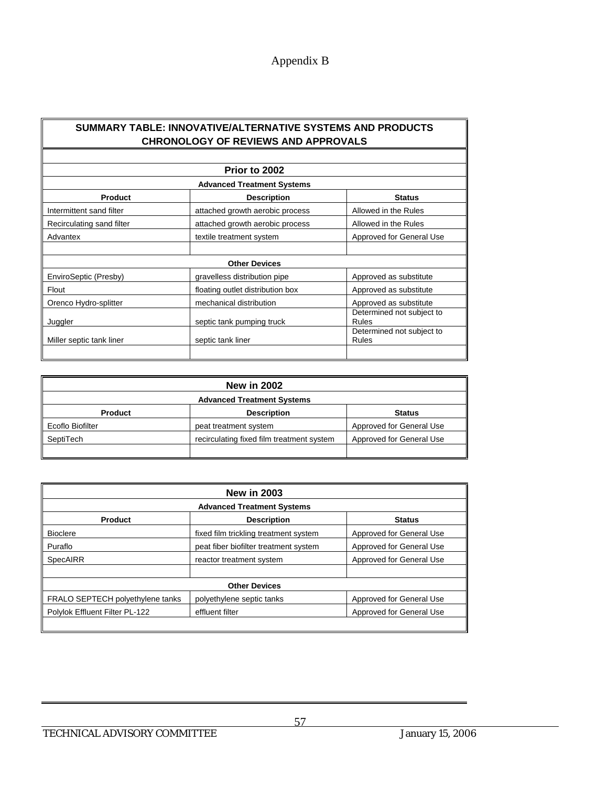# Appendix B

#### **SUMMARY TABLE: INNOVATIVE/ALTERNATIVE SYSTEMS AND PRODUCTS CHRONOLOGY OF REVIEWS AND APPROVALS**

| Prior to 2002<br><b>Advanced Treatment Systems</b> |                                  |                                           |  |
|----------------------------------------------------|----------------------------------|-------------------------------------------|--|
|                                                    |                                  |                                           |  |
| Intermittent sand filter                           | attached growth aerobic process  | Allowed in the Rules                      |  |
| Recirculating sand filter                          | attached growth aerobic process  | Allowed in the Rules                      |  |
| Advantex                                           | textile treatment system         | Approved for General Use                  |  |
|                                                    |                                  |                                           |  |
|                                                    | <b>Other Devices</b>             |                                           |  |
| EnviroSeptic (Presby)                              | gravelless distribution pipe     | Approved as substitute                    |  |
| Flout                                              | floating outlet distribution box | Approved as substitute                    |  |
| Orenco Hydro-splitter                              | mechanical distribution          | Approved as substitute                    |  |
| Juggler                                            | septic tank pumping truck        | Determined not subject to<br><b>Rules</b> |  |
| Miller septic tank liner                           | septic tank liner                | Determined not subject to<br><b>Rules</b> |  |
|                                                    |                                  |                                           |  |

| <b>New in 2002</b>                |                                           |                          |  |
|-----------------------------------|-------------------------------------------|--------------------------|--|
| <b>Advanced Treatment Systems</b> |                                           |                          |  |
| <b>Product</b>                    | <b>Description</b>                        | <b>Status</b>            |  |
| Ecoflo Biofilter                  | peat treatment system                     | Approved for General Use |  |
| SeptiTech                         | recirculating fixed film treatment system | Approved for General Use |  |
|                                   |                                           |                          |  |

| <b>New in 2003</b>                |                                       |                          |  |
|-----------------------------------|---------------------------------------|--------------------------|--|
| <b>Advanced Treatment Systems</b> |                                       |                          |  |
| <b>Product</b>                    | <b>Description</b>                    | <b>Status</b>            |  |
| <b>Bioclere</b>                   | fixed film trickling treatment system | Approved for General Use |  |
| Puraflo                           | peat fiber biofilter treatment system | Approved for General Use |  |
| SpecAIRR                          | reactor treatment system              | Approved for General Use |  |
|                                   |                                       |                          |  |
| <b>Other Devices</b>              |                                       |                          |  |
| FRALO SEPTECH polyethylene tanks  | polyethylene septic tanks             | Approved for General Use |  |
| Polylok Effluent Filter PL-122    | effluent filter                       | Approved for General Use |  |
|                                   |                                       |                          |  |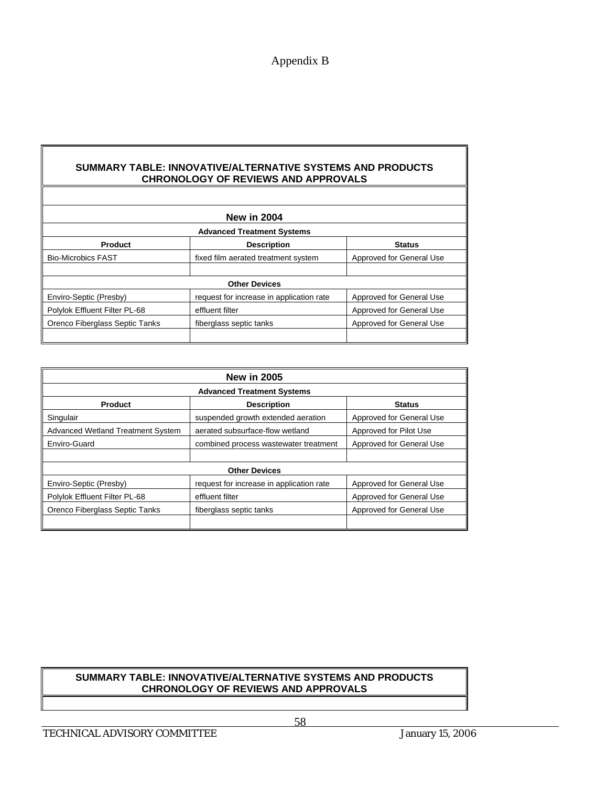### Appendix B

#### **SUMMARY TABLE: INNOVATIVE/ALTERNATIVE SYSTEMS AND PRODUCTS CHRONOLOGY OF REVIEWS AND APPROVALS**

|                                   | <b>New in 2004</b>                       |                          |  |
|-----------------------------------|------------------------------------------|--------------------------|--|
|                                   |                                          |                          |  |
| <b>Advanced Treatment Systems</b> |                                          |                          |  |
| Product                           | <b>Description</b>                       | <b>Status</b>            |  |
| <b>Bio-Microbics FAST</b>         | fixed film aerated treatment system      | Approved for General Use |  |
|                                   |                                          |                          |  |
| <b>Other Devices</b>              |                                          |                          |  |
| Enviro-Septic (Presby)            | request for increase in application rate | Approved for General Use |  |
| Polylok Effluent Filter PL-68     | effluent filter                          | Approved for General Use |  |
| Orenco Fiberglass Septic Tanks    | fiberglass septic tanks                  | Approved for General Use |  |
|                                   |                                          |                          |  |

| <b>New in 2005</b>                       |                                          |                          |  |  |  |  |
|------------------------------------------|------------------------------------------|--------------------------|--|--|--|--|
| <b>Advanced Treatment Systems</b>        |                                          |                          |  |  |  |  |
| <b>Product</b>                           | <b>Status</b>                            |                          |  |  |  |  |
| Singulair                                | suspended growth extended aeration       | Approved for General Use |  |  |  |  |
| <b>Advanced Wetland Treatment System</b> | aerated subsurface-flow wetland          | Approved for Pilot Use   |  |  |  |  |
| Enviro-Guard                             | combined process wastewater treatment    | Approved for General Use |  |  |  |  |
|                                          |                                          |                          |  |  |  |  |
| <b>Other Devices</b>                     |                                          |                          |  |  |  |  |
| Enviro-Septic (Presby)                   | request for increase in application rate | Approved for General Use |  |  |  |  |
| Polylok Effluent Filter PL-68            | effluent filter                          | Approved for General Use |  |  |  |  |
| Orenco Fiberglass Septic Tanks           | fiberglass septic tanks                  | Approved for General Use |  |  |  |  |
|                                          |                                          |                          |  |  |  |  |

#### **SUMMARY TABLE: INNOVATIVE/ALTERNATIVE SYSTEMS AND PRODUCTS CHRONOLOGY OF REVIEWS AND APPROVALS**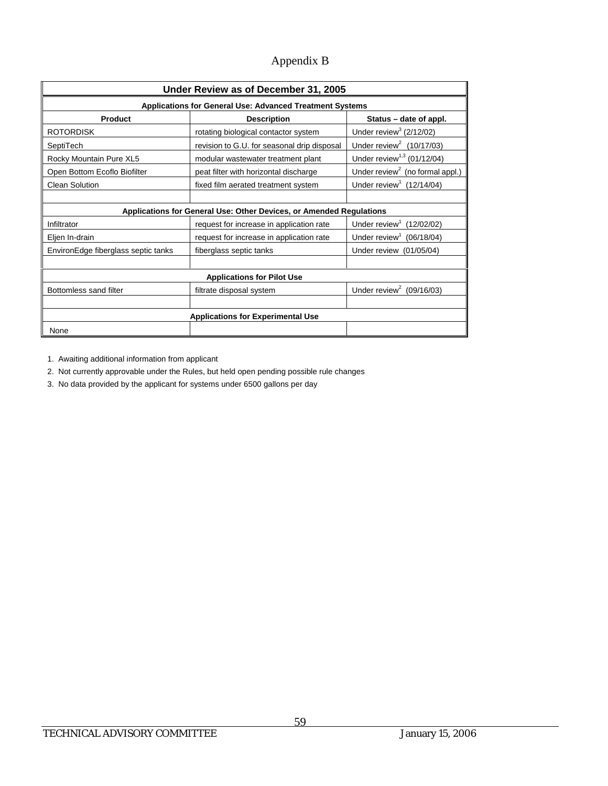# Appendix B

| Under Review as of December 31, 2005                                |                                             |                                             |  |  |  |  |
|---------------------------------------------------------------------|---------------------------------------------|---------------------------------------------|--|--|--|--|
| Applications for General Use: Advanced Treatment Systems            |                                             |                                             |  |  |  |  |
| Product                                                             | <b>Description</b>                          | Status – date of appl.                      |  |  |  |  |
| <b>ROTORDISK</b>                                                    | rotating biological contactor system        | Under review <sup>3</sup> (2/12/02)         |  |  |  |  |
| SeptiTech                                                           | revision to G.U. for seasonal drip disposal | Under review <sup>2</sup> (10/17/03)        |  |  |  |  |
| Rocky Mountain Pure XL5                                             | modular wastewater treatment plant          | Under review <sup>1,3</sup> (01/12/04)      |  |  |  |  |
| Open Bottom Ecoflo Biofilter                                        | peat filter with horizontal discharge       | Under review <sup>2</sup> (no formal appl.) |  |  |  |  |
| <b>Clean Solution</b>                                               | fixed film aerated treatment system         | Under review <sup>1</sup> (12/14/04)        |  |  |  |  |
|                                                                     |                                             |                                             |  |  |  |  |
| Applications for General Use: Other Devices, or Amended Regulations |                                             |                                             |  |  |  |  |
| Infiltrator                                                         | request for increase in application rate    | Under review <sup>1</sup><br>(12/02/02)     |  |  |  |  |
| Eljen In-drain                                                      | request for increase in application rate    | Under review <sup>1</sup> (06/18/04)        |  |  |  |  |
| EnvironEdge fiberglass septic tanks                                 | fiberglass septic tanks                     |                                             |  |  |  |  |
|                                                                     |                                             |                                             |  |  |  |  |
| <b>Applications for Pilot Use</b>                                   |                                             |                                             |  |  |  |  |
| Bottomless sand filter                                              | filtrate disposal system                    | Under review <sup>2</sup> (09/16/03)        |  |  |  |  |
|                                                                     |                                             |                                             |  |  |  |  |
| <b>Applications for Experimental Use</b>                            |                                             |                                             |  |  |  |  |
| None                                                                |                                             |                                             |  |  |  |  |

1. Awaiting additional information from applicant

2. Not currently approvable under the Rules, but held open pending possible rule changes

3. No data provided by the applicant for systems under 6500 gallons per day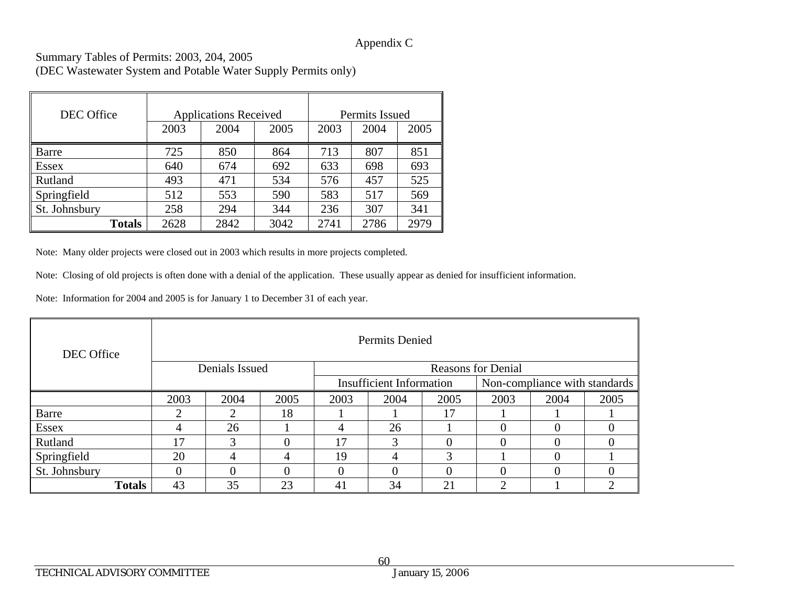### Appendix C

Summary Tables of Permits: 2003, 204, 2005 (DEC Wastewater System and Potable Water Supply Permits only)

| DEC Office    | <b>Applications Received</b> |      |      | Permits Issued |      |      |
|---------------|------------------------------|------|------|----------------|------|------|
|               | 2003                         | 2004 | 2005 | 2003           | 2004 | 2005 |
| Barre         | 725                          | 850  | 864  | 713            | 807  | 851  |
| <b>Essex</b>  | 640                          | 674  | 692  | 633            | 698  | 693  |
| Rutland       | 493                          | 471  | 534  | 576            | 457  | 525  |
| Springfield   | 512                          | 553  | 590  | 583            | 517  | 569  |
| St. Johnsbury | 258                          | 294  | 344  | 236            | 307  | 341  |
| <b>Totals</b> | 2628                         | 2842 | 3042 | 2741           | 2786 | 2979 |

Note: Many older projects were closed out in 2003 which results in more projects completed.

Note: Closing of old projects is often done with a denial of the application. These usually appear as denied for insufficient information.

Note: Information for 2004 and 2005 is for January 1 to December 31 of each year.

| DEC Office    | Permits Denied                              |               |      |      |                                 |          |      |                               |      |
|---------------|---------------------------------------------|---------------|------|------|---------------------------------|----------|------|-------------------------------|------|
|               | Denials Issued<br><b>Reasons for Denial</b> |               |      |      |                                 |          |      |                               |      |
|               |                                             |               |      |      | <b>Insufficient Information</b> |          |      | Non-compliance with standards |      |
|               | 2003                                        | 2004          | 2005 | 2003 | 2004                            | 2005     | 2003 | 2004                          | 2005 |
| Barre         | ◠                                           |               | 18   |      |                                 | 17       |      |                               |      |
| <b>Essex</b>  |                                             | 26            |      | 4    | 26                              |          |      | $\Omega$                      |      |
| Rutland       | 17                                          | $\mathcal{R}$ |      | 17   | 3                               | $\Omega$ |      | $\Omega$                      |      |
| Springfield   | 20                                          | 4             | 4    | 19   | 4                               | 3        |      | $\Omega$                      |      |
| St. Johnsbury |                                             |               |      | 0    |                                 | 0        |      | $\Omega$                      |      |
| <b>Totals</b> | 43                                          | 35            | 23   | 41   | 34                              | 21       | ↑    |                               | ◠    |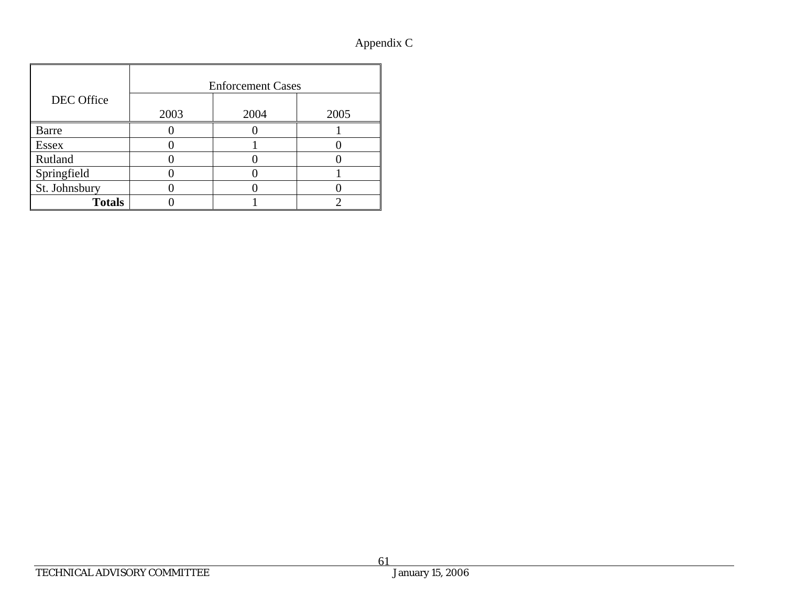# Appendix C

|               | <b>Enforcement Cases</b> |      |      |  |
|---------------|--------------------------|------|------|--|
| DEC Office    |                          |      |      |  |
|               | 2003                     | 2004 | 2005 |  |
| Barre         |                          |      |      |  |
| <b>Essex</b>  |                          |      |      |  |
| Rutland       |                          |      |      |  |
| Springfield   |                          |      |      |  |
| St. Johnsbury |                          |      |      |  |
| <b>Totals</b> |                          |      |      |  |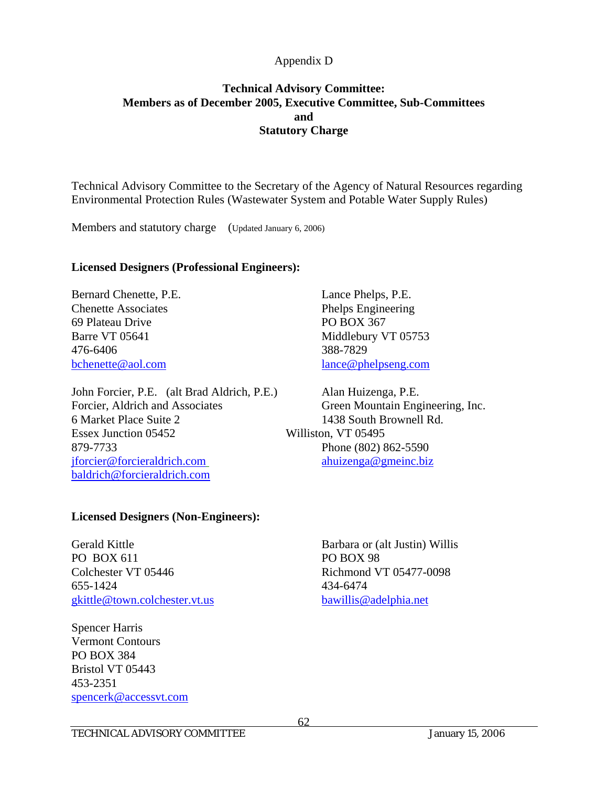# **Technical Advisory Committee: Members as of December 2005, Executive Committee, Sub-Committees and Statutory Charge**

Technical Advisory Committee to the Secretary of the Agency of Natural Resources regarding Environmental Protection Rules (Wastewater System and Potable Water Supply Rules)

Members and statutory charge (Updated January 6, 2006)

### **Licensed Designers (Professional Engineers):**

Bernard Chenette, P.E. Lance Phelps, P.E. Chenette Associates Phelps Engineering 69 Plateau Drive PO BOX 367 Barre VT 05641 Middlebury VT 05753 476-6406 388-7829 bchenette@aol.com lance@phelpseng.com

John Forcier, P.E. (alt Brad Aldrich, P.E.) Alan Huizenga, P.E. Forcier, Aldrich and Associates Green Mountain Engineering, Inc. 6 Market Place Suite 2 1438 South Brownell Rd. Essex Junction 05452 Williston, VT 05495 879-7733 Phone (802) 862-5590 jforcier@forcieraldrich.com ahuizenga@gmeinc.biz baldrich@forcieraldrich.com

#### **Licensed Designers (Non-Engineers):**

Gerald Kittle **Barbara or (alt Justin) Willis** PO BOX 611 PO BOX 98 Colchester VT 05446 Richmond VT 05477-0098 655-1424 434-6474 gkittle@town.colchester.vt.us bawillis@adelphia.net

Spencer Harris Vermont Contours PO BOX 384 Bristol VT 05443 453-2351 spencerk@accessvt.com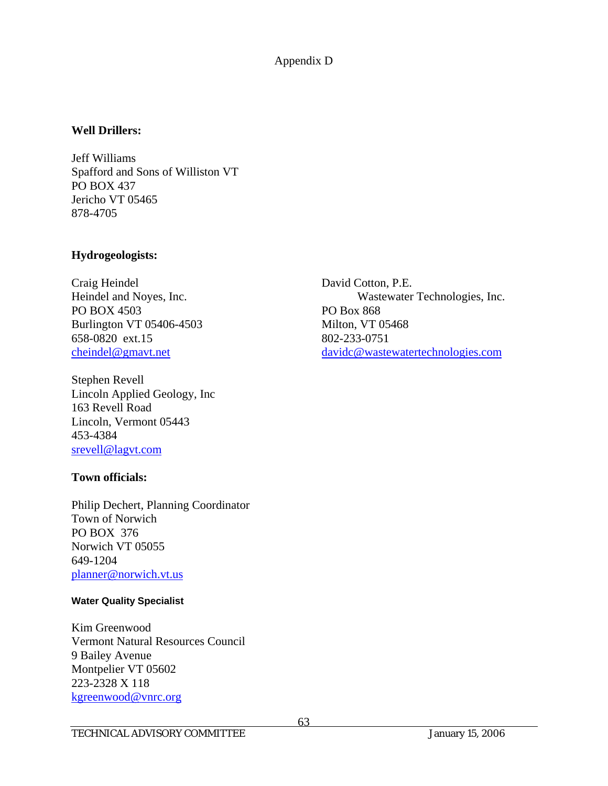#### **Well Drillers:**

Jeff Williams Spafford and Sons of Williston VT PO BOX 437 Jericho VT 05465 878-4705

### **Hydrogeologists:**

Craig Heindel David Cotton, P.E. PO BOX 4503 PO Box 868 Burlington VT 05406-4503 Milton, VT 05468 658-0820 ext.15 802-233-0751

Stephen Revell Lincoln Applied Geology, Inc 163 Revell Road Lincoln, Vermont 05443 453-4384 srevell@lagvt.com

### **Town officials:**

Philip Dechert, Planning Coordinator Town of Norwich PO BOX 376 Norwich VT 05055 649-1204 planner@norwich.vt.us

#### **Water Quality Specialist**

Kim Greenwood Vermont Natural Resources Council 9 Bailey Avenue Montpelier VT 05602 223-2328 X 118 kgreenwood@vnrc.org

Heindel and Noyes, Inc. Wastewater Technologies, Inc. cheindel@gmavt.net davidc@wastewatertechnologies.com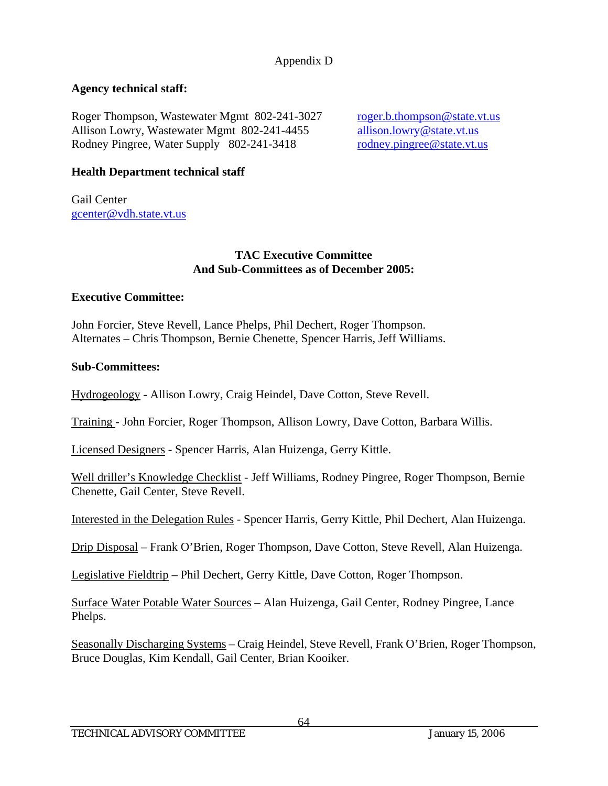# **Agency technical staff:**

Roger Thompson, Wastewater Mgmt 802-241-3027 roger.b.thompson@state.vt.us Allison Lowry, Wastewater Mgmt 802-241-4455 allison.lowry@state.vt.us Rodney Pingree, Water Supply 802-241-3418 rodney.pingree@state.vt.us

# **Health Department technical staff**

Gail Center gcenter@vdh.state.vt.us

### **TAC Executive Committee And Sub-Committees as of December 2005:**

### **Executive Committee:**

John Forcier, Steve Revell, Lance Phelps, Phil Dechert, Roger Thompson. Alternates – Chris Thompson, Bernie Chenette, Spencer Harris, Jeff Williams.

### **Sub-Committees:**

Hydrogeology - Allison Lowry, Craig Heindel, Dave Cotton, Steve Revell.

Training - John Forcier, Roger Thompson, Allison Lowry, Dave Cotton, Barbara Willis.

Licensed Designers - Spencer Harris, Alan Huizenga, Gerry Kittle.

Well driller's Knowledge Checklist - Jeff Williams, Rodney Pingree, Roger Thompson, Bernie Chenette, Gail Center, Steve Revell.

Interested in the Delegation Rules - Spencer Harris, Gerry Kittle, Phil Dechert, Alan Huizenga.

Drip Disposal – Frank O'Brien, Roger Thompson, Dave Cotton, Steve Revell, Alan Huizenga.

Legislative Fieldtrip – Phil Dechert, Gerry Kittle, Dave Cotton, Roger Thompson.

Surface Water Potable Water Sources – Alan Huizenga, Gail Center, Rodney Pingree, Lance Phelps.

Seasonally Discharging Systems – Craig Heindel, Steve Revell, Frank O'Brien, Roger Thompson, Bruce Douglas, Kim Kendall, Gail Center, Brian Kooiker.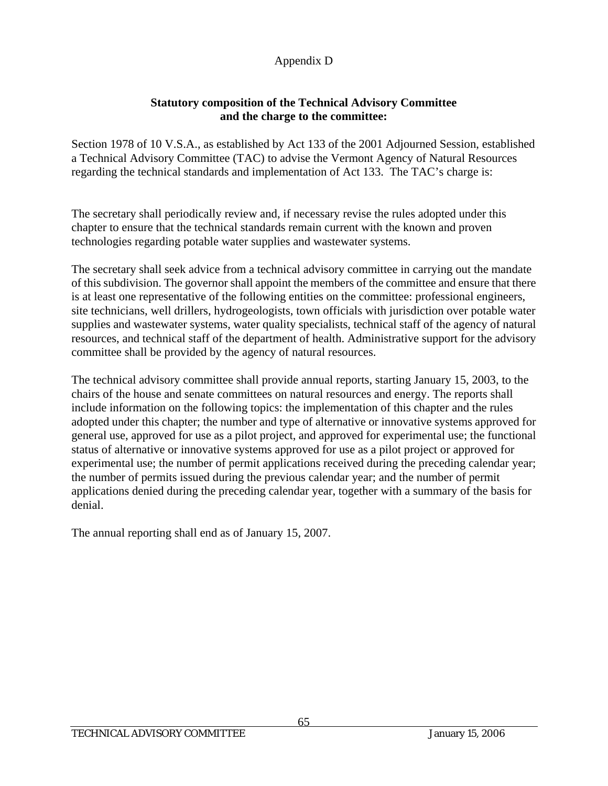# **Statutory composition of the Technical Advisory Committee and the charge to the committee:**

Section 1978 of 10 V.S.A., as established by Act 133 of the 2001 Adjourned Session, established a Technical Advisory Committee (TAC) to advise the Vermont Agency of Natural Resources regarding the technical standards and implementation of Act 133. The TAC's charge is:

The secretary shall periodically review and, if necessary revise the rules adopted under this chapter to ensure that the technical standards remain current with the known and proven technologies regarding potable water supplies and wastewater systems.

The secretary shall seek advice from a technical advisory committee in carrying out the mandate of this subdivision. The governor shall appoint the members of the committee and ensure that there is at least one representative of the following entities on the committee: professional engineers, site technicians, well drillers, hydrogeologists, town officials with jurisdiction over potable water supplies and wastewater systems, water quality specialists, technical staff of the agency of natural resources, and technical staff of the department of health. Administrative support for the advisory committee shall be provided by the agency of natural resources.

The technical advisory committee shall provide annual reports, starting January 15, 2003, to the chairs of the house and senate committees on natural resources and energy. The reports shall include information on the following topics: the implementation of this chapter and the rules adopted under this chapter; the number and type of alternative or innovative systems approved for general use, approved for use as a pilot project, and approved for experimental use; the functional status of alternative or innovative systems approved for use as a pilot project or approved for experimental use; the number of permit applications received during the preceding calendar year; the number of permits issued during the previous calendar year; and the number of permit applications denied during the preceding calendar year, together with a summary of the basis for denial.

The annual reporting shall end as of January 15, 2007.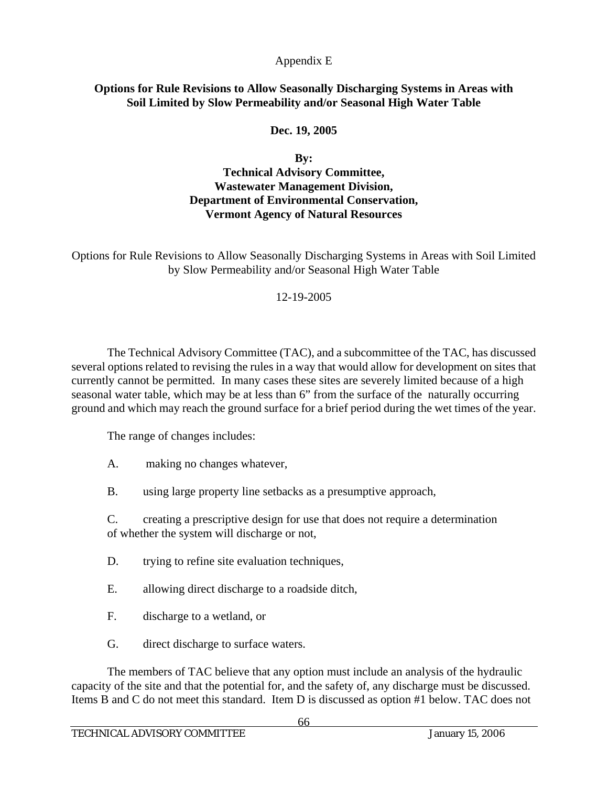### **Options for Rule Revisions to Allow Seasonally Discharging Systems in Areas with Soil Limited by Slow Permeability and/or Seasonal High Water Table**

# **Dec. 19, 2005**

**By:** 

**Technical Advisory Committee, Wastewater Management Division, Department of Environmental Conservation, Vermont Agency of Natural Resources** 

Options for Rule Revisions to Allow Seasonally Discharging Systems in Areas with Soil Limited by Slow Permeability and/or Seasonal High Water Table

### 12-19-2005

 The Technical Advisory Committee (TAC), and a subcommittee of the TAC, has discussed several options related to revising the rules in a way that would allow for development on sites that currently cannot be permitted. In many cases these sites are severely limited because of a high seasonal water table, which may be at less than 6" from the surface of the naturally occurring ground and which may reach the ground surface for a brief period during the wet times of the year.

The range of changes includes:

A. making no changes whatever,

B. using large property line setbacks as a presumptive approach,

 C. creating a prescriptive design for use that does not require a determination of whether the system will discharge or not,

- D. trying to refine site evaluation techniques,
- E. allowing direct discharge to a roadside ditch,
- F. discharge to a wetland, or
- G. direct discharge to surface waters.

 The members of TAC believe that any option must include an analysis of the hydraulic capacity of the site and that the potential for, and the safety of, any discharge must be discussed. Items B and C do not meet this standard. Item D is discussed as option #1 below. TAC does not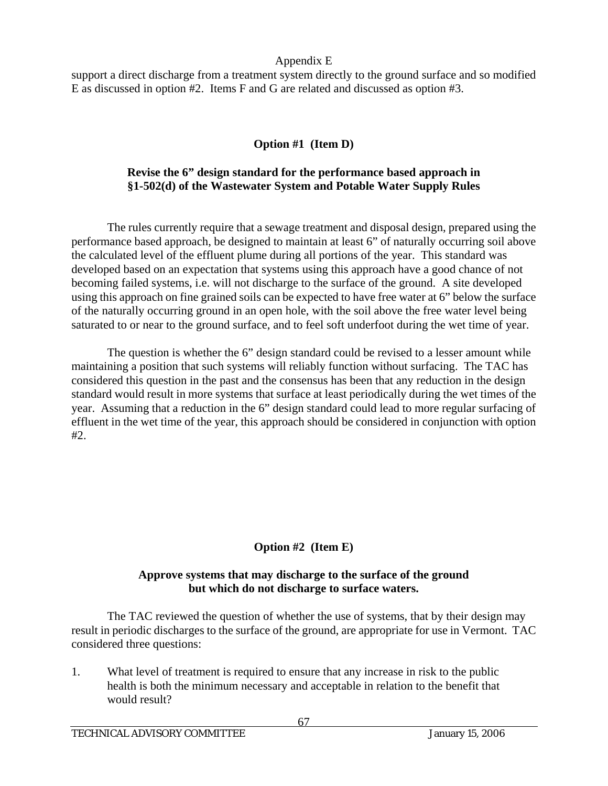support a direct discharge from a treatment system directly to the ground surface and so modified E as discussed in option #2. Items F and G are related and discussed as option #3.

# **Option #1 (Item D)**

# **Revise the 6" design standard for the performance based approach in §1-502(d) of the Wastewater System and Potable Water Supply Rules**

 The rules currently require that a sewage treatment and disposal design, prepared using the performance based approach, be designed to maintain at least 6" of naturally occurring soil above the calculated level of the effluent plume during all portions of the year. This standard was developed based on an expectation that systems using this approach have a good chance of not becoming failed systems, i.e. will not discharge to the surface of the ground. A site developed using this approach on fine grained soils can be expected to have free water at 6" below the surface of the naturally occurring ground in an open hole, with the soil above the free water level being saturated to or near to the ground surface, and to feel soft underfoot during the wet time of year.

 The question is whether the 6" design standard could be revised to a lesser amount while maintaining a position that such systems will reliably function without surfacing. The TAC has considered this question in the past and the consensus has been that any reduction in the design standard would result in more systems that surface at least periodically during the wet times of the year. Assuming that a reduction in the 6" design standard could lead to more regular surfacing of effluent in the wet time of the year, this approach should be considered in conjunction with option #2.

# **Option #2 (Item E)**

# **Approve systems that may discharge to the surface of the ground but which do not discharge to surface waters.**

The TAC reviewed the question of whether the use of systems, that by their design may result in periodic discharges to the surface of the ground, are appropriate for use in Vermont. TAC considered three questions:

1. What level of treatment is required to ensure that any increase in risk to the public health is both the minimum necessary and acceptable in relation to the benefit that would result?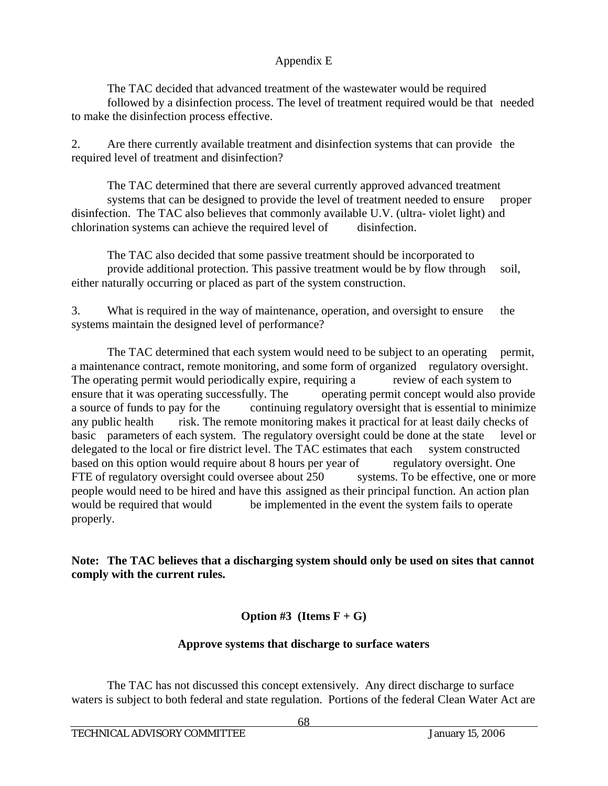The TAC decided that advanced treatment of the wastewater would be required followed by a disinfection process. The level of treatment required would be that needed to make the disinfection process effective.

2. Are there currently available treatment and disinfection systems that can provide the required level of treatment and disinfection?

 The TAC determined that there are several currently approved advanced treatment systems that can be designed to provide the level of treatment needed to ensure proper disinfection. The TAC also believes that commonly available U.V. (ultra- violet light) and chlorination systems can achieve the required level of disinfection.

 The TAC also decided that some passive treatment should be incorporated to provide additional protection. This passive treatment would be by flow through soil, either naturally occurring or placed as part of the system construction.

3. What is required in the way of maintenance, operation, and oversight to ensure the systems maintain the designed level of performance?

The TAC determined that each system would need to be subject to an operating permit, a maintenance contract, remote monitoring, and some form of organized regulatory oversight. The operating permit would periodically expire, requiring a review of each system to ensure that it was operating successfully. The operating permit concept would also provide a source of funds to pay for the continuing regulatory oversight that is essential to minimize any public health risk. The remote monitoring makes it practical for at least daily checks of basic parameters of each system. The regulatory oversight could be done at the state level or delegated to the local or fire district level. The TAC estimates that each system constructed based on this option would require about 8 hours per year of regulatory oversight. One FTE of regulatory oversight could oversee about 250 systems. To be effective, one or more people would need to be hired and have this assigned as their principal function. An action plan would be required that would be implemented in the event the system fails to operate properly.

**Note: The TAC believes that a discharging system should only be used on sites that cannot comply with the current rules.** 

**Option #3** (**Items**  $F + G$ )

# **Approve systems that discharge to surface waters**

 The TAC has not discussed this concept extensively. Any direct discharge to surface waters is subject to both federal and state regulation. Portions of the federal Clean Water Act are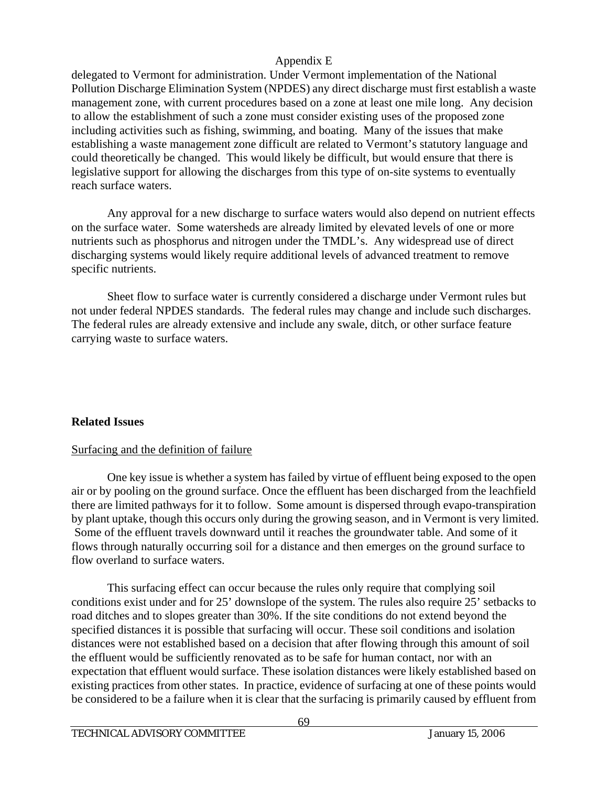delegated to Vermont for administration. Under Vermont implementation of the National Pollution Discharge Elimination System (NPDES) any direct discharge must first establish a waste management zone, with current procedures based on a zone at least one mile long. Any decision to allow the establishment of such a zone must consider existing uses of the proposed zone including activities such as fishing, swimming, and boating. Many of the issues that make establishing a waste management zone difficult are related to Vermont's statutory language and could theoretically be changed. This would likely be difficult, but would ensure that there is legislative support for allowing the discharges from this type of on-site systems to eventually reach surface waters.

 Any approval for a new discharge to surface waters would also depend on nutrient effects on the surface water. Some watersheds are already limited by elevated levels of one or more nutrients such as phosphorus and nitrogen under the TMDL's. Any widespread use of direct discharging systems would likely require additional levels of advanced treatment to remove specific nutrients.

 Sheet flow to surface water is currently considered a discharge under Vermont rules but not under federal NPDES standards. The federal rules may change and include such discharges. The federal rules are already extensive and include any swale, ditch, or other surface feature carrying waste to surface waters.

# **Related Issues**

# Surfacing and the definition of failure

 One key issue is whether a system has failed by virtue of effluent being exposed to the open air or by pooling on the ground surface. Once the effluent has been discharged from the leachfield there are limited pathways for it to follow. Some amount is dispersed through evapo-transpiration by plant uptake, though this occurs only during the growing season, and in Vermont is very limited. Some of the effluent travels downward until it reaches the groundwater table. And some of it flows through naturally occurring soil for a distance and then emerges on the ground surface to flow overland to surface waters.

 This surfacing effect can occur because the rules only require that complying soil conditions exist under and for 25' downslope of the system. The rules also require 25' setbacks to road ditches and to slopes greater than 30%. If the site conditions do not extend beyond the specified distances it is possible that surfacing will occur. These soil conditions and isolation distances were not established based on a decision that after flowing through this amount of soil the effluent would be sufficiently renovated as to be safe for human contact, nor with an expectation that effluent would surface. These isolation distances were likely established based on existing practices from other states. In practice, evidence of surfacing at one of these points would be considered to be a failure when it is clear that the surfacing is primarily caused by effluent from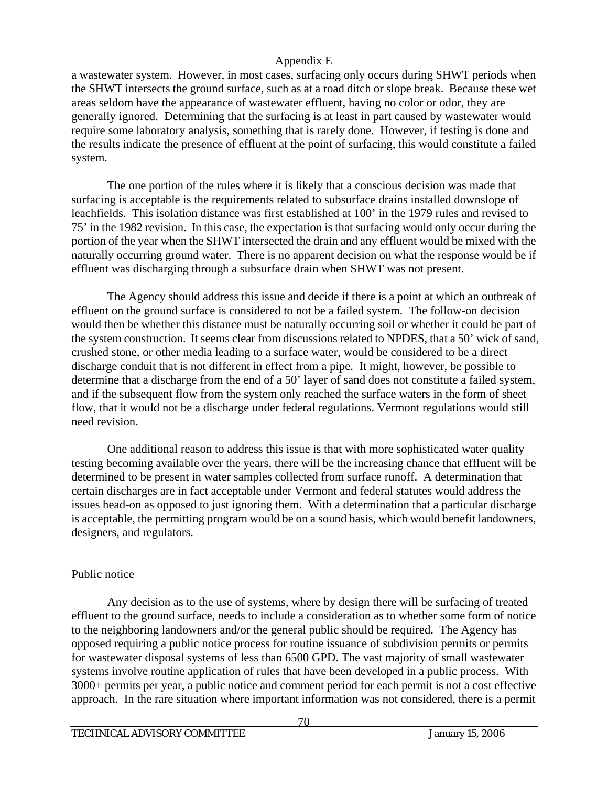a wastewater system. However, in most cases, surfacing only occurs during SHWT periods when the SHWT intersects the ground surface, such as at a road ditch or slope break. Because these wet areas seldom have the appearance of wastewater effluent, having no color or odor, they are generally ignored. Determining that the surfacing is at least in part caused by wastewater would require some laboratory analysis, something that is rarely done. However, if testing is done and the results indicate the presence of effluent at the point of surfacing, this would constitute a failed system.

 The one portion of the rules where it is likely that a conscious decision was made that surfacing is acceptable is the requirements related to subsurface drains installed downslope of leachfields. This isolation distance was first established at 100' in the 1979 rules and revised to 75' in the 1982 revision. In this case, the expectation is that surfacing would only occur during the portion of the year when the SHWT intersected the drain and any effluent would be mixed with the naturally occurring ground water. There is no apparent decision on what the response would be if effluent was discharging through a subsurface drain when SHWT was not present.

 The Agency should address this issue and decide if there is a point at which an outbreak of effluent on the ground surface is considered to not be a failed system. The follow-on decision would then be whether this distance must be naturally occurring soil or whether it could be part of the system construction. It seems clear from discussions related to NPDES, that a 50' wick of sand, crushed stone, or other media leading to a surface water, would be considered to be a direct discharge conduit that is not different in effect from a pipe. It might, however, be possible to determine that a discharge from the end of a 50' layer of sand does not constitute a failed system, and if the subsequent flow from the system only reached the surface waters in the form of sheet flow, that it would not be a discharge under federal regulations. Vermont regulations would still need revision.

 One additional reason to address this issue is that with more sophisticated water quality testing becoming available over the years, there will be the increasing chance that effluent will be determined to be present in water samples collected from surface runoff. A determination that certain discharges are in fact acceptable under Vermont and federal statutes would address the issues head-on as opposed to just ignoring them. With a determination that a particular discharge is acceptable, the permitting program would be on a sound basis, which would benefit landowners, designers, and regulators.

# Public notice

 Any decision as to the use of systems, where by design there will be surfacing of treated effluent to the ground surface, needs to include a consideration as to whether some form of notice to the neighboring landowners and/or the general public should be required. The Agency has opposed requiring a public notice process for routine issuance of subdivision permits or permits for wastewater disposal systems of less than 6500 GPD. The vast majority of small wastewater systems involve routine application of rules that have been developed in a public process. With 3000+ permits per year, a public notice and comment period for each permit is not a cost effective approach. In the rare situation where important information was not considered, there is a permit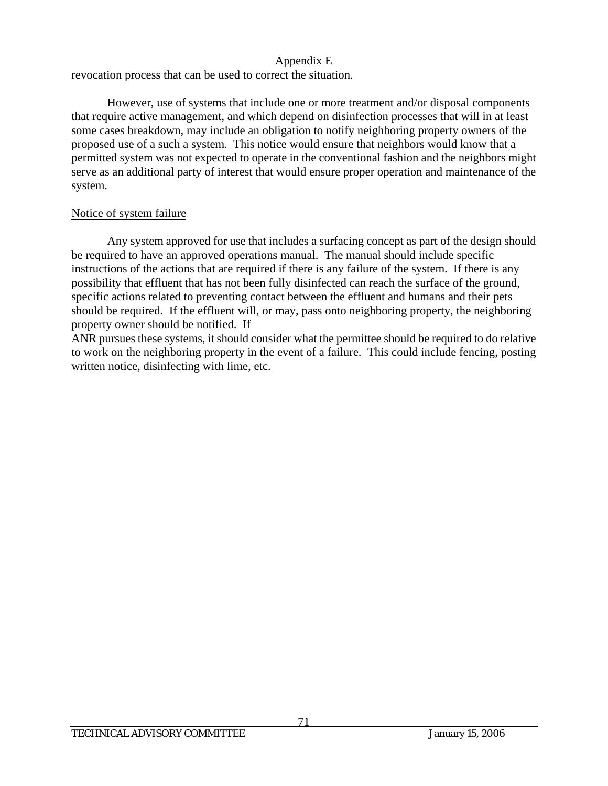revocation process that can be used to correct the situation.

 However, use of systems that include one or more treatment and/or disposal components that require active management, and which depend on disinfection processes that will in at least some cases breakdown, may include an obligation to notify neighboring property owners of the proposed use of a such a system. This notice would ensure that neighbors would know that a permitted system was not expected to operate in the conventional fashion and the neighbors might serve as an additional party of interest that would ensure proper operation and maintenance of the system.

## Notice of system failure

 Any system approved for use that includes a surfacing concept as part of the design should be required to have an approved operations manual. The manual should include specific instructions of the actions that are required if there is any failure of the system. If there is any possibility that effluent that has not been fully disinfected can reach the surface of the ground, specific actions related to preventing contact between the effluent and humans and their pets should be required. If the effluent will, or may, pass onto neighboring property, the neighboring property owner should be notified. If

ANR pursues these systems, it should consider what the permittee should be required to do relative to work on the neighboring property in the event of a failure. This could include fencing, posting written notice, disinfecting with lime, etc.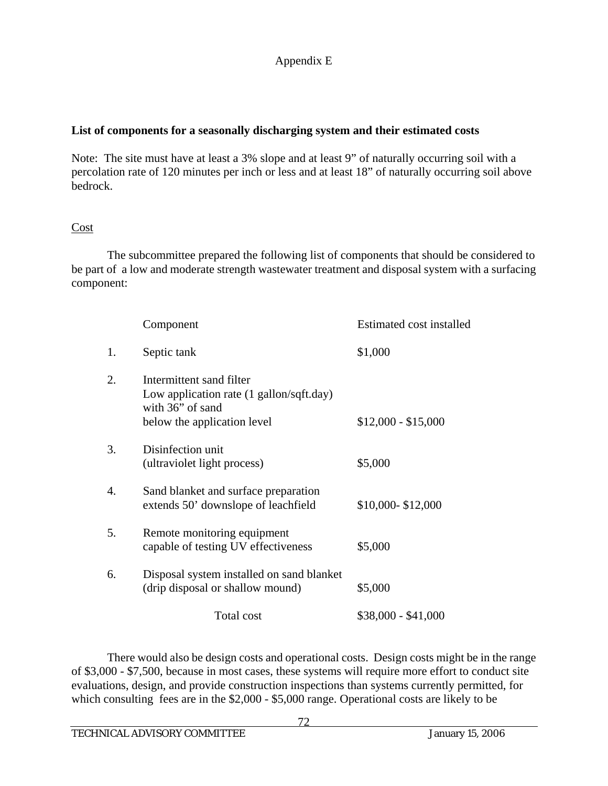#### **List of components for a seasonally discharging system and their estimated costs**

Note: The site must have at least a 3% slope and at least 9" of naturally occurring soil with a percolation rate of 120 minutes per inch or less and at least 18" of naturally occurring soil above bedrock.

#### **Cost**

 The subcommittee prepared the following list of components that should be considered to be part of a low and moderate strength wastewater treatment and disposal system with a surfacing component:

|    | Component                                                                                                               | Estimated cost installed |
|----|-------------------------------------------------------------------------------------------------------------------------|--------------------------|
| 1. | Septic tank                                                                                                             | \$1,000                  |
| 2. | Intermittent sand filter<br>Low application rate (1 gallon/sqft.day)<br>with 36" of sand<br>below the application level | $$12,000 - $15,000$      |
| 3. | Disinfection unit<br>(ultraviolet light process)                                                                        | \$5,000                  |
| 4. | Sand blanket and surface preparation<br>extends 50' downslope of leachfield                                             | \$10,000-\$12,000        |
| 5. | Remote monitoring equipment<br>capable of testing UV effectiveness                                                      | \$5,000                  |
| 6. | Disposal system installed on sand blanket<br>(drip disposal or shallow mound)                                           | \$5,000                  |
|    | Total cost                                                                                                              | $$38,000 - $41,000$      |

 There would also be design costs and operational costs. Design costs might be in the range of \$3,000 - \$7,500, because in most cases, these systems will require more effort to conduct site evaluations, design, and provide construction inspections than systems currently permitted, for which consulting fees are in the \$2,000 - \$5,000 range. Operational costs are likely to be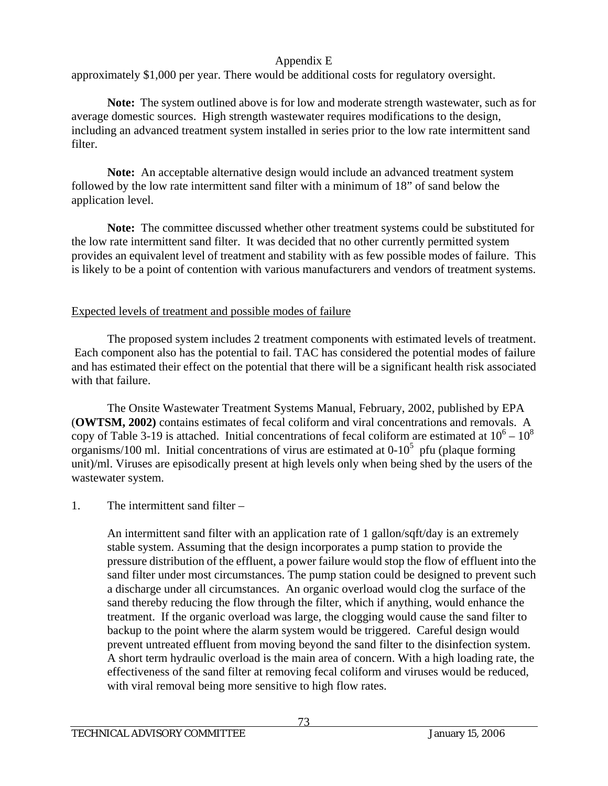approximately \$1,000 per year. There would be additional costs for regulatory oversight.

**Note:** The system outlined above is for low and moderate strength wastewater, such as for average domestic sources. High strength wastewater requires modifications to the design, including an advanced treatment system installed in series prior to the low rate intermittent sand filter.

**Note:** An acceptable alternative design would include an advanced treatment system followed by the low rate intermittent sand filter with a minimum of 18" of sand below the application level.

**Note:** The committee discussed whether other treatment systems could be substituted for the low rate intermittent sand filter. It was decided that no other currently permitted system provides an equivalent level of treatment and stability with as few possible modes of failure. This is likely to be a point of contention with various manufacturers and vendors of treatment systems.

#### Expected levels of treatment and possible modes of failure

 The proposed system includes 2 treatment components with estimated levels of treatment. Each component also has the potential to fail. TAC has considered the potential modes of failure and has estimated their effect on the potential that there will be a significant health risk associated with that failure.

 The Onsite Wastewater Treatment Systems Manual, February, 2002, published by EPA (**OWTSM, 2002)** contains estimates of fecal coliform and viral concentrations and removals. A copy of Table 3-19 is attached. Initial concentrations of fecal coliform are estimated at  $10^6 - 10^8$ organisms/100 ml. Initial concentrations of virus are estimated at  $0-10<sup>5</sup>$  pfu (plaque forming unit)/ml. Viruses are episodically present at high levels only when being shed by the users of the wastewater system.

## 1. The intermittent sand filter –

 An intermittent sand filter with an application rate of 1 gallon/sqft/day is an extremely stable system. Assuming that the design incorporates a pump station to provide the pressure distribution of the effluent, a power failure would stop the flow of effluent into the sand filter under most circumstances. The pump station could be designed to prevent such a discharge under all circumstances. An organic overload would clog the surface of the sand thereby reducing the flow through the filter, which if anything, would enhance the treatment. If the organic overload was large, the clogging would cause the sand filter to backup to the point where the alarm system would be triggered. Careful design would prevent untreated effluent from moving beyond the sand filter to the disinfection system. A short term hydraulic overload is the main area of concern. With a high loading rate, the effectiveness of the sand filter at removing fecal coliform and viruses would be reduced, with viral removal being more sensitive to high flow rates.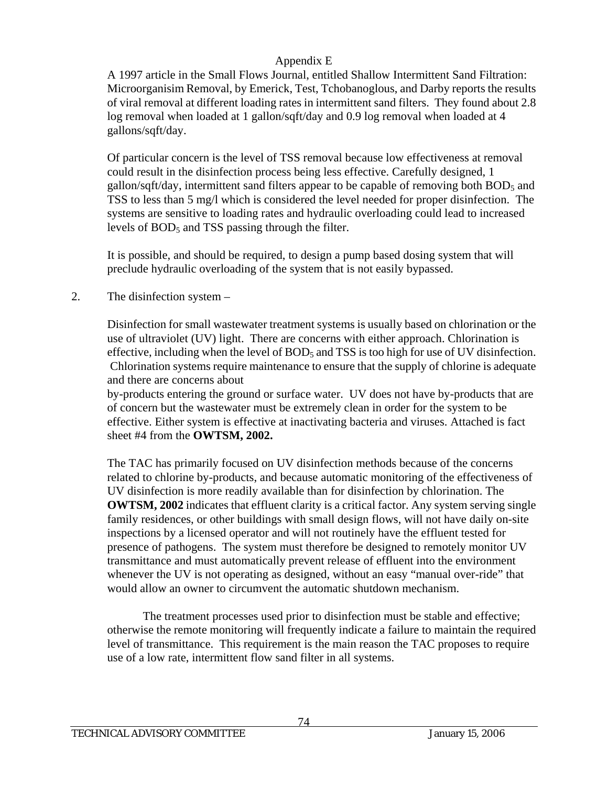A 1997 article in the Small Flows Journal, entitled Shallow Intermittent Sand Filtration: Microorganisim Removal, by Emerick, Test, Tchobanoglous, and Darby reports the results of viral removal at different loading rates in intermittent sand filters. They found about 2.8 log removal when loaded at 1 gallon/sqft/day and 0.9 log removal when loaded at 4 gallons/sqft/day.

 Of particular concern is the level of TSS removal because low effectiveness at removal could result in the disinfection process being less effective. Carefully designed, 1 gallon/sqft/day, intermittent sand filters appear to be capable of removing both  $BOD<sub>5</sub>$  and TSS to less than 5 mg/l which is considered the level needed for proper disinfection. The systems are sensitive to loading rates and hydraulic overloading could lead to increased levels of  $BOD<sub>5</sub>$  and TSS passing through the filter.

 It is possible, and should be required, to design a pump based dosing system that will preclude hydraulic overloading of the system that is not easily bypassed.

#### 2. The disinfection system –

 Disinfection for small wastewater treatment systems is usually based on chlorination or the use of ultraviolet (UV) light. There are concerns with either approach. Chlorination is effective, including when the level of  $BOD<sub>5</sub>$  and TSS is too high for use of UV disinfection. Chlorination systems require maintenance to ensure that the supply of chlorine is adequate and there are concerns about

 by-products entering the ground or surface water. UV does not have by-products that are of concern but the wastewater must be extremely clean in order for the system to be effective. Either system is effective at inactivating bacteria and viruses. Attached is fact sheet #4 from the **OWTSM, 2002.** 

 The TAC has primarily focused on UV disinfection methods because of the concerns related to chlorine by-products, and because automatic monitoring of the effectiveness of UV disinfection is more readily available than for disinfection by chlorination. The **OWTSM, 2002** indicates that effluent clarity is a critical factor. Any system serving single family residences, or other buildings with small design flows, will not have daily on-site inspections by a licensed operator and will not routinely have the effluent tested for presence of pathogens. The system must therefore be designed to remotely monitor UV transmittance and must automatically prevent release of effluent into the environment whenever the UV is not operating as designed, without an easy "manual over-ride" that would allow an owner to circumvent the automatic shutdown mechanism.

 The treatment processes used prior to disinfection must be stable and effective; otherwise the remote monitoring will frequently indicate a failure to maintain the required level of transmittance. This requirement is the main reason the TAC proposes to require use of a low rate, intermittent flow sand filter in all systems.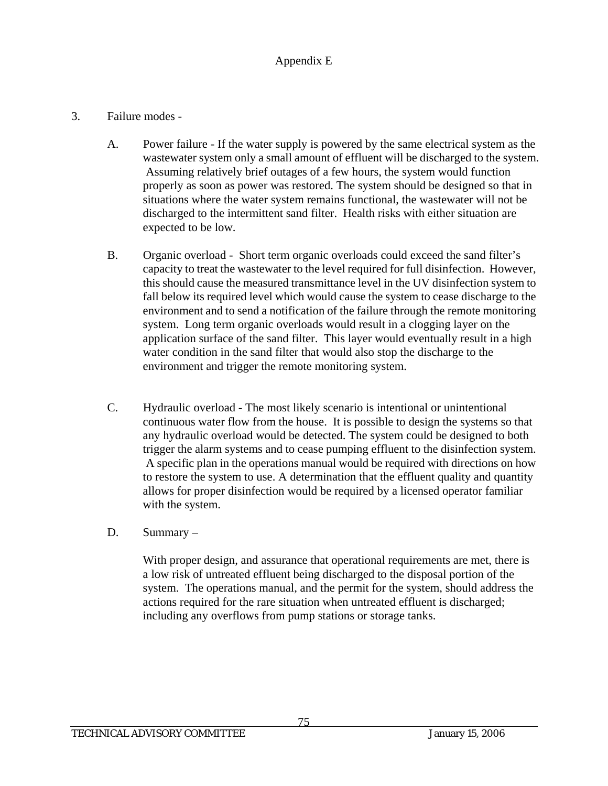#### 3. Failure modes -

- A. Power failure If the water supply is powered by the same electrical system as the wastewater system only a small amount of effluent will be discharged to the system. Assuming relatively brief outages of a few hours, the system would function properly as soon as power was restored. The system should be designed so that in situations where the water system remains functional, the wastewater will not be discharged to the intermittent sand filter. Health risks with either situation are expected to be low.
- B. Organic overload Short term organic overloads could exceed the sand filter's capacity to treat the wastewater to the level required for full disinfection. However, this should cause the measured transmittance level in the UV disinfection system to fall below its required level which would cause the system to cease discharge to the environment and to send a notification of the failure through the remote monitoring system. Long term organic overloads would result in a clogging layer on the application surface of the sand filter. This layer would eventually result in a high water condition in the sand filter that would also stop the discharge to the environment and trigger the remote monitoring system.
- C. Hydraulic overload The most likely scenario is intentional or unintentional continuous water flow from the house. It is possible to design the systems so that any hydraulic overload would be detected. The system could be designed to both trigger the alarm systems and to cease pumping effluent to the disinfection system. A specific plan in the operations manual would be required with directions on how to restore the system to use. A determination that the effluent quality and quantity allows for proper disinfection would be required by a licensed operator familiar with the system.
- D. Summary –

 With proper design, and assurance that operational requirements are met, there is a low risk of untreated effluent being discharged to the disposal portion of the system. The operations manual, and the permit for the system, should address the actions required for the rare situation when untreated effluent is discharged; including any overflows from pump stations or storage tanks.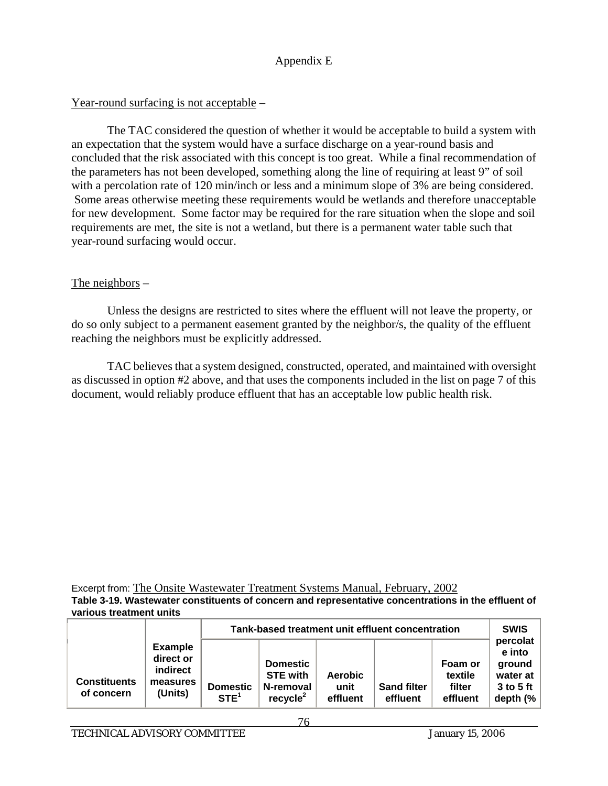#### Year-round surfacing is not acceptable –

 The TAC considered the question of whether it would be acceptable to build a system with an expectation that the system would have a surface discharge on a year-round basis and concluded that the risk associated with this concept is too great. While a final recommendation of the parameters has not been developed, something along the line of requiring at least 9" of soil with a percolation rate of 120 min/inch or less and a minimum slope of 3% are being considered. Some areas otherwise meeting these requirements would be wetlands and therefore unacceptable for new development. Some factor may be required for the rare situation when the slope and soil requirements are met, the site is not a wetland, but there is a permanent water table such that year-round surfacing would occur.

#### The neighbors –

 Unless the designs are restricted to sites where the effluent will not leave the property, or do so only subject to a permanent easement granted by the neighbor/s, the quality of the effluent reaching the neighbors must be explicitly addressed.

 TAC believes that a system designed, constructed, operated, and maintained with oversight as discussed in option #2 above, and that uses the components included in the list on page 7 of this document, would reliably produce effluent that has an acceptable low public health risk.

Excerpt from: The Onsite Wastewater Treatment Systems Manual, February, 2002 **Table 3-19. Wastewater constituents of concern and representative concentrations in the effluent of various treatment units**

|                                   |                                                                | Tank-based treatment unit effluent concentration |                                                                         |                                    |                                |                                          | <b>SWIS</b>                                                         |  |
|-----------------------------------|----------------------------------------------------------------|--------------------------------------------------|-------------------------------------------------------------------------|------------------------------------|--------------------------------|------------------------------------------|---------------------------------------------------------------------|--|
| <b>Constituents</b><br>of concern | <b>Example</b><br>direct or<br>indirect<br>measures<br>(Units) | <b>Domestic</b><br>STE <sup>1</sup>              | <b>Domestic</b><br><b>STE with</b><br>N-removal<br>recycle <sup>2</sup> | <b>Aerobic</b><br>unit<br>effluent | <b>Sand filter</b><br>effluent | Foam or<br>textile<br>filter<br>effluent | percolat<br>e into<br>ground<br>water at<br>$3$ to 5 ft<br>depth (% |  |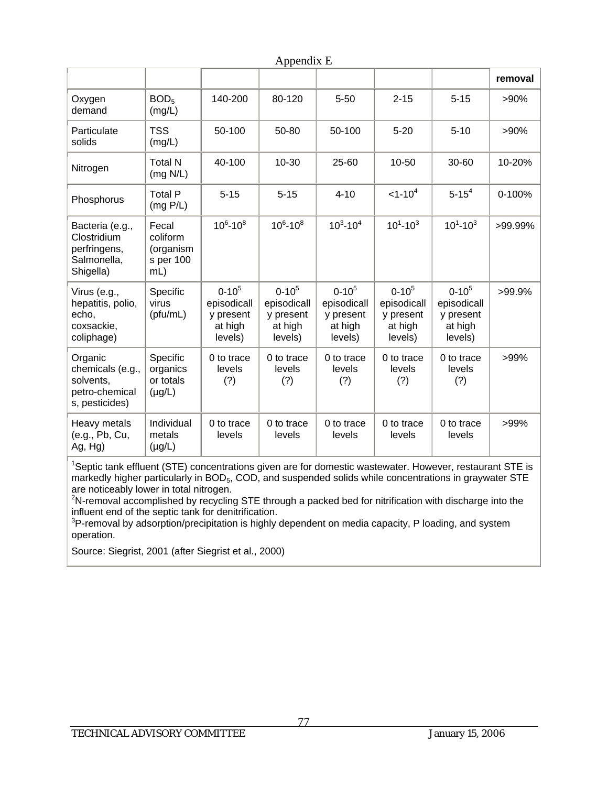|                                                                              |                                                    |                                                                | $\mu$                                                          |                                                                |                                                                |                                                                |         |
|------------------------------------------------------------------------------|----------------------------------------------------|----------------------------------------------------------------|----------------------------------------------------------------|----------------------------------------------------------------|----------------------------------------------------------------|----------------------------------------------------------------|---------|
|                                                                              |                                                    |                                                                |                                                                |                                                                |                                                                |                                                                | removal |
| Oxygen<br>demand                                                             | BOD <sub>5</sub><br>(mg/L)                         | 140-200                                                        | 80-120                                                         | $5 - 50$                                                       | $2 - 15$                                                       | $5 - 15$                                                       | >90%    |
| Particulate<br>solids                                                        | <b>TSS</b><br>(mg/L)                               | 50-100                                                         | 50-80                                                          | 50-100                                                         | $5 - 20$                                                       | $5 - 10$                                                       | >90%    |
| Nitrogen                                                                     | <b>Total N</b><br>(mg N/L)                         | 40-100                                                         | 10-30                                                          | 25-60                                                          | 10-50                                                          | 30-60                                                          | 10-20%  |
| Phosphorus                                                                   | <b>Total P</b><br>(mg P/L)                         | $5 - 15$                                                       | $5 - 15$                                                       | $4 - 10$                                                       | $<1 - 104$                                                     | $5 - 154$                                                      | 0-100%  |
| Bacteria (e.g.,<br>Clostridium<br>perfringens,<br>Salmonella,<br>Shigella)   | Fecal<br>coliform<br>(organism<br>s per 100<br>mL) | $10^6 - 10^8$                                                  | $10^6 - 10^8$                                                  | $10^3 - 10^4$                                                  | $10^1 - 10^3$                                                  | $10^1 - 10^3$                                                  | >99.99% |
| Virus (e.g.,<br>hepatitis, polio,<br>echo,<br>coxsackie,<br>coliphage)       | Specific<br>virus<br>(pfu/mL)                      | $0 - 10^{5}$<br>episodicall<br>y present<br>at high<br>levels) | $0 - 10^{5}$<br>episodicall<br>y present<br>at high<br>levels) | $0 - 10^{5}$<br>episodicall<br>y present<br>at high<br>levels) | $0 - 10^{5}$<br>episodicall<br>y present<br>at high<br>levels) | $0 - 10^{5}$<br>episodicall<br>y present<br>at high<br>levels) | >99.9%  |
| Organic<br>chemicals (e.g.,<br>solvents,<br>petro-chemical<br>s, pesticides) | Specific<br>organics<br>or totals<br>$(\mu g/L)$   | 0 to trace<br>levels<br>(?)                                    | 0 to trace<br>levels<br>(?)                                    | 0 to trace<br>levels<br>(?)                                    | 0 to trace<br>levels<br>(?)                                    | 0 to trace<br>levels<br>(?)                                    | >99%    |
| Heavy metals<br>(e.g., Pb, Cu,<br>Ag, Hg)                                    | Individual<br>metals<br>$(\mu g/L)$                | 0 to trace<br>levels                                           | 0 to trace<br>levels                                           | 0 to trace<br>levels                                           | 0 to trace<br>levels                                           | 0 to trace<br>levels                                           | >99%    |

Appendix E

<sup>1</sup>Septic tank effluent (STE) concentrations given are for domestic wastewater. However, restaurant STE is markedly higher particularly in BOD<sub>5</sub>, COD, and suspended solids while concentrations in graywater STE

are noticeably lower in total nitrogen.<br><sup>2</sup>N-removal accomplished by recycling STE through a packed bed for nitrification with discharge into the influent end of the septic tank for denitrification.

 $3$ P-removal by adsorption/precipitation is highly dependent on media capacity, P loading, and system operation.

Source: Siegrist, 2001 (after Siegrist et al., 2000)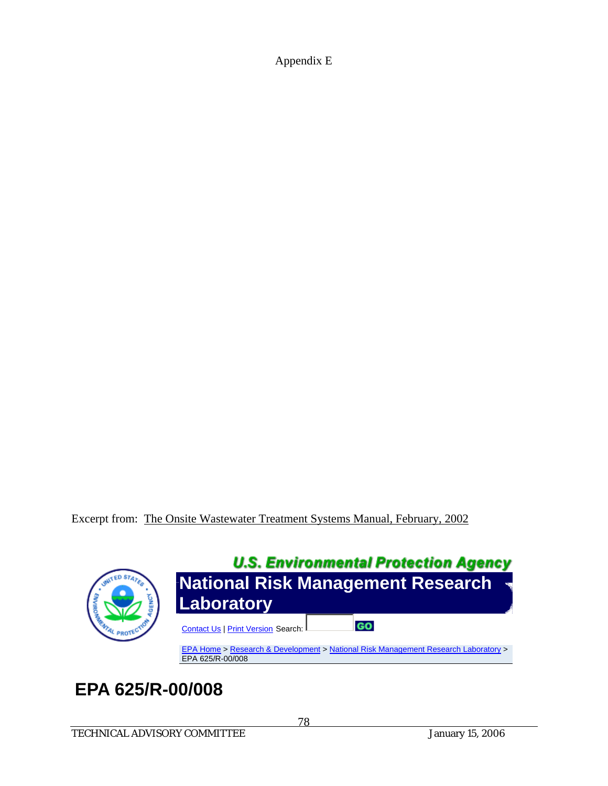Excerpt from: The Onsite Wastewater Treatment Systems Manual, February, 2002



# **EPA 625/R-00/008**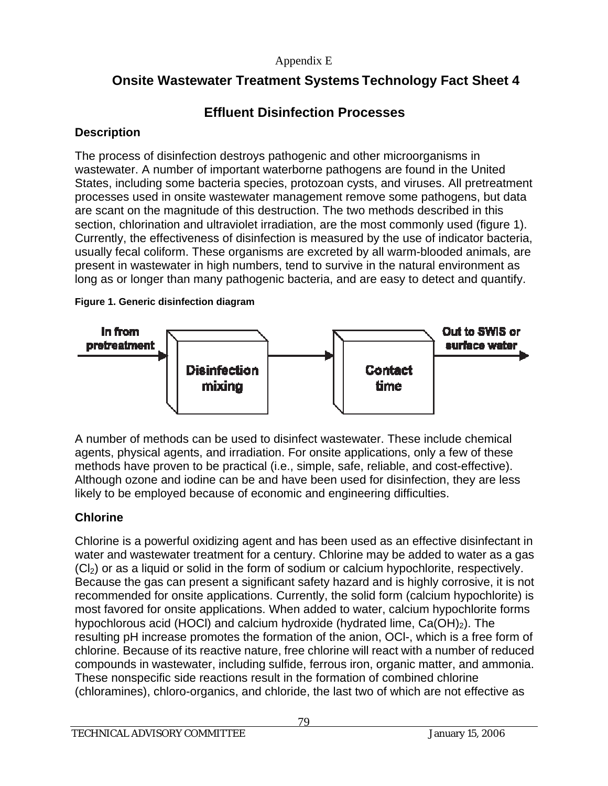# **Onsite Wastewater Treatment Systems Technology Fact Sheet 4**

# **Effluent Disinfection Processes**

# **Description**

The process of disinfection destroys pathogenic and other microorganisms in wastewater. A number of important waterborne pathogens are found in the United States, including some bacteria species, protozoan cysts, and viruses. All pretreatment processes used in onsite wastewater management remove some pathogens, but data are scant on the magnitude of this destruction. The two methods described in this section, chlorination and ultraviolet irradiation, are the most commonly used (figure 1). Currently, the effectiveness of disinfection is measured by the use of indicator bacteria, usually fecal coliform. These organisms are excreted by all warm-blooded animals, are present in wastewater in high numbers, tend to survive in the natural environment as long as or longer than many pathogenic bacteria, and are easy to detect and quantify.

#### **Figure 1. Generic disinfection diagram**



A number of methods can be used to disinfect wastewater. These include chemical agents, physical agents, and irradiation. For onsite applications, only a few of these methods have proven to be practical (i.e., simple, safe, reliable, and cost-effective). Although ozone and iodine can be and have been used for disinfection, they are less likely to be employed because of economic and engineering difficulties.

# **Chlorine**

Chlorine is a powerful oxidizing agent and has been used as an effective disinfectant in water and wastewater treatment for a century. Chlorine may be added to water as a gas  $(C_1)$  or as a liquid or solid in the form of sodium or calcium hypochlorite, respectively. Because the gas can present a significant safety hazard and is highly corrosive, it is not recommended for onsite applications. Currently, the solid form (calcium hypochlorite) is most favored for onsite applications. When added to water, calcium hypochlorite forms hypochlorous acid (HOCl) and calcium hydroxide (hydrated lime,  $Ca(OH)<sub>2</sub>$ ). The resulting pH increase promotes the formation of the anion, OCl-, which is a free form of chlorine. Because of its reactive nature, free chlorine will react with a number of reduced compounds in wastewater, including sulfide, ferrous iron, organic matter, and ammonia. These nonspecific side reactions result in the formation of combined chlorine (chloramines), chloro-organics, and chloride, the last two of which are not effective as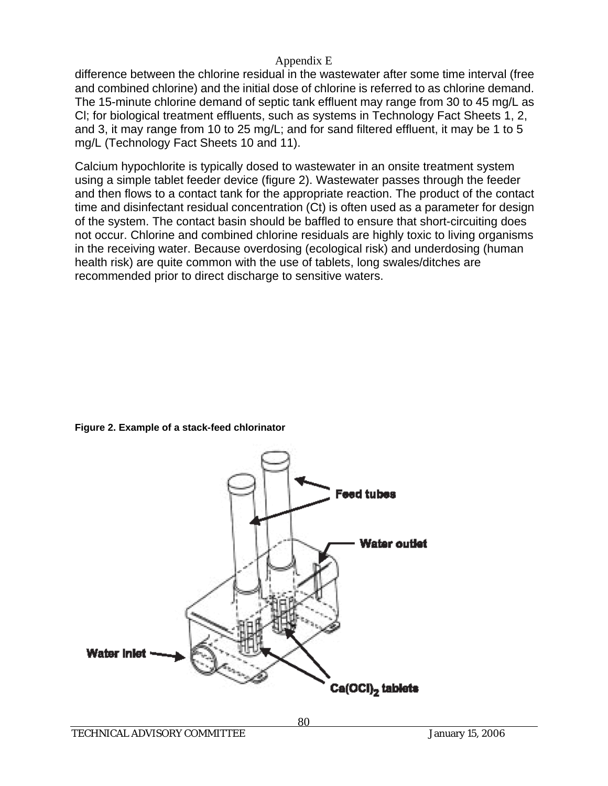difference between the chlorine residual in the wastewater after some time interval (free and combined chlorine) and the initial dose of chlorine is referred to as chlorine demand. The 15-minute chlorine demand of septic tank effluent may range from 30 to 45 mg/L as Cl; for biological treatment effluents, such as systems in Technology Fact Sheets 1, 2, and 3, it may range from 10 to 25 mg/L; and for sand filtered effluent, it may be 1 to 5 mg/L (Technology Fact Sheets 10 and 11).

Calcium hypochlorite is typically dosed to wastewater in an onsite treatment system using a simple tablet feeder device (figure 2). Wastewater passes through the feeder and then flows to a contact tank for the appropriate reaction. The product of the contact time and disinfectant residual concentration (Ct) is often used as a parameter for design of the system. The contact basin should be baffled to ensure that short-circuiting does not occur. Chlorine and combined chlorine residuals are highly toxic to living organisms in the receiving water. Because overdosing (ecological risk) and underdosing (human health risk) are quite common with the use of tablets, long swales/ditches are recommended prior to direct discharge to sensitive waters.

#### **Figure 2. Example of a stack-feed chlorinator**

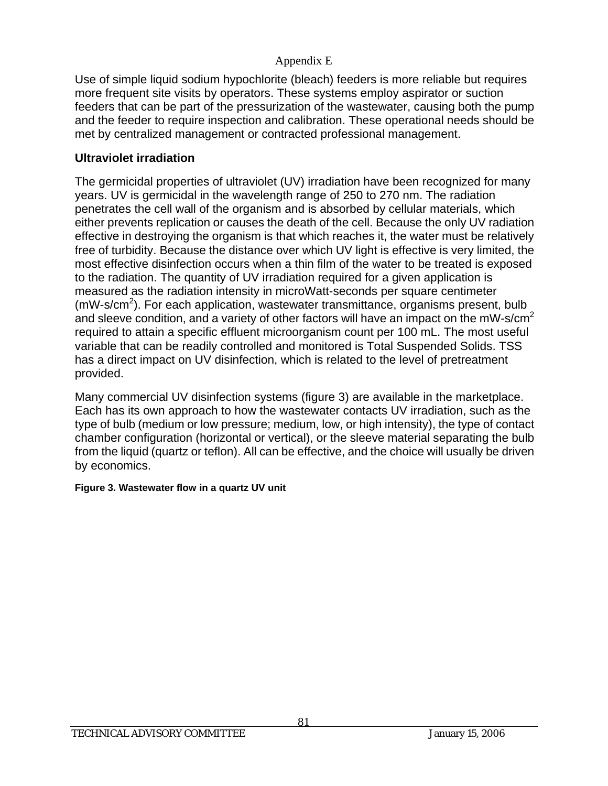Use of simple liquid sodium hypochlorite (bleach) feeders is more reliable but requires more frequent site visits by operators. These systems employ aspirator or suction feeders that can be part of the pressurization of the wastewater, causing both the pump and the feeder to require inspection and calibration. These operational needs should be met by centralized management or contracted professional management.

# **Ultraviolet irradiation**

The germicidal properties of ultraviolet (UV) irradiation have been recognized for many years. UV is germicidal in the wavelength range of 250 to 270 nm. The radiation penetrates the cell wall of the organism and is absorbed by cellular materials, which either prevents replication or causes the death of the cell. Because the only UV radiation effective in destroying the organism is that which reaches it, the water must be relatively free of turbidity. Because the distance over which UV light is effective is very limited, the most effective disinfection occurs when a thin film of the water to be treated is exposed to the radiation. The quantity of UV irradiation required for a given application is measured as the radiation intensity in microWatt-seconds per square centimeter  $(mW-s/cm<sup>2</sup>)$ . For each application, wastewater transmittance, organisms present, bulb and sleeve condition, and a variety of other factors will have an impact on the mW-s/cm<sup>2</sup> required to attain a specific effluent microorganism count per 100 mL. The most useful variable that can be readily controlled and monitored is Total Suspended Solids. TSS has a direct impact on UV disinfection, which is related to the level of pretreatment provided.

Many commercial UV disinfection systems (figure 3) are available in the marketplace. Each has its own approach to how the wastewater contacts UV irradiation, such as the type of bulb (medium or low pressure; medium, low, or high intensity), the type of contact chamber configuration (horizontal or vertical), or the sleeve material separating the bulb from the liquid (quartz or teflon). All can be effective, and the choice will usually be driven by economics.

## **Figure 3. Wastewater flow in a quartz UV unit**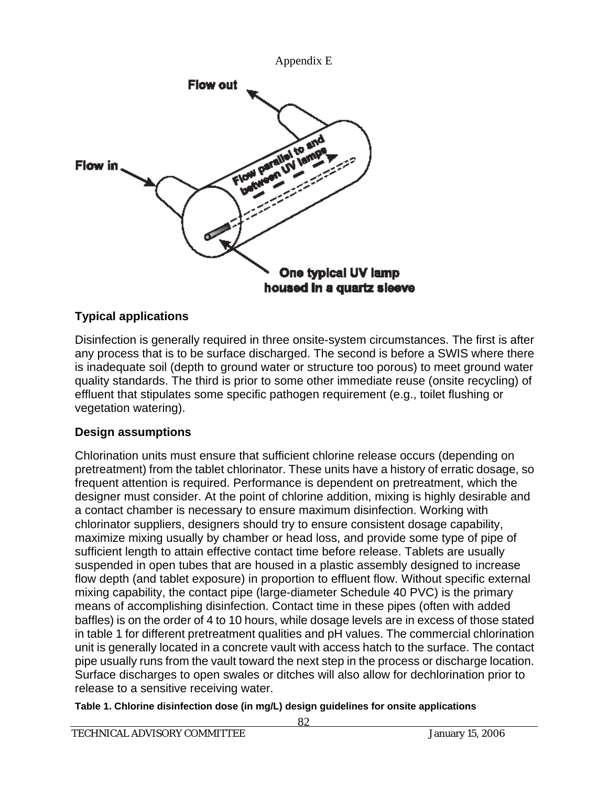

# **Typical applications**

Disinfection is generally required in three onsite-system circumstances. The first is after any process that is to be surface discharged. The second is before a SWIS where there is inadequate soil (depth to ground water or structure too porous) to meet ground water quality standards. The third is prior to some other immediate reuse (onsite recycling) of effluent that stipulates some specific pathogen requirement (e.g., toilet flushing or vegetation watering).

## **Design assumptions**

Chlorination units must ensure that sufficient chlorine release occurs (depending on pretreatment) from the tablet chlorinator. These units have a history of erratic dosage, so frequent attention is required. Performance is dependent on pretreatment, which the designer must consider. At the point of chlorine addition, mixing is highly desirable and a contact chamber is necessary to ensure maximum disinfection. Working with chlorinator suppliers, designers should try to ensure consistent dosage capability, maximize mixing usually by chamber or head loss, and provide some type of pipe of sufficient length to attain effective contact time before release. Tablets are usually suspended in open tubes that are housed in a plastic assembly designed to increase flow depth (and tablet exposure) in proportion to effluent flow. Without specific external mixing capability, the contact pipe (large-diameter Schedule 40 PVC) is the primary means of accomplishing disinfection. Contact time in these pipes (often with added baffles) is on the order of 4 to 10 hours, while dosage levels are in excess of those stated in table 1 for different pretreatment qualities and pH values. The commercial chlorination unit is generally located in a concrete vault with access hatch to the surface. The contact pipe usually runs from the vault toward the next step in the process or discharge location. Surface discharges to open swales or ditches will also allow for dechlorination prior to release to a sensitive receiving water.

**Table 1. Chlorine disinfection dose (in mg/L) design guidelines for onsite applications**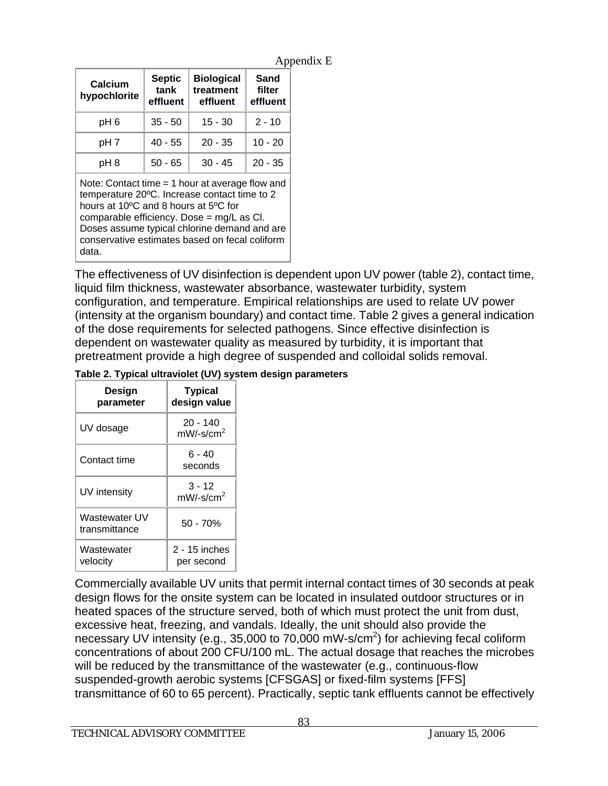| Appendix E |
|------------|
|------------|

| Calcium<br>hypochlorite | <b>Septic</b><br>tank<br>effluent | <b>Biological</b><br>treatment<br>effluent | Sand<br>filter<br>effluent |
|-------------------------|-----------------------------------|--------------------------------------------|----------------------------|
| pH <sub>6</sub>         | $35 - 50$                         | $15 - 30$                                  | $2 - 10$                   |
| pH <sub>7</sub>         | $40 - 55$                         | $20 - 35$                                  | $10 - 20$                  |
| pH 8                    | $50 - 65$                         | $30 - 45$                                  | $20 - 35$                  |

Note: Contact time  $=$  1 hour at average flow and temperature 20ºC. Increase contact time to 2 hours at 10ºC and 8 hours at 5ºC for comparable efficiency. Dose = mg/L as Cl. Doses assume typical chlorine demand and are conservative estimates based on fecal coliform data.

The effectiveness of UV disinfection is dependent upon UV power (table 2), contact time, liquid film thickness, wastewater absorbance, wastewater turbidity, system configuration, and temperature. Empirical relationships are used to relate UV power (intensity at the organism boundary) and contact time. Table 2 gives a general indication of the dose requirements for selected pathogens. Since effective disinfection is dependent on wastewater quality as measured by turbidity, it is important that pretreatment provide a high degree of suspended and colloidal solids removal.

|  |  |  | Table 2. Typical ultraviolet (UV) system design parameters |
|--|--|--|------------------------------------------------------------|
|  |  |  |                                                            |

| Design<br>parameter            | <b>Typical</b><br>design value         |
|--------------------------------|----------------------------------------|
| UV dosage                      | $20 - 140$<br>$mW$ /-s/cm <sup>2</sup> |
| Contact time                   | ճ - 40<br>seconds                      |
| UV intensity                   | $3 - 12$<br>$mW$ /-s/cm <sup>2</sup>   |
| Wastewater UV<br>transmittance | $50 - 70%$                             |
| Wastewater<br>velocity         | 2 - 15 inches<br>per second            |

Commercially available UV units that permit internal contact times of 30 seconds at peak design flows for the onsite system can be located in insulated outdoor structures or in heated spaces of the structure served, both of which must protect the unit from dust, excessive heat, freezing, and vandals. Ideally, the unit should also provide the necessary UV intensity (e.g., 35,000 to 70,000 mW-s/cm<sup>2</sup>) for achieving fecal coliform concentrations of about 200 CFU/100 mL. The actual dosage that reaches the microbes will be reduced by the transmittance of the wastewater (e.g., continuous-flow suspended-growth aerobic systems [CFSGAS] or fixed-film systems [FFS] transmittance of 60 to 65 percent). Practically, septic tank effluents cannot be effectively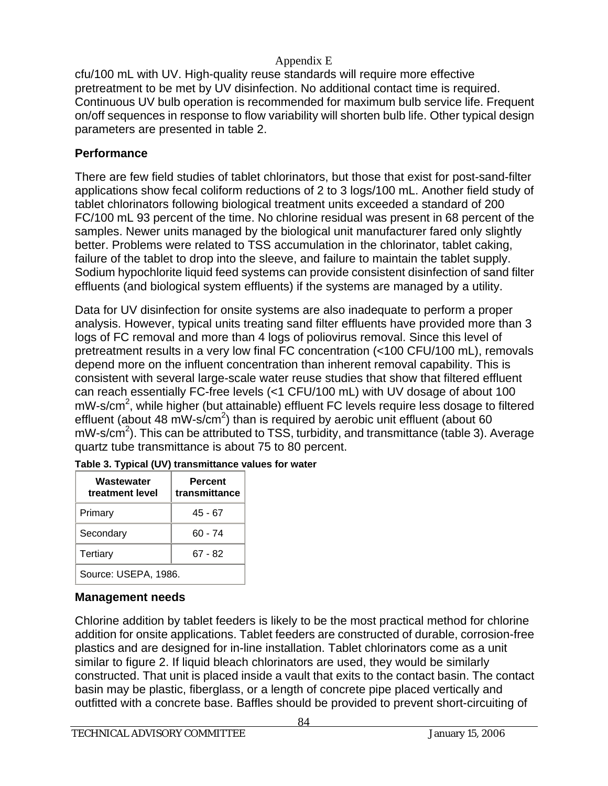cfu/100 mL with UV. High-quality reuse standards will require more effective pretreatment to be met by UV disinfection. No additional contact time is required. Continuous UV bulb operation is recommended for maximum bulb service life. Frequent on/off sequences in response to flow variability will shorten bulb life. Other typical design parameters are presented in table 2.

# **Performance**

There are few field studies of tablet chlorinators, but those that exist for post-sand-filter applications show fecal coliform reductions of 2 to 3 logs/100 mL. Another field study of tablet chlorinators following biological treatment units exceeded a standard of 200 FC/100 mL 93 percent of the time. No chlorine residual was present in 68 percent of the samples. Newer units managed by the biological unit manufacturer fared only slightly better. Problems were related to TSS accumulation in the chlorinator, tablet caking, failure of the tablet to drop into the sleeve, and failure to maintain the tablet supply. Sodium hypochlorite liquid feed systems can provide consistent disinfection of sand filter effluents (and biological system effluents) if the systems are managed by a utility.

Data for UV disinfection for onsite systems are also inadequate to perform a proper analysis. However, typical units treating sand filter effluents have provided more than 3 logs of FC removal and more than 4 logs of poliovirus removal. Since this level of pretreatment results in a very low final FC concentration (<100 CFU/100 mL), removals depend more on the influent concentration than inherent removal capability. This is consistent with several large-scale water reuse studies that show that filtered effluent can reach essentially FC-free levels (<1 CFU/100 mL) with UV dosage of about 100 mW-s/cm<sup>2</sup>, while higher (but attainable) effluent FC levels require less dosage to filtered effluent (about 48 mW-s/cm<sup>2</sup>) than is required by aerobic unit effluent (about 60 mW-s/cm<sup>2</sup>). This can be attributed to TSS, turbidity, and transmittance (table 3). Average quartz tube transmittance is about 75 to 80 percent.

| Wastewater<br>treatment level | <b>Percent</b><br>transmittance |  |  |  |
|-------------------------------|---------------------------------|--|--|--|
| Primary                       | $45 - 67$                       |  |  |  |
| Secondary                     | $60 - 74$                       |  |  |  |
| Tertiary                      | $67 - 82$                       |  |  |  |
| Source: USEPA, 1986.          |                                 |  |  |  |

|  | Table 3. Typical (UV) transmittance values for water |  |
|--|------------------------------------------------------|--|
|  |                                                      |  |

# **Management needs**

Chlorine addition by tablet feeders is likely to be the most practical method for chlorine addition for onsite applications. Tablet feeders are constructed of durable, corrosion-free plastics and are designed for in-line installation. Tablet chlorinators come as a unit similar to figure 2. If liquid bleach chlorinators are used, they would be similarly constructed. That unit is placed inside a vault that exits to the contact basin. The contact basin may be plastic, fiberglass, or a length of concrete pipe placed vertically and outfitted with a concrete base. Baffles should be provided to prevent short-circuiting of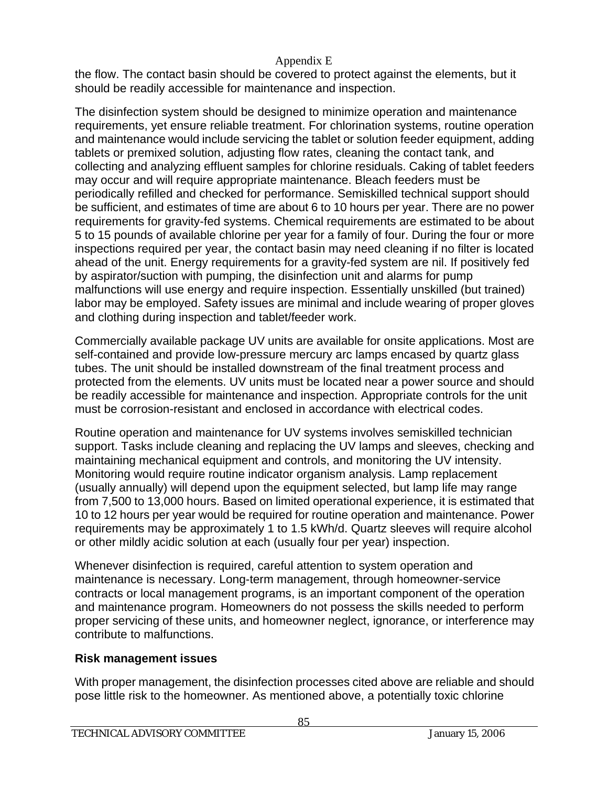the flow. The contact basin should be covered to protect against the elements, but it should be readily accessible for maintenance and inspection.

The disinfection system should be designed to minimize operation and maintenance requirements, yet ensure reliable treatment. For chlorination systems, routine operation and maintenance would include servicing the tablet or solution feeder equipment, adding tablets or premixed solution, adjusting flow rates, cleaning the contact tank, and collecting and analyzing effluent samples for chlorine residuals. Caking of tablet feeders may occur and will require appropriate maintenance. Bleach feeders must be periodically refilled and checked for performance. Semiskilled technical support should be sufficient, and estimates of time are about 6 to 10 hours per year. There are no power requirements for gravity-fed systems. Chemical requirements are estimated to be about 5 to 15 pounds of available chlorine per year for a family of four. During the four or more inspections required per year, the contact basin may need cleaning if no filter is located ahead of the unit. Energy requirements for a gravity-fed system are nil. If positively fed by aspirator/suction with pumping, the disinfection unit and alarms for pump malfunctions will use energy and require inspection. Essentially unskilled (but trained) labor may be employed. Safety issues are minimal and include wearing of proper gloves and clothing during inspection and tablet/feeder work.

Commercially available package UV units are available for onsite applications. Most are self-contained and provide low-pressure mercury arc lamps encased by quartz glass tubes. The unit should be installed downstream of the final treatment process and protected from the elements. UV units must be located near a power source and should be readily accessible for maintenance and inspection. Appropriate controls for the unit must be corrosion-resistant and enclosed in accordance with electrical codes.

Routine operation and maintenance for UV systems involves semiskilled technician support. Tasks include cleaning and replacing the UV lamps and sleeves, checking and maintaining mechanical equipment and controls, and monitoring the UV intensity. Monitoring would require routine indicator organism analysis. Lamp replacement (usually annually) will depend upon the equipment selected, but lamp life may range from 7,500 to 13,000 hours. Based on limited operational experience, it is estimated that 10 to 12 hours per year would be required for routine operation and maintenance. Power requirements may be approximately 1 to 1.5 kWh/d. Quartz sleeves will require alcohol or other mildly acidic solution at each (usually four per year) inspection.

Whenever disinfection is required, careful attention to system operation and maintenance is necessary. Long-term management, through homeowner-service contracts or local management programs, is an important component of the operation and maintenance program. Homeowners do not possess the skills needed to perform proper servicing of these units, and homeowner neglect, ignorance, or interference may contribute to malfunctions.

## **Risk management issues**

With proper management, the disinfection processes cited above are reliable and should pose little risk to the homeowner. As mentioned above, a potentially toxic chlorine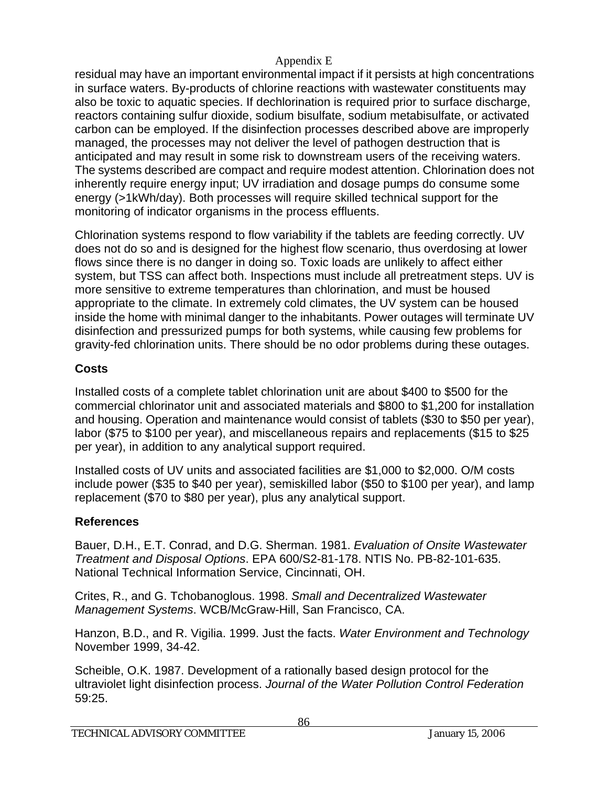residual may have an important environmental impact if it persists at high concentrations in surface waters. By-products of chlorine reactions with wastewater constituents may also be toxic to aquatic species. If dechlorination is required prior to surface discharge, reactors containing sulfur dioxide, sodium bisulfate, sodium metabisulfate, or activated carbon can be employed. If the disinfection processes described above are improperly managed, the processes may not deliver the level of pathogen destruction that is anticipated and may result in some risk to downstream users of the receiving waters. The systems described are compact and require modest attention. Chlorination does not inherently require energy input; UV irradiation and dosage pumps do consume some energy (>1kWh/day). Both processes will require skilled technical support for the monitoring of indicator organisms in the process effluents.

Chlorination systems respond to flow variability if the tablets are feeding correctly. UV does not do so and is designed for the highest flow scenario, thus overdosing at lower flows since there is no danger in doing so. Toxic loads are unlikely to affect either system, but TSS can affect both. Inspections must include all pretreatment steps. UV is more sensitive to extreme temperatures than chlorination, and must be housed appropriate to the climate. In extremely cold climates, the UV system can be housed inside the home with minimal danger to the inhabitants. Power outages will terminate UV disinfection and pressurized pumps for both systems, while causing few problems for gravity-fed chlorination units. There should be no odor problems during these outages.

# **Costs**

Installed costs of a complete tablet chlorination unit are about \$400 to \$500 for the commercial chlorinator unit and associated materials and \$800 to \$1,200 for installation and housing. Operation and maintenance would consist of tablets (\$30 to \$50 per year), labor (\$75 to \$100 per year), and miscellaneous repairs and replacements (\$15 to \$25 per year), in addition to any analytical support required.

Installed costs of UV units and associated facilities are \$1,000 to \$2,000. O/M costs include power (\$35 to \$40 per year), semiskilled labor (\$50 to \$100 per year), and lamp replacement (\$70 to \$80 per year), plus any analytical support.

# **References**

Bauer, D.H., E.T. Conrad, and D.G. Sherman. 1981. *Evaluation of Onsite Wastewater Treatment and Disposal Options*. EPA 600/S2-81-178. NTIS No. PB-82-101-635. National Technical Information Service, Cincinnati, OH.

Crites, R., and G. Tchobanoglous. 1998. *Small and Decentralized Wastewater Management Systems*. WCB/McGraw-Hill, San Francisco, CA.

Hanzon, B.D., and R. Vigilia. 1999. Just the facts. *Water Environment and Technology* November 1999, 34-42.

Scheible, O.K. 1987. Development of a rationally based design protocol for the ultraviolet light disinfection process. *Journal of the Water Pollution Control Federation* 59:25.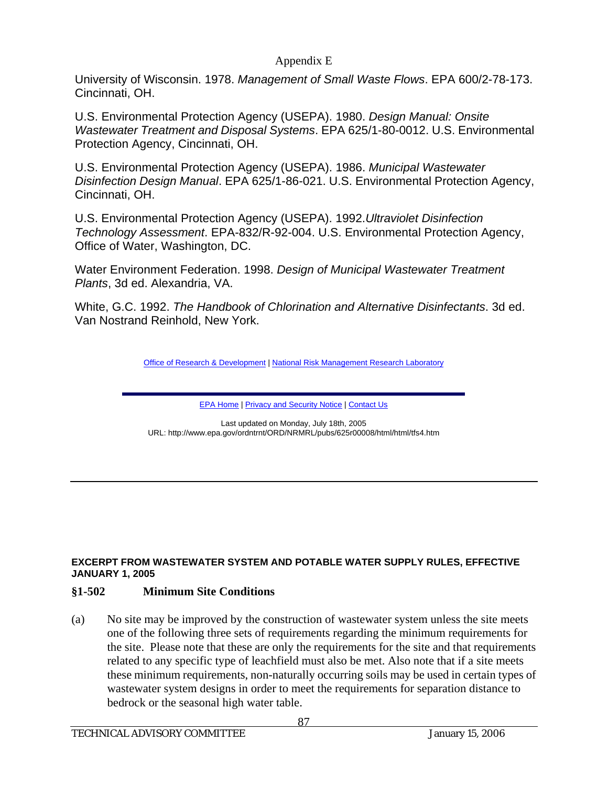University of Wisconsin. 1978. *Management of Small Waste Flows*. EPA 600/2-78-173. Cincinnati, OH.

U.S. Environmental Protection Agency (USEPA). 1980. *Design Manual: Onsite Wastewater Treatment and Disposal Systems*. EPA 625/1-80-0012. U.S. Environmental Protection Agency, Cincinnati, OH.

U.S. Environmental Protection Agency (USEPA). 1986. *Municipal Wastewater Disinfection Design Manual*. EPA 625/1-86-021. U.S. Environmental Protection Agency, Cincinnati, OH.

U.S. Environmental Protection Agency (USEPA). 1992.*Ultraviolet Disinfection Technology Assessment*. EPA-832/R-92-004. U.S. Environmental Protection Agency, Office of Water, Washington, DC.

Water Environment Federation. 1998. *Design of Municipal Wastewater Treatment Plants*, 3d ed. Alexandria, VA.

White, G.C. 1992. *The Handbook of Chlorination and Alternative Disinfectants*. 3d ed. Van Nostrand Reinhold, New York.

Office of Research & Development | National Risk Management Research Laboratory

EPA Home | Privacy and Security Notice | Contact Us

Last updated on Monday, July 18th, 2005 URL: http://www.epa.gov/ordntrnt/ORD/NRMRL/pubs/625r00008/html/html/tfs4.htm

#### **EXCERPT FROM WASTEWATER SYSTEM AND POTABLE WATER SUPPLY RULES, EFFECTIVE JANUARY 1, 2005**

#### **§1-502 Minimum Site Conditions**

(a) No site may be improved by the construction of wastewater system unless the site meets one of the following three sets of requirements regarding the minimum requirements for the site. Please note that these are only the requirements for the site and that requirements related to any specific type of leachfield must also be met. Also note that if a site meets these minimum requirements, non-naturally occurring soils may be used in certain types of wastewater system designs in order to meet the requirements for separation distance to bedrock or the seasonal high water table.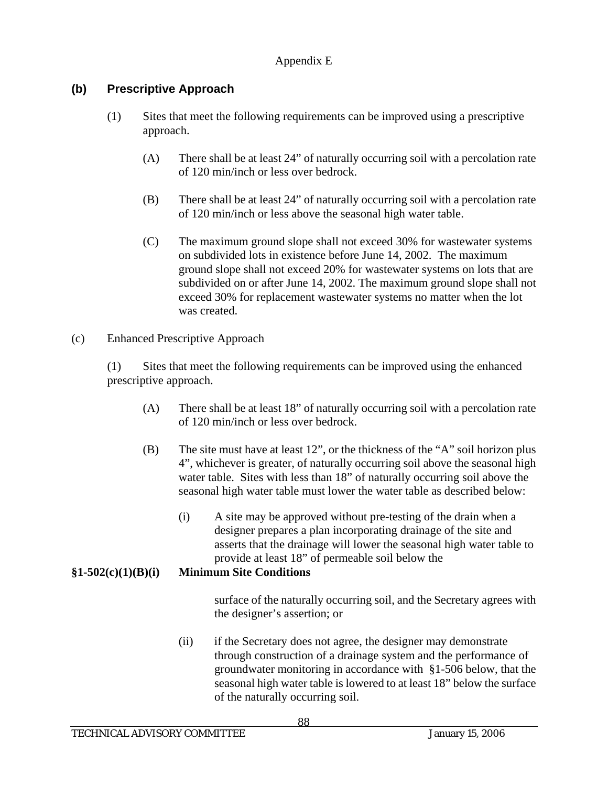## **(b) Prescriptive Approach**

- (1) Sites that meet the following requirements can be improved using a prescriptive approach.
	- (A) There shall be at least 24" of naturally occurring soil with a percolation rate of 120 min/inch or less over bedrock.
	- (B) There shall be at least 24" of naturally occurring soil with a percolation rate of 120 min/inch or less above the seasonal high water table.
	- (C) The maximum ground slope shall not exceed 30% for wastewater systems on subdivided lots in existence before June 14, 2002. The maximum ground slope shall not exceed 20% for wastewater systems on lots that are subdivided on or after June 14, 2002. The maximum ground slope shall not exceed 30% for replacement wastewater systems no matter when the lot was created.
- (c) Enhanced Prescriptive Approach

(1) Sites that meet the following requirements can be improved using the enhanced prescriptive approach.

- (A) There shall be at least 18" of naturally occurring soil with a percolation rate of 120 min/inch or less over bedrock.
- (B) The site must have at least 12", or the thickness of the "A" soil horizon plus 4", whichever is greater, of naturally occurring soil above the seasonal high water table. Sites with less than 18" of naturally occurring soil above the seasonal high water table must lower the water table as described below:
	- (i) A site may be approved without pre-testing of the drain when a designer prepares a plan incorporating drainage of the site and asserts that the drainage will lower the seasonal high water table to provide at least 18" of permeable soil below the

## **§1-502(c)(1)(B)(i) Minimum Site Conditions**

surface of the naturally occurring soil, and the Secretary agrees with the designer's assertion; or

(ii) if the Secretary does not agree, the designer may demonstrate through construction of a drainage system and the performance of groundwater monitoring in accordance with §1-506 below, that the seasonal high water table is lowered to at least 18" below the surface of the naturally occurring soil.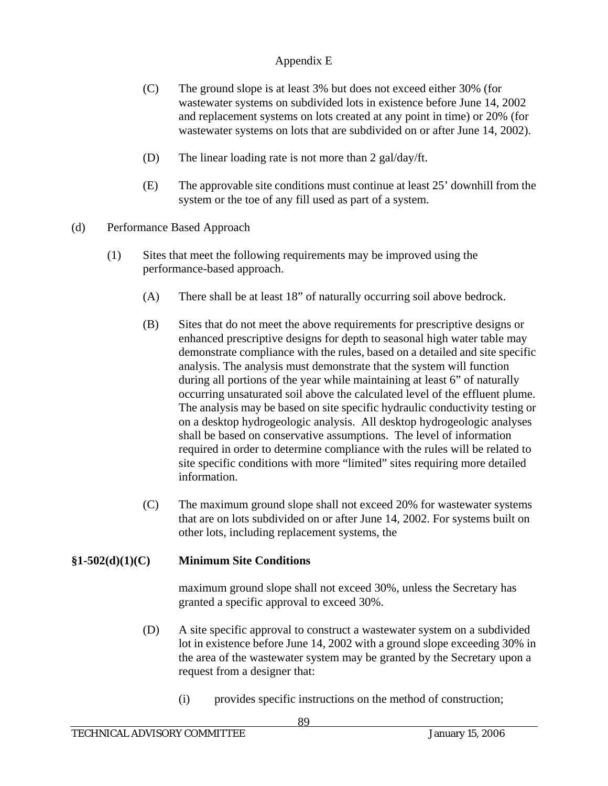- (C) The ground slope is at least 3% but does not exceed either 30% (for wastewater systems on subdivided lots in existence before June 14, 2002 and replacement systems on lots created at any point in time) or 20% (for wastewater systems on lots that are subdivided on or after June 14, 2002).
- (D) The linear loading rate is not more than 2 gal/day/ft.
- (E) The approvable site conditions must continue at least 25' downhill from the system or the toe of any fill used as part of a system.
- (d) Performance Based Approach
	- (1) Sites that meet the following requirements may be improved using the performance-based approach.
		- (A) There shall be at least 18" of naturally occurring soil above bedrock.
		- (B) Sites that do not meet the above requirements for prescriptive designs or enhanced prescriptive designs for depth to seasonal high water table may demonstrate compliance with the rules, based on a detailed and site specific analysis. The analysis must demonstrate that the system will function during all portions of the year while maintaining at least 6" of naturally occurring unsaturated soil above the calculated level of the effluent plume. The analysis may be based on site specific hydraulic conductivity testing or on a desktop hydrogeologic analysis. All desktop hydrogeologic analyses shall be based on conservative assumptions. The level of information required in order to determine compliance with the rules will be related to site specific conditions with more "limited" sites requiring more detailed information.
		- (C) The maximum ground slope shall not exceed 20% for wastewater systems that are on lots subdivided on or after June 14, 2002. For systems built on other lots, including replacement systems, the

#### **§1-502(d)(1)(C) Minimum Site Conditions**

maximum ground slope shall not exceed 30%, unless the Secretary has granted a specific approval to exceed 30%.

- (D) A site specific approval to construct a wastewater system on a subdivided lot in existence before June 14, 2002 with a ground slope exceeding 30% in the area of the wastewater system may be granted by the Secretary upon a request from a designer that:
	- (i) provides specific instructions on the method of construction;